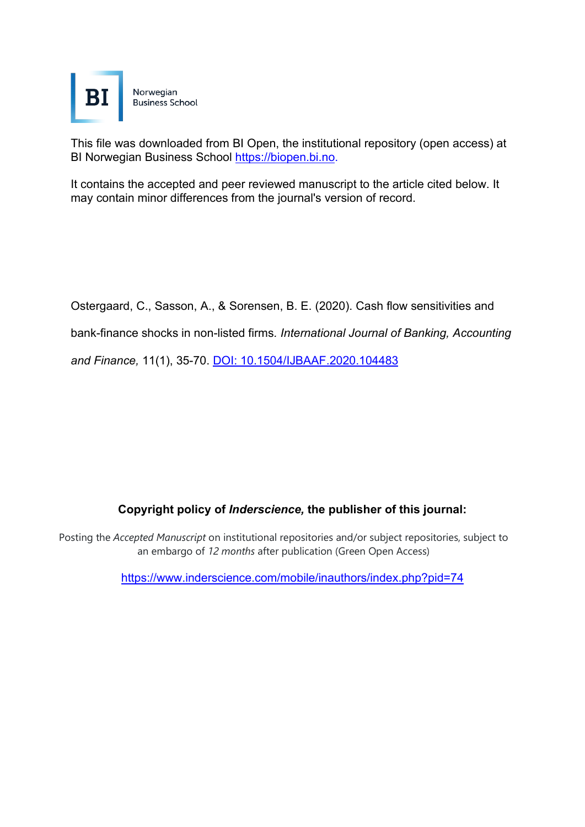

This file was downloaded from BI Open, the institutional repository (open access) at BI Norwegian Business School https://biopen.bi.no.

It contains the accepted and peer reviewed manuscript to the article cited below. It may contain minor differences from the journal's version of record.

Ostergaard, C., Sasson, A., & Sorensen, B. E. (2020). Cash flow sensitivities and

bank-finance shocks in non-listed firms*. International Journal of Banking, Accounting* 

*and Finance,* 11(1), 35-70. [DOI: 10.1504/IJBAAF.2020.104483](https://dx.doi.org/10.1504/IJBAAF.2020.104483)

## **Copyright policy of** *Inderscience,* **the publisher of this journal:**

Posting the *Accepted Manuscript* on institutional repositories and/or subject repositories, subject to an embargo of *12 months* after publication (Green Open Access)

https://www.inderscience.com/mobile/inauthors/index.php?pid=74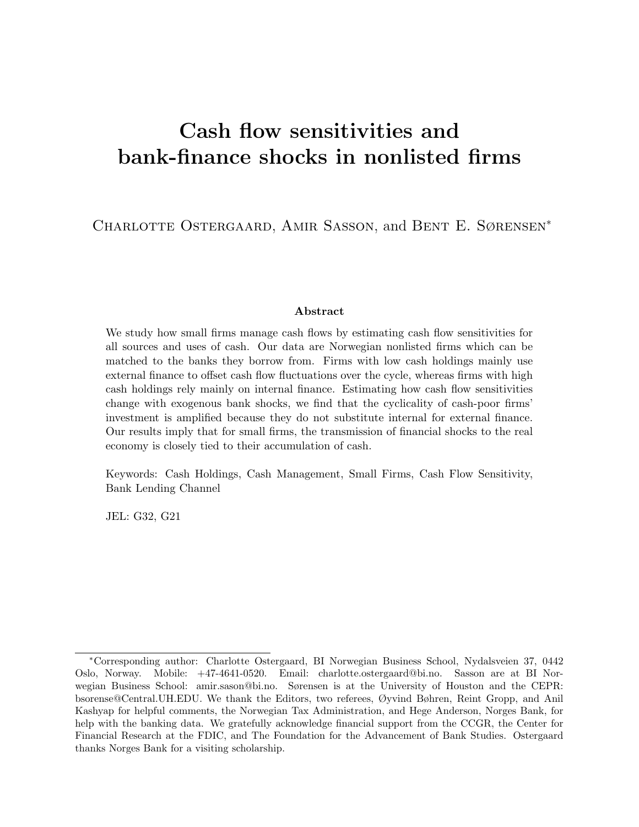## Cash flow sensitivities and bank-finance shocks in nonlisted firms

Charlotte Ostergaard, Amir Sasson, and Bent E. Sørensen<sup>∗</sup>

#### Abstract

We study how small firms manage cash flows by estimating cash flow sensitivities for all sources and uses of cash. Our data are Norwegian nonlisted firms which can be matched to the banks they borrow from. Firms with low cash holdings mainly use external finance to offset cash flow fluctuations over the cycle, whereas firms with high cash holdings rely mainly on internal finance. Estimating how cash flow sensitivities change with exogenous bank shocks, we find that the cyclicality of cash-poor firms' investment is amplified because they do not substitute internal for external finance. Our results imply that for small firms, the transmission of financial shocks to the real economy is closely tied to their accumulation of cash.

Keywords: Cash Holdings, Cash Management, Small Firms, Cash Flow Sensitivity, Bank Lending Channel

JEL: G32, G21

<sup>∗</sup>Corresponding author: Charlotte Ostergaard, BI Norwegian Business School, Nydalsveien 37, 0442 Oslo, Norway. Mobile: +47-4641-0520. Email: charlotte.ostergaard@bi.no. Sasson are at BI Norwegian Business School: amir.sason@bi.no. Sørensen is at the University of Houston and the CEPR: bsorense@Central.UH.EDU. We thank the Editors, two referees, Øyvind Bøhren, Reint Gropp, and Anil Kashyap for helpful comments, the Norwegian Tax Administration, and Hege Anderson, Norges Bank, for help with the banking data. We gratefully acknowledge financial support from the CCGR, the Center for Financial Research at the FDIC, and The Foundation for the Advancement of Bank Studies. Ostergaard thanks Norges Bank for a visiting scholarship.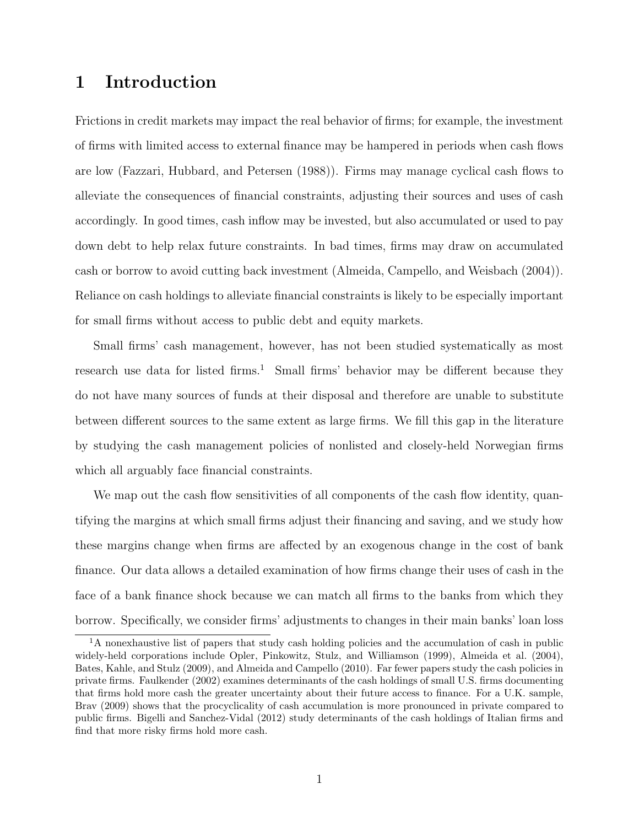## 1 Introduction

Frictions in credit markets may impact the real behavior of firms; for example, the investment of firms with limited access to external finance may be hampered in periods when cash flows are low (Fazzari, Hubbard, and Petersen (1988)). Firms may manage cyclical cash flows to alleviate the consequences of financial constraints, adjusting their sources and uses of cash accordingly. In good times, cash inflow may be invested, but also accumulated or used to pay down debt to help relax future constraints. In bad times, firms may draw on accumulated cash or borrow to avoid cutting back investment (Almeida, Campello, and Weisbach (2004)). Reliance on cash holdings to alleviate financial constraints is likely to be especially important for small firms without access to public debt and equity markets.

Small firms' cash management, however, has not been studied systematically as most research use data for listed firms.<sup>1</sup> Small firms' behavior may be different because they do not have many sources of funds at their disposal and therefore are unable to substitute between different sources to the same extent as large firms. We fill this gap in the literature by studying the cash management policies of nonlisted and closely-held Norwegian firms which all arguably face financial constraints.

We map out the cash flow sensitivities of all components of the cash flow identity, quantifying the margins at which small firms adjust their financing and saving, and we study how these margins change when firms are affected by an exogenous change in the cost of bank finance. Our data allows a detailed examination of how firms change their uses of cash in the face of a bank finance shock because we can match all firms to the banks from which they borrow. Specifically, we consider firms' adjustments to changes in their main banks' loan loss

<sup>&</sup>lt;sup>1</sup>A nonexhaustive list of papers that study cash holding policies and the accumulation of cash in public widely-held corporations include Opler, Pinkowitz, Stulz, and Williamson (1999), Almeida et al. (2004), Bates, Kahle, and Stulz (2009), and Almeida and Campello (2010). Far fewer papers study the cash policies in private firms. Faulkender (2002) examines determinants of the cash holdings of small U.S. firms documenting that firms hold more cash the greater uncertainty about their future access to finance. For a U.K. sample, Brav (2009) shows that the procyclicality of cash accumulation is more pronounced in private compared to public firms. Bigelli and Sanchez-Vidal (2012) study determinants of the cash holdings of Italian firms and find that more risky firms hold more cash.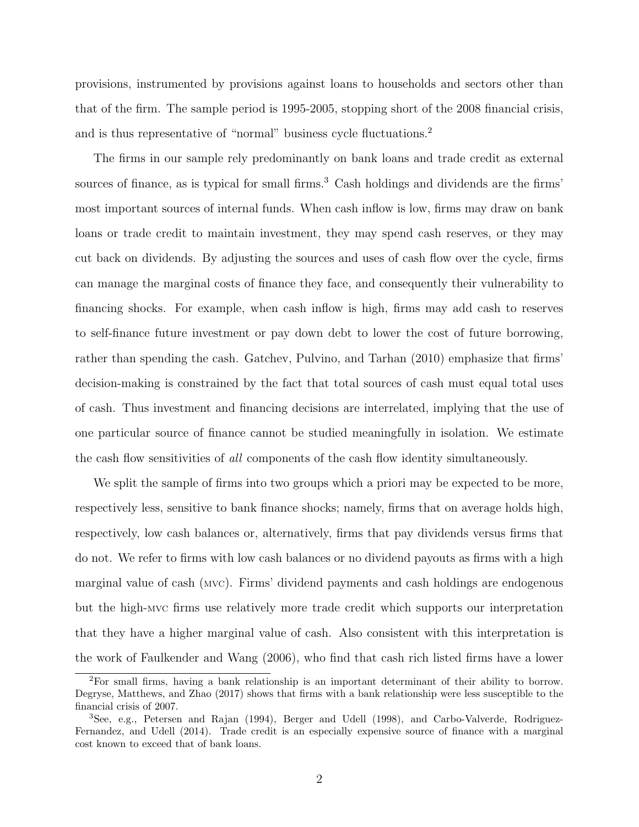provisions, instrumented by provisions against loans to households and sectors other than that of the firm. The sample period is 1995-2005, stopping short of the 2008 financial crisis, and is thus representative of "normal" business cycle fluctuations.<sup>2</sup>

The firms in our sample rely predominantly on bank loans and trade credit as external sources of finance, as is typical for small firms.<sup>3</sup> Cash holdings and dividends are the firms' most important sources of internal funds. When cash inflow is low, firms may draw on bank loans or trade credit to maintain investment, they may spend cash reserves, or they may cut back on dividends. By adjusting the sources and uses of cash flow over the cycle, firms can manage the marginal costs of finance they face, and consequently their vulnerability to financing shocks. For example, when cash inflow is high, firms may add cash to reserves to self-finance future investment or pay down debt to lower the cost of future borrowing, rather than spending the cash. Gatchev, Pulvino, and Tarhan (2010) emphasize that firms' decision-making is constrained by the fact that total sources of cash must equal total uses of cash. Thus investment and financing decisions are interrelated, implying that the use of one particular source of finance cannot be studied meaningfully in isolation. We estimate the cash flow sensitivities of all components of the cash flow identity simultaneously.

We split the sample of firms into two groups which a priori may be expected to be more, respectively less, sensitive to bank finance shocks; namely, firms that on average holds high, respectively, low cash balances or, alternatively, firms that pay dividends versus firms that do not. We refer to firms with low cash balances or no dividend payouts as firms with a high marginal value of cash (MVC). Firms' dividend payments and cash holdings are endogenous but the high-MVC firms use relatively more trade credit which supports our interpretation that they have a higher marginal value of cash. Also consistent with this interpretation is the work of Faulkender and Wang (2006), who find that cash rich listed firms have a lower

<sup>2</sup>For small firms, having a bank relationship is an important determinant of their ability to borrow. Degryse, Matthews, and Zhao (2017) shows that firms with a bank relationship were less susceptible to the financial crisis of 2007.

<sup>3</sup>See, e.g., Petersen and Rajan (1994), Berger and Udell (1998), and Carbo-Valverde, Rodriguez-Fernandez, and Udell (2014). Trade credit is an especially expensive source of finance with a marginal cost known to exceed that of bank loans.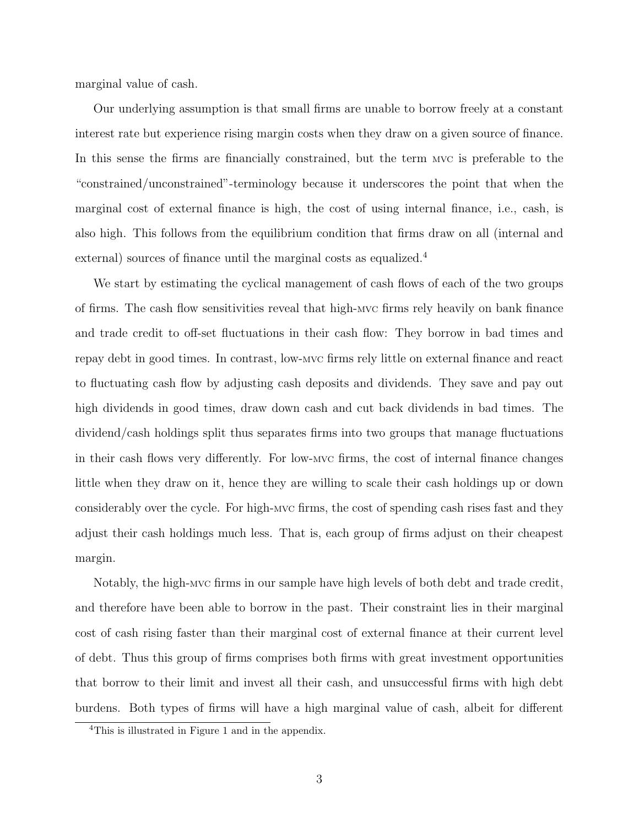marginal value of cash.

Our underlying assumption is that small firms are unable to borrow freely at a constant interest rate but experience rising margin costs when they draw on a given source of finance. In this sense the firms are financially constrained, but the term MVC is preferable to the "constrained/unconstrained"-terminology because it underscores the point that when the marginal cost of external finance is high, the cost of using internal finance, i.e., cash, is also high. This follows from the equilibrium condition that firms draw on all (internal and external) sources of finance until the marginal costs as equalized.<sup>4</sup>

We start by estimating the cyclical management of cash flows of each of the two groups of firms. The cash flow sensitivities reveal that high-MVC firms rely heavily on bank finance and trade credit to off-set fluctuations in their cash flow: They borrow in bad times and repay debt in good times. In contrast, low-MVC firms rely little on external finance and react to fluctuating cash flow by adjusting cash deposits and dividends. They save and pay out high dividends in good times, draw down cash and cut back dividends in bad times. The dividend/cash holdings split thus separates firms into two groups that manage fluctuations in their cash flows very differently. For low-MVC firms, the cost of internal finance changes little when they draw on it, hence they are willing to scale their cash holdings up or down considerably over the cycle. For high-MVC firms, the cost of spending cash rises fast and they adjust their cash holdings much less. That is, each group of firms adjust on their cheapest margin.

Notably, the high-MVC firms in our sample have high levels of both debt and trade credit, and therefore have been able to borrow in the past. Their constraint lies in their marginal cost of cash rising faster than their marginal cost of external finance at their current level of debt. Thus this group of firms comprises both firms with great investment opportunities that borrow to their limit and invest all their cash, and unsuccessful firms with high debt burdens. Both types of firms will have a high marginal value of cash, albeit for different

<sup>&</sup>lt;sup>4</sup>This is illustrated in Figure 1 and in the appendix.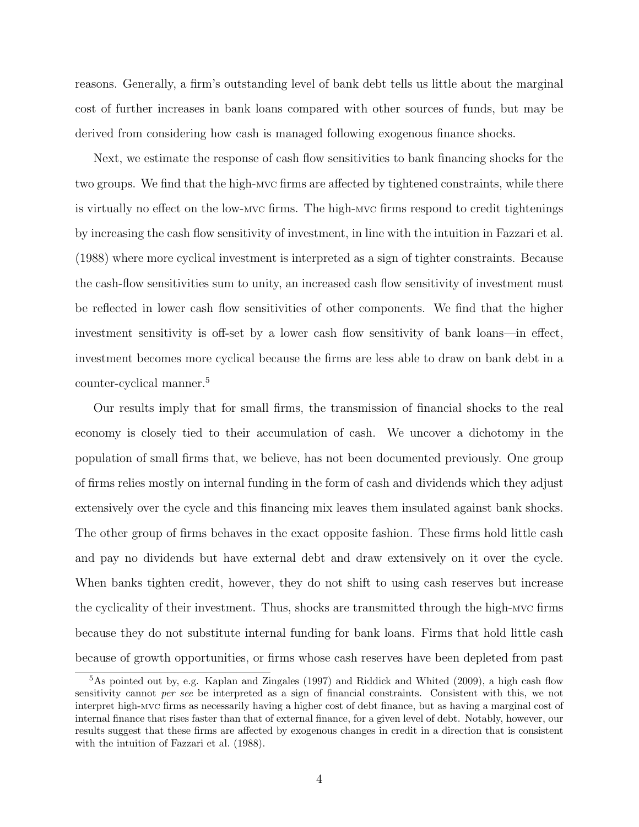reasons. Generally, a firm's outstanding level of bank debt tells us little about the marginal cost of further increases in bank loans compared with other sources of funds, but may be derived from considering how cash is managed following exogenous finance shocks.

Next, we estimate the response of cash flow sensitivities to bank financing shocks for the two groups. We find that the high-MVC firms are affected by tightened constraints, while there is virtually no effect on the low-MVC firms. The high-MVC firms respond to credit tightenings by increasing the cash flow sensitivity of investment, in line with the intuition in Fazzari et al. (1988) where more cyclical investment is interpreted as a sign of tighter constraints. Because the cash-flow sensitivities sum to unity, an increased cash flow sensitivity of investment must be reflected in lower cash flow sensitivities of other components. We find that the higher investment sensitivity is off-set by a lower cash flow sensitivity of bank loans—in effect, investment becomes more cyclical because the firms are less able to draw on bank debt in a counter-cyclical manner.<sup>5</sup>

Our results imply that for small firms, the transmission of financial shocks to the real economy is closely tied to their accumulation of cash. We uncover a dichotomy in the population of small firms that, we believe, has not been documented previously. One group of firms relies mostly on internal funding in the form of cash and dividends which they adjust extensively over the cycle and this financing mix leaves them insulated against bank shocks. The other group of firms behaves in the exact opposite fashion. These firms hold little cash and pay no dividends but have external debt and draw extensively on it over the cycle. When banks tighten credit, however, they do not shift to using cash reserves but increase the cyclicality of their investment. Thus, shocks are transmitted through the high-MVC firms because they do not substitute internal funding for bank loans. Firms that hold little cash because of growth opportunities, or firms whose cash reserves have been depleted from past

<sup>&</sup>lt;sup>5</sup>As pointed out by, e.g. Kaplan and Zingales (1997) and Riddick and Whited (2009), a high cash flow sensitivity cannot per see be interpreted as a sign of financial constraints. Consistent with this, we not interpret high-MVC firms as necessarily having a higher cost of debt finance, but as having a marginal cost of internal finance that rises faster than that of external finance, for a given level of debt. Notably, however, our results suggest that these firms are affected by exogenous changes in credit in a direction that is consistent with the intuition of Fazzari et al. (1988).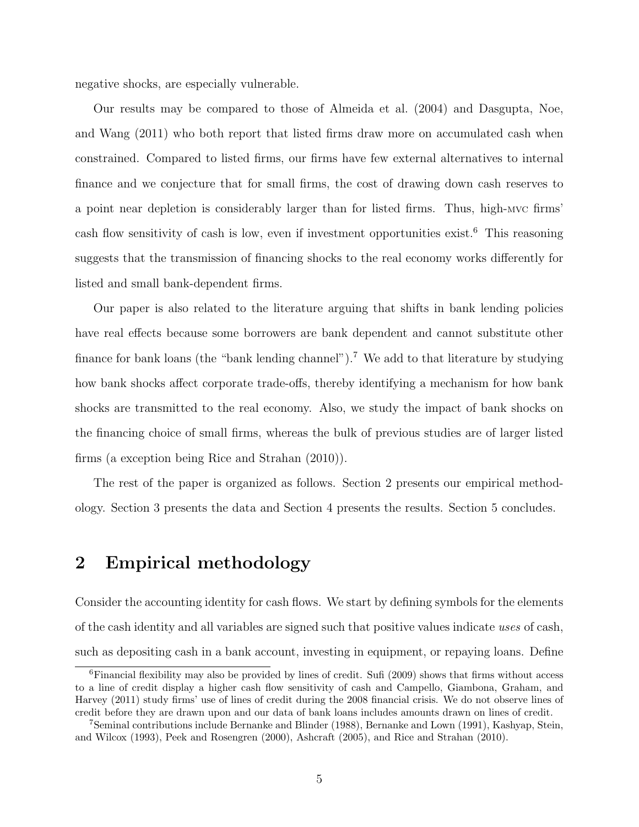negative shocks, are especially vulnerable.

Our results may be compared to those of Almeida et al. (2004) and Dasgupta, Noe, and Wang (2011) who both report that listed firms draw more on accumulated cash when constrained. Compared to listed firms, our firms have few external alternatives to internal finance and we conjecture that for small firms, the cost of drawing down cash reserves to a point near depletion is considerably larger than for listed firms. Thus, high-MVC firms' cash flow sensitivity of cash is low, even if investment opportunities exist.<sup>6</sup> This reasoning suggests that the transmission of financing shocks to the real economy works differently for listed and small bank-dependent firms.

Our paper is also related to the literature arguing that shifts in bank lending policies have real effects because some borrowers are bank dependent and cannot substitute other finance for bank loans (the "bank lending channel").<sup>7</sup> We add to that literature by studying how bank shocks affect corporate trade-offs, thereby identifying a mechanism for how bank shocks are transmitted to the real economy. Also, we study the impact of bank shocks on the financing choice of small firms, whereas the bulk of previous studies are of larger listed firms (a exception being Rice and Strahan (2010)).

The rest of the paper is organized as follows. Section 2 presents our empirical methodology. Section 3 presents the data and Section 4 presents the results. Section 5 concludes.

## 2 Empirical methodology

Consider the accounting identity for cash flows. We start by defining symbols for the elements of the cash identity and all variables are signed such that positive values indicate uses of cash, such as depositing cash in a bank account, investing in equipment, or repaying loans. Define

 $6$ Financial flexibility may also be provided by lines of credit. Sufi (2009) shows that firms without access to a line of credit display a higher cash flow sensitivity of cash and Campello, Giambona, Graham, and Harvey (2011) study firms' use of lines of credit during the 2008 financial crisis. We do not observe lines of credit before they are drawn upon and our data of bank loans includes amounts drawn on lines of credit.

<sup>7</sup>Seminal contributions include Bernanke and Blinder (1988), Bernanke and Lown (1991), Kashyap, Stein, and Wilcox (1993), Peek and Rosengren (2000), Ashcraft (2005), and Rice and Strahan (2010).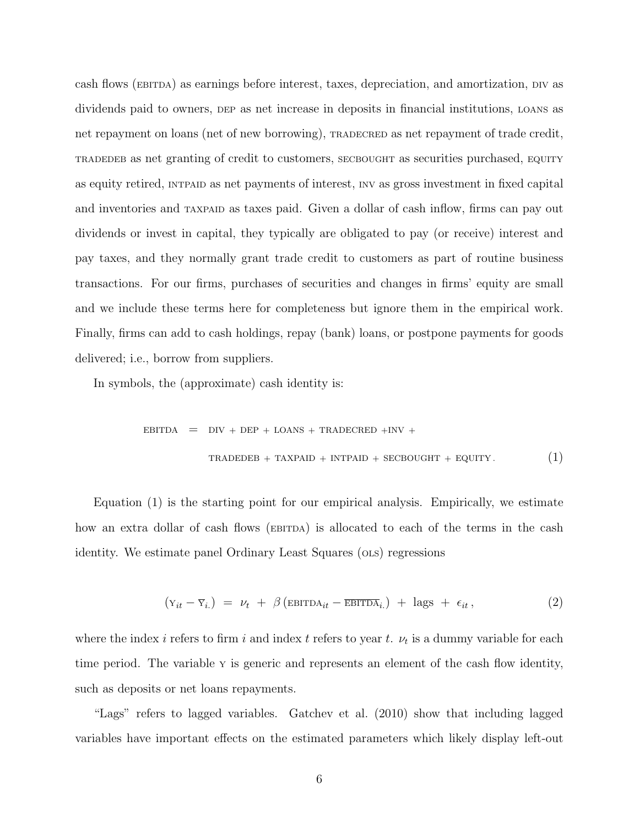cash flows (EBITDA) as earnings before interest, taxes, depreciation, and amortization, DIV as dividends paid to owners, DEP as net increase in deposits in financial institutions, LOANS as net repayment on loans (net of new borrowing), TRADECRED as net repayment of trade credit, TRADEDEB as net granting of credit to customers, SECBOUGHT as securities purchased, EQUITY as equity retired, INTPAID as net payments of interest, INV as gross investment in fixed capital and inventories and TAXPAID as taxes paid. Given a dollar of cash inflow, firms can pay out dividends or invest in capital, they typically are obligated to pay (or receive) interest and pay taxes, and they normally grant trade credit to customers as part of routine business transactions. For our firms, purchases of securities and changes in firms' equity are small and we include these terms here for completeness but ignore them in the empirical work. Finally, firms can add to cash holdings, repay (bank) loans, or postpone payments for goods delivered; i.e., borrow from suppliers.

In symbols, the (approximate) cash identity is:

$$
EBITDA = DIV + DEP + LOANS + TRADECRED + INV +
$$
  
 
$$
TRADEDEB + TAXPAID + INTPAID + SECBOUGHT + EQUITY. (1)
$$

Equation (1) is the starting point for our empirical analysis. Empirically, we estimate how an extra dollar of cash flows (EBITDA) is allocated to each of the terms in the cash identity. We estimate panel Ordinary Least Squares (OLS) regressions

$$
(\mathbf{Y}_{it} - \overline{\mathbf{Y}}_{i.}) = \nu_t + \beta (\text{EBITDA}_{it} - \overline{\text{EBITDA}}_{i.}) + \text{lags} + \epsilon_{it}, \tag{2}
$$

where the index *i* refers to firm *i* and index *t* refers to year *t*.  $\nu_t$  is a dummy variable for each time period. The variable <sup>Y</sup> is generic and represents an element of the cash flow identity, such as deposits or net loans repayments.

"Lags" refers to lagged variables. Gatchev et al. (2010) show that including lagged variables have important effects on the estimated parameters which likely display left-out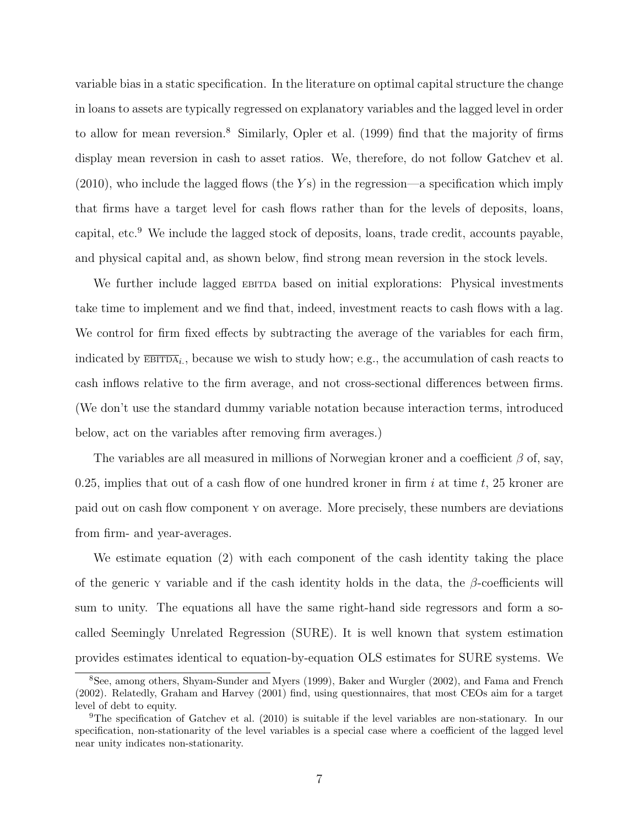variable bias in a static specification. In the literature on optimal capital structure the change in loans to assets are typically regressed on explanatory variables and the lagged level in order to allow for mean reversion.<sup>8</sup> Similarly, Opler et al. (1999) find that the majority of firms display mean reversion in cash to asset ratios. We, therefore, do not follow Gatchev et al.  $(2010)$ , who include the lagged flows (the Ys) in the regression—a specification which imply that firms have a target level for cash flows rather than for the levels of deposits, loans, capital, etc.<sup>9</sup> We include the lagged stock of deposits, loans, trade credit, accounts payable, and physical capital and, as shown below, find strong mean reversion in the stock levels.

We further include lagged EBITDA based on initial explorations: Physical investments take time to implement and we find that, indeed, investment reacts to cash flows with a lag. We control for firm fixed effects by subtracting the average of the variables for each firm, indicated by  $\overline{\text{EBITDA}}_i$ , because we wish to study how; e.g., the accumulation of cash reacts to cash inflows relative to the firm average, and not cross-sectional differences between firms. (We don't use the standard dummy variable notation because interaction terms, introduced below, act on the variables after removing firm averages.)

The variables are all measured in millions of Norwegian kroner and a coefficient  $\beta$  of, say, 0.25, implies that out of a cash flow of one hundred kroner in firm i at time t, 25 kroner are paid out on cash flow component <sup>Y</sup> on average. More precisely, these numbers are deviations from firm- and year-averages.

We estimate equation (2) with each component of the cash identity taking the place of the generic y variable and if the cash identity holds in the data, the  $\beta$ -coefficients will sum to unity. The equations all have the same right-hand side regressors and form a socalled Seemingly Unrelated Regression (SURE). It is well known that system estimation provides estimates identical to equation-by-equation OLS estimates for SURE systems. We

<sup>8</sup>See, among others, Shyam-Sunder and Myers (1999), Baker and Wurgler (2002), and Fama and French (2002). Relatedly, Graham and Harvey (2001) find, using questionnaires, that most CEOs aim for a target level of debt to equity.

<sup>9</sup>The specification of Gatchev et al. (2010) is suitable if the level variables are non-stationary. In our specification, non-stationarity of the level variables is a special case where a coefficient of the lagged level near unity indicates non-stationarity.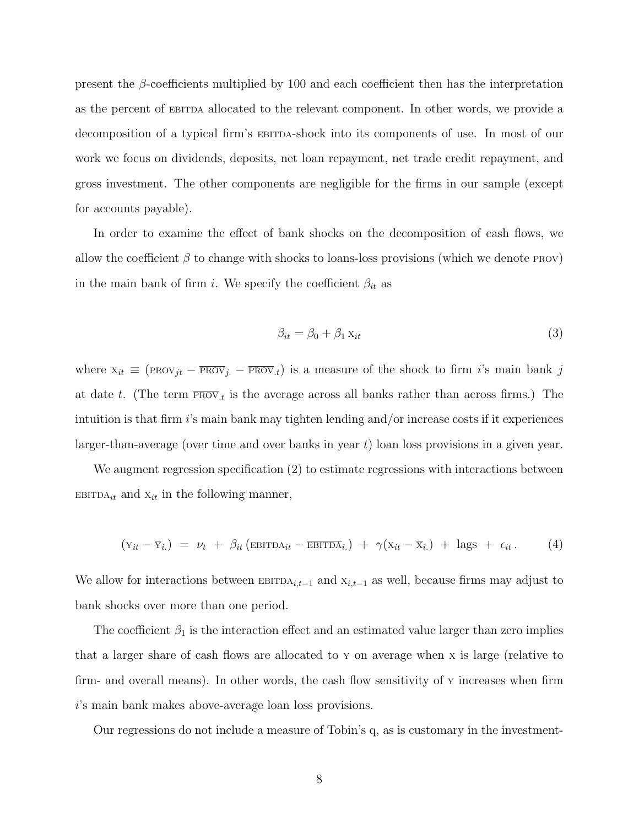present the  $\beta$ -coefficients multiplied by 100 and each coefficient then has the interpretation as the percent of EBITDA allocated to the relevant component. In other words, we provide a decomposition of a typical firm's EBITDA-shock into its components of use. In most of our work we focus on dividends, deposits, net loan repayment, net trade credit repayment, and gross investment. The other components are negligible for the firms in our sample (except for accounts payable).

In order to examine the effect of bank shocks on the decomposition of cash flows, we allow the coefficient  $\beta$  to change with shocks to loans-loss provisions (which we denote PROV) in the main bank of firm i. We specify the coefficient  $\beta_{it}$  as

$$
\beta_{it} = \beta_0 + \beta_1 x_{it} \tag{3}
$$

where  $x_{it} \equiv (\text{PROV}_{jt} - \overline{\text{PROV}}_{j.} - \overline{\text{PROV}}_{t.})$  is a measure of the shock to firm i's main bank j at date t. (The term  $\overline{PROV}_{t}$  is the average across all banks rather than across firms.) The intuition is that firm i's main bank may tighten lending and/or increase costs if it experiences larger-than-average (over time and over banks in year t) loan loss provisions in a given year.

We augment regression specification (2) to estimate regressions with interactions between EBITDA<sub>it</sub> and  $X_{it}$  in the following manner,

$$
(\mathbf{Y}_{it} - \overline{\mathbf{Y}}_{i.}) = \nu_t + \beta_{it} (\text{EBITDA}_{it} - \overline{\text{EBITDA}}_{i.}) + \gamma (\mathbf{X}_{it} - \overline{\mathbf{X}}_{i.}) + \text{lags} + \epsilon_{it}. \tag{4}
$$

We allow for interactions between  $\text{EBITDA}_{i,t-1}$  and  $X_{i,t-1}$  as well, because firms may adjust to bank shocks over more than one period.

The coefficient  $\beta_1$  is the interaction effect and an estimated value larger than zero implies that a larger share of cash flows are allocated to <sup>Y</sup> on average when <sup>X</sup> is large (relative to firm- and overall means). In other words, the cash flow sensitivity of <sup>Y</sup> increases when firm i's main bank makes above-average loan loss provisions.

Our regressions do not include a measure of Tobin's q, as is customary in the investment-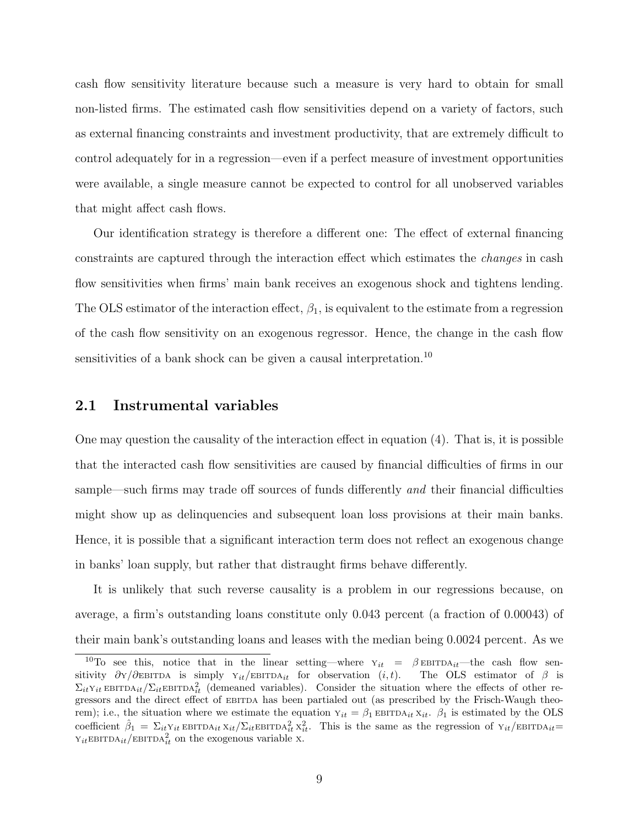cash flow sensitivity literature because such a measure is very hard to obtain for small non-listed firms. The estimated cash flow sensitivities depend on a variety of factors, such as external financing constraints and investment productivity, that are extremely difficult to control adequately for in a regression—even if a perfect measure of investment opportunities were available, a single measure cannot be expected to control for all unobserved variables that might affect cash flows.

Our identification strategy is therefore a different one: The effect of external financing constraints are captured through the interaction effect which estimates the changes in cash flow sensitivities when firms' main bank receives an exogenous shock and tightens lending. The OLS estimator of the interaction effect,  $\beta_1$ , is equivalent to the estimate from a regression of the cash flow sensitivity on an exogenous regressor. Hence, the change in the cash flow sensitivities of a bank shock can be given a causal interpretation.<sup>10</sup>

#### 2.1 Instrumental variables

One may question the causality of the interaction effect in equation (4). That is, it is possible that the interacted cash flow sensitivities are caused by financial difficulties of firms in our sample—such firms may trade off sources of funds differently and their financial difficulties might show up as delinquencies and subsequent loan loss provisions at their main banks. Hence, it is possible that a significant interaction term does not reflect an exogenous change in banks' loan supply, but rather that distraught firms behave differently.

It is unlikely that such reverse causality is a problem in our regressions because, on average, a firm's outstanding loans constitute only 0.043 percent (a fraction of 0.00043) of their main bank's outstanding loans and leases with the median being 0.0024 percent. As we

<sup>&</sup>lt;sup>10</sup>To see this, notice that in the linear setting—where  $Y_{it} = \beta$  EBITDA<sub>it</sub>—the cash flow sensitivity  $\partial Y/\partial E$ BITDA is simply Y<sub>it</sub>/EBITDA<sub>it</sub> for observation (i, t). The OLS estimator of  $\beta$  is  $\Sigma_{it}$ <sup>Y</sup><sub>it</sub> EBITDA<sub>it</sub>/ $\Sigma_{it}$ EBITDA<sup>2</sup><sub>it</sub> (demeaned variables). Consider the situation where the effects of other regressors and the direct effect of EBITDA has been partialed out (as prescribed by the Frisch-Waugh theorem); i.e., the situation where we estimate the equation  $Y_{it} = \beta_1$  EBITDA<sub>it</sub> X<sub>it</sub>.  $\beta_1$  is estimated by the OLS coefficient  $\hat{\beta}_1 = \sum_{it} Y_{it} E$ BITDA<sub>it</sub>  $X_{it}/\sum_{it} E$ BITDA<sub>it</sub>  $X_{it}^2$ . This is the same as the regression of  $Y_{it}/E$ BITDA<sub>it</sub> =  $Y_{it}$ EBITDA<sub>it</sub>/EBITDA<sup>2</sup><sub>it</sub> on the exogenous variable x.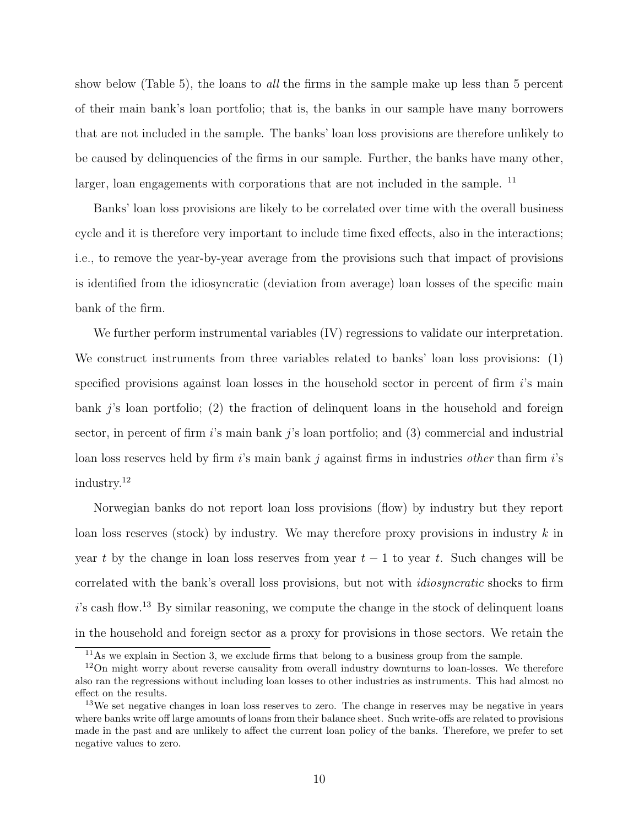show below (Table 5), the loans to all the firms in the sample make up less than 5 percent of their main bank's loan portfolio; that is, the banks in our sample have many borrowers that are not included in the sample. The banks' loan loss provisions are therefore unlikely to be caused by delinquencies of the firms in our sample. Further, the banks have many other, larger, loan engagements with corporations that are not included in the sample. <sup>11</sup>

Banks' loan loss provisions are likely to be correlated over time with the overall business cycle and it is therefore very important to include time fixed effects, also in the interactions; i.e., to remove the year-by-year average from the provisions such that impact of provisions is identified from the idiosyncratic (deviation from average) loan losses of the specific main bank of the firm.

We further perform instrumental variables (IV) regressions to validate our interpretation. We construct instruments from three variables related to banks' loan loss provisions: (1) specified provisions against loan losses in the household sector in percent of firm i's main bank  $j$ 's loan portfolio; (2) the fraction of delinquent loans in the household and foreign sector, in percent of firm  $i$ 's main bank  $j$ 's loan portfolio; and  $(3)$  commercial and industrial loan loss reserves held by firm  $i$ 's main bank j against firms in industries *other* than firm  $i$ 's industry.<sup>12</sup>

Norwegian banks do not report loan loss provisions (flow) by industry but they report loan loss reserves (stock) by industry. We may therefore proxy provisions in industry  $k$  in year t by the change in loan loss reserves from year  $t - 1$  to year t. Such changes will be correlated with the bank's overall loss provisions, but not with *idiosyncratic* shocks to firm  $i$ 's cash flow.<sup>13</sup> By similar reasoning, we compute the change in the stock of delinquent loans in the household and foreign sector as a proxy for provisions in those sectors. We retain the

 $11<sup>11</sup>$ As we explain in Section 3, we exclude firms that belong to a business group from the sample.

<sup>&</sup>lt;sup>12</sup>On might worry about reverse causality from overall industry downturns to loan-losses. We therefore also ran the regressions without including loan losses to other industries as instruments. This had almost no effect on the results.

<sup>13</sup>We set negative changes in loan loss reserves to zero. The change in reserves may be negative in years where banks write off large amounts of loans from their balance sheet. Such write-offs are related to provisions made in the past and are unlikely to affect the current loan policy of the banks. Therefore, we prefer to set negative values to zero.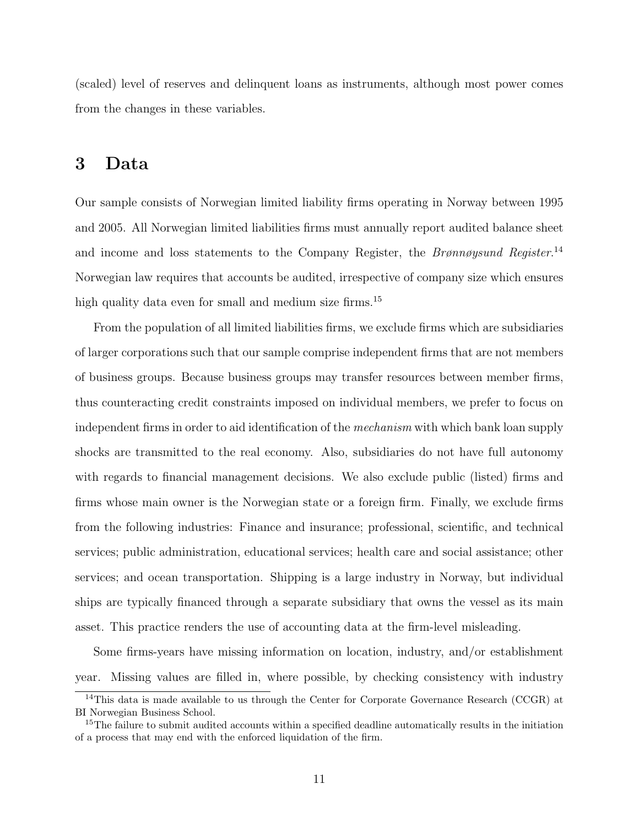(scaled) level of reserves and delinquent loans as instruments, although most power comes from the changes in these variables.

## 3 Data

Our sample consists of Norwegian limited liability firms operating in Norway between 1995 and 2005. All Norwegian limited liabilities firms must annually report audited balance sheet and income and loss statements to the Company Register, the Brønnøysund Register.<sup>14</sup> Norwegian law requires that accounts be audited, irrespective of company size which ensures high quality data even for small and medium size firms.<sup>15</sup>

From the population of all limited liabilities firms, we exclude firms which are subsidiaries of larger corporations such that our sample comprise independent firms that are not members of business groups. Because business groups may transfer resources between member firms, thus counteracting credit constraints imposed on individual members, we prefer to focus on independent firms in order to aid identification of the *mechanism* with which bank loan supply shocks are transmitted to the real economy. Also, subsidiaries do not have full autonomy with regards to financial management decisions. We also exclude public (listed) firms and firms whose main owner is the Norwegian state or a foreign firm. Finally, we exclude firms from the following industries: Finance and insurance; professional, scientific, and technical services; public administration, educational services; health care and social assistance; other services; and ocean transportation. Shipping is a large industry in Norway, but individual ships are typically financed through a separate subsidiary that owns the vessel as its main asset. This practice renders the use of accounting data at the firm-level misleading.

Some firms-years have missing information on location, industry, and/or establishment year. Missing values are filled in, where possible, by checking consistency with industry

<sup>&</sup>lt;sup>14</sup>This data is made available to us through the Center for Corporate Governance Research (CCGR) at BI Norwegian Business School.

<sup>&</sup>lt;sup>15</sup>The failure to submit audited accounts within a specified deadline automatically results in the initiation of a process that may end with the enforced liquidation of the firm.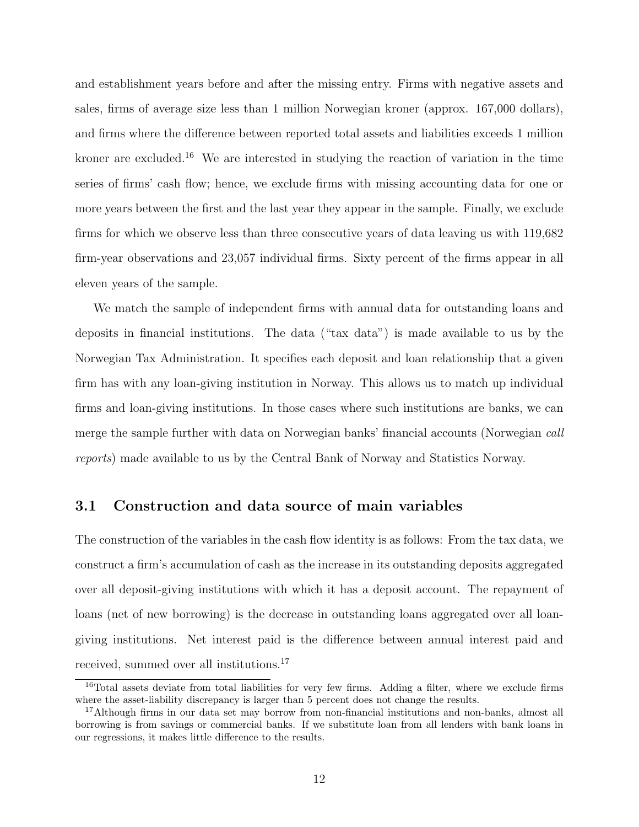and establishment years before and after the missing entry. Firms with negative assets and sales, firms of average size less than 1 million Norwegian kroner (approx. 167,000 dollars), and firms where the difference between reported total assets and liabilities exceeds 1 million kroner are excluded.<sup>16</sup> We are interested in studying the reaction of variation in the time series of firms' cash flow; hence, we exclude firms with missing accounting data for one or more years between the first and the last year they appear in the sample. Finally, we exclude firms for which we observe less than three consecutive years of data leaving us with 119,682 firm-year observations and 23,057 individual firms. Sixty percent of the firms appear in all eleven years of the sample.

We match the sample of independent firms with annual data for outstanding loans and deposits in financial institutions. The data ("tax data") is made available to us by the Norwegian Tax Administration. It specifies each deposit and loan relationship that a given firm has with any loan-giving institution in Norway. This allows us to match up individual firms and loan-giving institutions. In those cases where such institutions are banks, we can merge the sample further with data on Norwegian banks' financial accounts (Norwegian call reports) made available to us by the Central Bank of Norway and Statistics Norway.

#### 3.1 Construction and data source of main variables

The construction of the variables in the cash flow identity is as follows: From the tax data, we construct a firm's accumulation of cash as the increase in its outstanding deposits aggregated over all deposit-giving institutions with which it has a deposit account. The repayment of loans (net of new borrowing) is the decrease in outstanding loans aggregated over all loangiving institutions. Net interest paid is the difference between annual interest paid and received, summed over all institutions.<sup>17</sup>

<sup>&</sup>lt;sup>16</sup>Total assets deviate from total liabilities for very few firms. Adding a filter, where we exclude firms where the asset-liability discrepancy is larger than 5 percent does not change the results.

<sup>&</sup>lt;sup>17</sup>Although firms in our data set may borrow from non-financial institutions and non-banks, almost all borrowing is from savings or commercial banks. If we substitute loan from all lenders with bank loans in our regressions, it makes little difference to the results.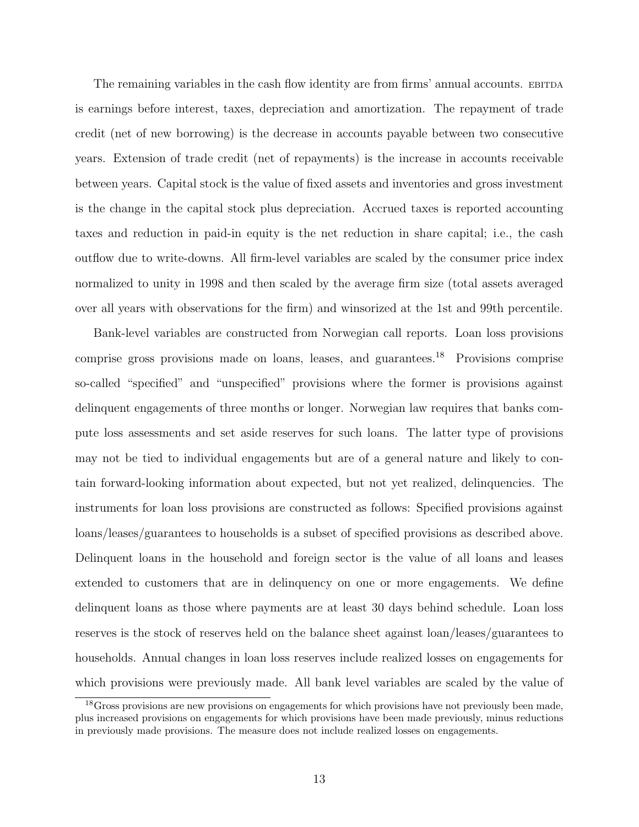The remaining variables in the cash flow identity are from firms' annual accounts. EBITDA is earnings before interest, taxes, depreciation and amortization. The repayment of trade credit (net of new borrowing) is the decrease in accounts payable between two consecutive years. Extension of trade credit (net of repayments) is the increase in accounts receivable between years. Capital stock is the value of fixed assets and inventories and gross investment is the change in the capital stock plus depreciation. Accrued taxes is reported accounting taxes and reduction in paid-in equity is the net reduction in share capital; i.e., the cash outflow due to write-downs. All firm-level variables are scaled by the consumer price index normalized to unity in 1998 and then scaled by the average firm size (total assets averaged over all years with observations for the firm) and winsorized at the 1st and 99th percentile.

Bank-level variables are constructed from Norwegian call reports. Loan loss provisions comprise gross provisions made on loans, leases, and guarantees.<sup>18</sup> Provisions comprise so-called "specified" and "unspecified" provisions where the former is provisions against delinquent engagements of three months or longer. Norwegian law requires that banks compute loss assessments and set aside reserves for such loans. The latter type of provisions may not be tied to individual engagements but are of a general nature and likely to contain forward-looking information about expected, but not yet realized, delinquencies. The instruments for loan loss provisions are constructed as follows: Specified provisions against loans/leases/guarantees to households is a subset of specified provisions as described above. Delinquent loans in the household and foreign sector is the value of all loans and leases extended to customers that are in delinquency on one or more engagements. We define delinquent loans as those where payments are at least 30 days behind schedule. Loan loss reserves is the stock of reserves held on the balance sheet against loan/leases/guarantees to households. Annual changes in loan loss reserves include realized losses on engagements for which provisions were previously made. All bank level variables are scaled by the value of

<sup>18</sup>Gross provisions are new provisions on engagements for which provisions have not previously been made, plus increased provisions on engagements for which provisions have been made previously, minus reductions in previously made provisions. The measure does not include realized losses on engagements.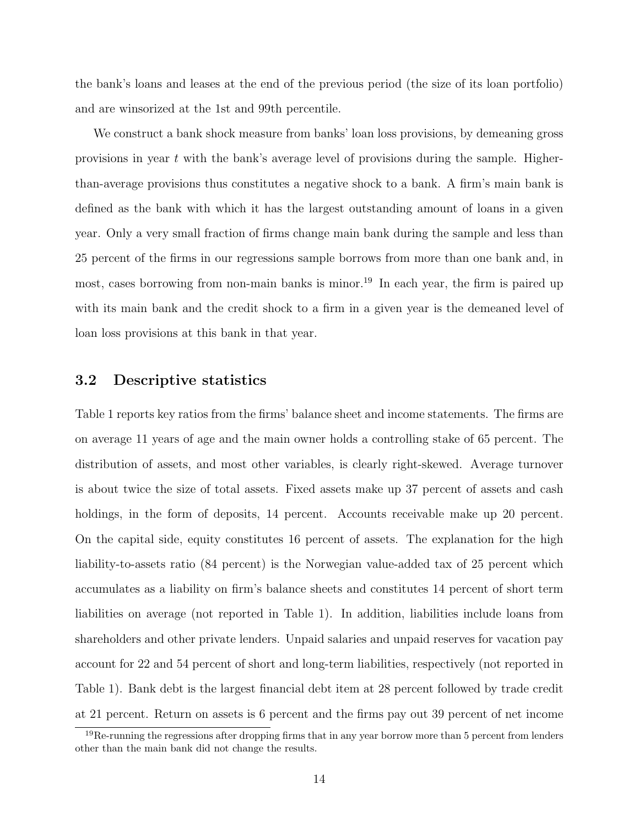the bank's loans and leases at the end of the previous period (the size of its loan portfolio) and are winsorized at the 1st and 99th percentile.

We construct a bank shock measure from banks' loan loss provisions, by demeaning gross provisions in year t with the bank's average level of provisions during the sample. Higherthan-average provisions thus constitutes a negative shock to a bank. A firm's main bank is defined as the bank with which it has the largest outstanding amount of loans in a given year. Only a very small fraction of firms change main bank during the sample and less than 25 percent of the firms in our regressions sample borrows from more than one bank and, in most, cases borrowing from non-main banks is minor.<sup>19</sup> In each year, the firm is paired up with its main bank and the credit shock to a firm in a given year is the demeaned level of loan loss provisions at this bank in that year.

#### 3.2 Descriptive statistics

Table 1 reports key ratios from the firms' balance sheet and income statements. The firms are on average 11 years of age and the main owner holds a controlling stake of 65 percent. The distribution of assets, and most other variables, is clearly right-skewed. Average turnover is about twice the size of total assets. Fixed assets make up 37 percent of assets and cash holdings, in the form of deposits, 14 percent. Accounts receivable make up 20 percent. On the capital side, equity constitutes 16 percent of assets. The explanation for the high liability-to-assets ratio (84 percent) is the Norwegian value-added tax of 25 percent which accumulates as a liability on firm's balance sheets and constitutes 14 percent of short term liabilities on average (not reported in Table 1). In addition, liabilities include loans from shareholders and other private lenders. Unpaid salaries and unpaid reserves for vacation pay account for 22 and 54 percent of short and long-term liabilities, respectively (not reported in Table 1). Bank debt is the largest financial debt item at 28 percent followed by trade credit at 21 percent. Return on assets is 6 percent and the firms pay out 39 percent of net income

 $19$ Re-running the regressions after dropping firms that in any year borrow more than 5 percent from lenders other than the main bank did not change the results.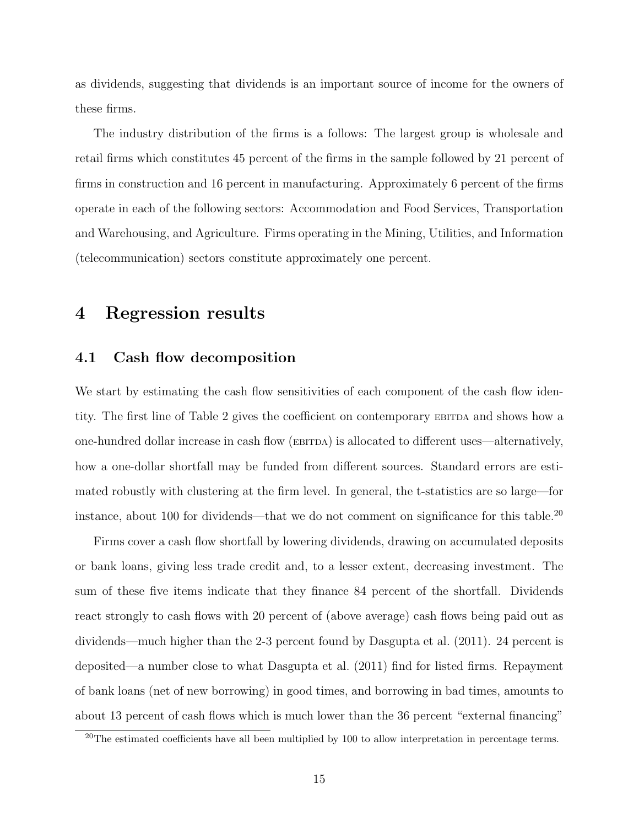as dividends, suggesting that dividends is an important source of income for the owners of these firms.

The industry distribution of the firms is a follows: The largest group is wholesale and retail firms which constitutes 45 percent of the firms in the sample followed by 21 percent of firms in construction and 16 percent in manufacturing. Approximately 6 percent of the firms operate in each of the following sectors: Accommodation and Food Services, Transportation and Warehousing, and Agriculture. Firms operating in the Mining, Utilities, and Information (telecommunication) sectors constitute approximately one percent.

## 4 Regression results

#### 4.1 Cash flow decomposition

We start by estimating the cash flow sensitivities of each component of the cash flow identity. The first line of Table 2 gives the coefficient on contemporary EBITDA and shows how a one-hundred dollar increase in cash flow (EBITDA) is allocated to different uses—alternatively, how a one-dollar shortfall may be funded from different sources. Standard errors are estimated robustly with clustering at the firm level. In general, the t-statistics are so large—for instance, about 100 for dividends—that we do not comment on significance for this table.<sup>20</sup>

Firms cover a cash flow shortfall by lowering dividends, drawing on accumulated deposits or bank loans, giving less trade credit and, to a lesser extent, decreasing investment. The sum of these five items indicate that they finance 84 percent of the shortfall. Dividends react strongly to cash flows with 20 percent of (above average) cash flows being paid out as dividends—much higher than the 2-3 percent found by Dasgupta et al. (2011). 24 percent is deposited—a number close to what Dasgupta et al. (2011) find for listed firms. Repayment of bank loans (net of new borrowing) in good times, and borrowing in bad times, amounts to about 13 percent of cash flows which is much lower than the 36 percent "external financing"

 $20$ The estimated coefficients have all been multiplied by 100 to allow interpretation in percentage terms.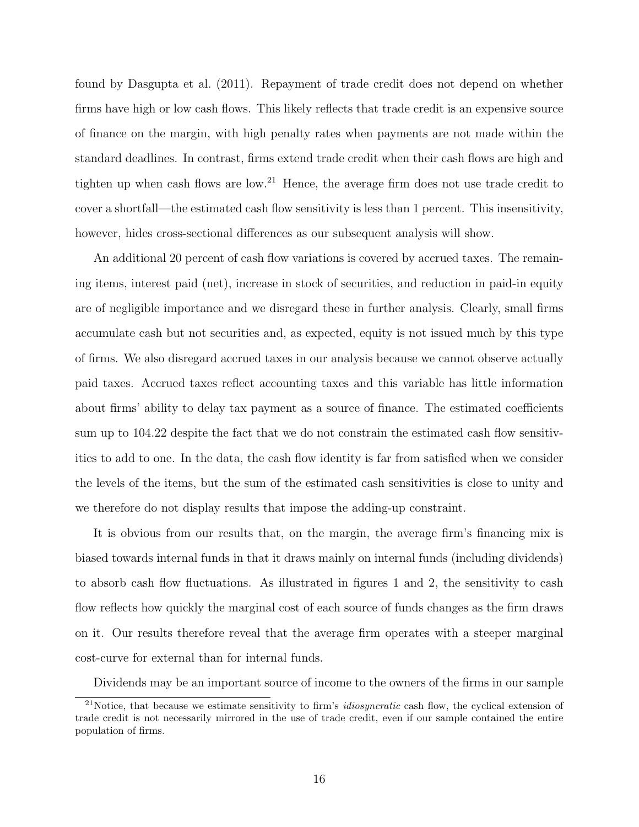found by Dasgupta et al. (2011). Repayment of trade credit does not depend on whether firms have high or low cash flows. This likely reflects that trade credit is an expensive source of finance on the margin, with high penalty rates when payments are not made within the standard deadlines. In contrast, firms extend trade credit when their cash flows are high and tighten up when cash flows are low.<sup>21</sup> Hence, the average firm does not use trade credit to cover a shortfall—the estimated cash flow sensitivity is less than 1 percent. This insensitivity, however, hides cross-sectional differences as our subsequent analysis will show.

An additional 20 percent of cash flow variations is covered by accrued taxes. The remaining items, interest paid (net), increase in stock of securities, and reduction in paid-in equity are of negligible importance and we disregard these in further analysis. Clearly, small firms accumulate cash but not securities and, as expected, equity is not issued much by this type of firms. We also disregard accrued taxes in our analysis because we cannot observe actually paid taxes. Accrued taxes reflect accounting taxes and this variable has little information about firms' ability to delay tax payment as a source of finance. The estimated coefficients sum up to 104.22 despite the fact that we do not constrain the estimated cash flow sensitivities to add to one. In the data, the cash flow identity is far from satisfied when we consider the levels of the items, but the sum of the estimated cash sensitivities is close to unity and we therefore do not display results that impose the adding-up constraint.

It is obvious from our results that, on the margin, the average firm's financing mix is biased towards internal funds in that it draws mainly on internal funds (including dividends) to absorb cash flow fluctuations. As illustrated in figures 1 and 2, the sensitivity to cash flow reflects how quickly the marginal cost of each source of funds changes as the firm draws on it. Our results therefore reveal that the average firm operates with a steeper marginal cost-curve for external than for internal funds.

Dividends may be an important source of income to the owners of the firms in our sample

<sup>&</sup>lt;sup>21</sup>Notice, that because we estimate sensitivity to firm's *idiosyncratic* cash flow, the cyclical extension of trade credit is not necessarily mirrored in the use of trade credit, even if our sample contained the entire population of firms.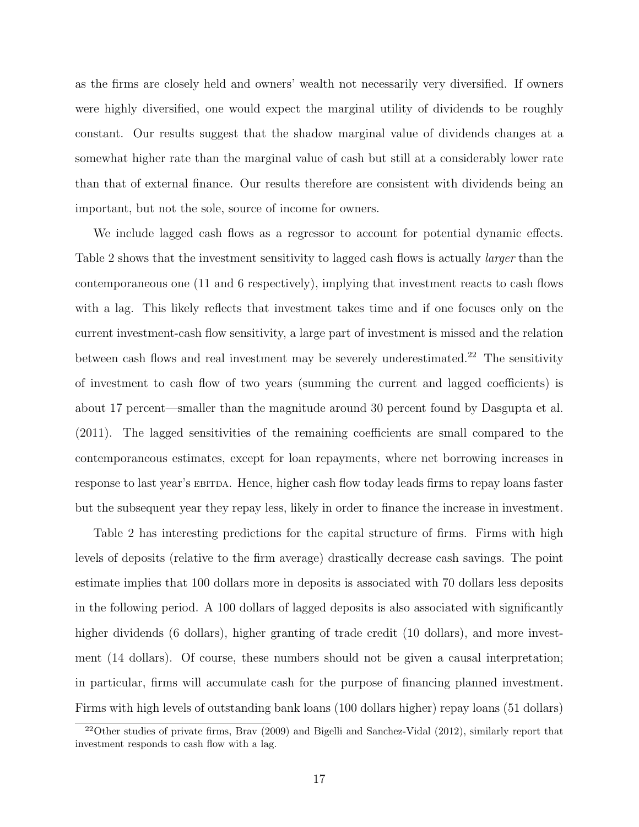as the firms are closely held and owners' wealth not necessarily very diversified. If owners were highly diversified, one would expect the marginal utility of dividends to be roughly constant. Our results suggest that the shadow marginal value of dividends changes at a somewhat higher rate than the marginal value of cash but still at a considerably lower rate than that of external finance. Our results therefore are consistent with dividends being an important, but not the sole, source of income for owners.

We include lagged cash flows as a regressor to account for potential dynamic effects. Table 2 shows that the investment sensitivity to lagged cash flows is actually *larger* than the contemporaneous one (11 and 6 respectively), implying that investment reacts to cash flows with a lag. This likely reflects that investment takes time and if one focuses only on the current investment-cash flow sensitivity, a large part of investment is missed and the relation between cash flows and real investment may be severely underestimated.<sup>22</sup> The sensitivity of investment to cash flow of two years (summing the current and lagged coefficients) is about 17 percent—smaller than the magnitude around 30 percent found by Dasgupta et al. (2011). The lagged sensitivities of the remaining coefficients are small compared to the contemporaneous estimates, except for loan repayments, where net borrowing increases in response to last year's EBITDA. Hence, higher cash flow today leads firms to repay loans faster but the subsequent year they repay less, likely in order to finance the increase in investment.

Table 2 has interesting predictions for the capital structure of firms. Firms with high levels of deposits (relative to the firm average) drastically decrease cash savings. The point estimate implies that 100 dollars more in deposits is associated with 70 dollars less deposits in the following period. A 100 dollars of lagged deposits is also associated with significantly higher dividends (6 dollars), higher granting of trade credit (10 dollars), and more investment (14 dollars). Of course, these numbers should not be given a causal interpretation; in particular, firms will accumulate cash for the purpose of financing planned investment. Firms with high levels of outstanding bank loans (100 dollars higher) repay loans (51 dollars)

 $^{22}$ Other studies of private firms, Brav (2009) and Bigelli and Sanchez-Vidal (2012), similarly report that investment responds to cash flow with a lag.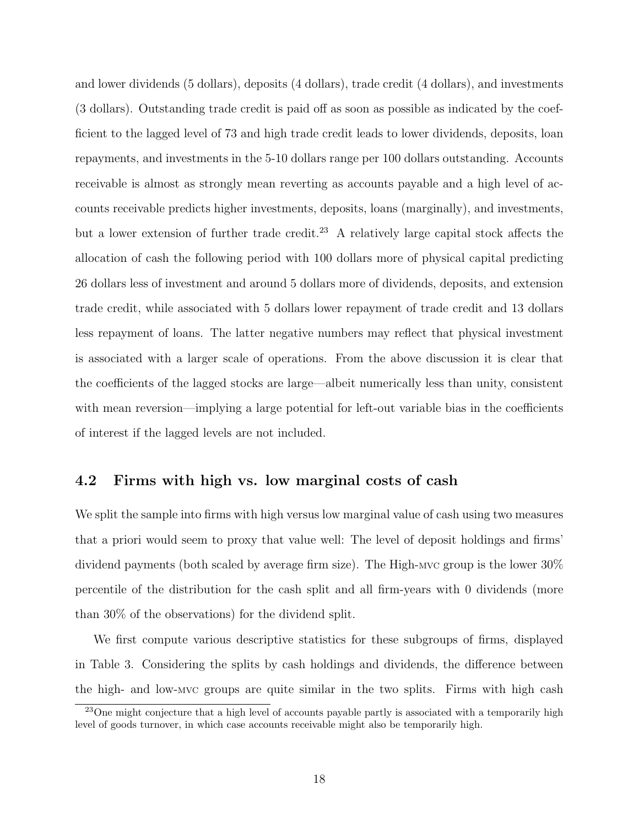and lower dividends (5 dollars), deposits (4 dollars), trade credit (4 dollars), and investments (3 dollars). Outstanding trade credit is paid off as soon as possible as indicated by the coefficient to the lagged level of 73 and high trade credit leads to lower dividends, deposits, loan repayments, and investments in the 5-10 dollars range per 100 dollars outstanding. Accounts receivable is almost as strongly mean reverting as accounts payable and a high level of accounts receivable predicts higher investments, deposits, loans (marginally), and investments, but a lower extension of further trade credit.<sup>23</sup> A relatively large capital stock affects the allocation of cash the following period with 100 dollars more of physical capital predicting 26 dollars less of investment and around 5 dollars more of dividends, deposits, and extension trade credit, while associated with 5 dollars lower repayment of trade credit and 13 dollars less repayment of loans. The latter negative numbers may reflect that physical investment is associated with a larger scale of operations. From the above discussion it is clear that the coefficients of the lagged stocks are large—albeit numerically less than unity, consistent with mean reversion—implying a large potential for left-out variable bias in the coefficients of interest if the lagged levels are not included.

#### 4.2 Firms with high vs. low marginal costs of cash

We split the sample into firms with high versus low marginal value of cash using two measures that a priori would seem to proxy that value well: The level of deposit holdings and firms' dividend payments (both scaled by average firm size). The High-MVC group is the lower 30% percentile of the distribution for the cash split and all firm-years with 0 dividends (more than 30% of the observations) for the dividend split.

We first compute various descriptive statistics for these subgroups of firms, displayed in Table 3. Considering the splits by cash holdings and dividends, the difference between the high- and low-MVC groups are quite similar in the two splits. Firms with high cash

<sup>&</sup>lt;sup>23</sup>One might conjecture that a high level of accounts payable partly is associated with a temporarily high level of goods turnover, in which case accounts receivable might also be temporarily high.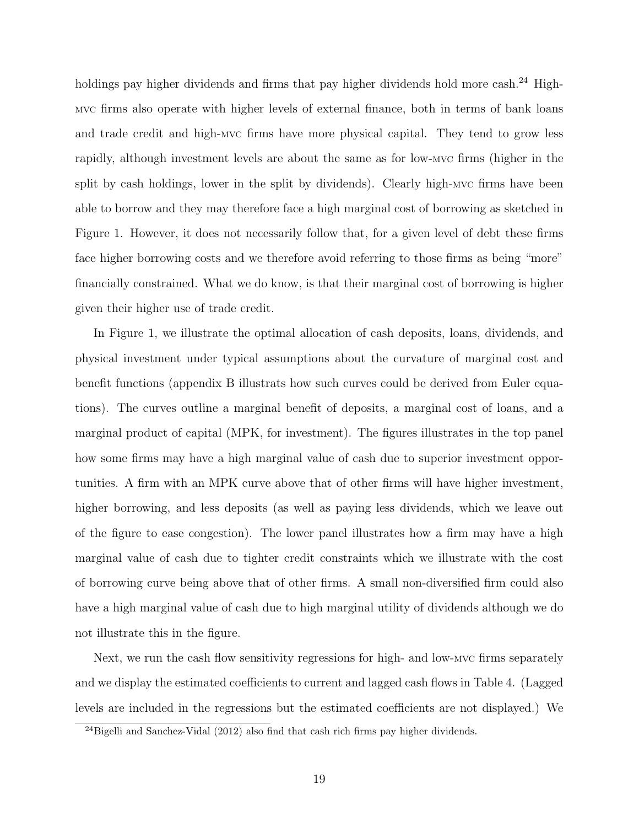holdings pay higher dividends and firms that pay higher dividends hold more cash.<sup>24</sup> High-MVC firms also operate with higher levels of external finance, both in terms of bank loans and trade credit and high-MVC firms have more physical capital. They tend to grow less rapidly, although investment levels are about the same as for low-MVC firms (higher in the split by cash holdings, lower in the split by dividends). Clearly high-MVC firms have been able to borrow and they may therefore face a high marginal cost of borrowing as sketched in Figure 1. However, it does not necessarily follow that, for a given level of debt these firms face higher borrowing costs and we therefore avoid referring to those firms as being "more" financially constrained. What we do know, is that their marginal cost of borrowing is higher given their higher use of trade credit.

In Figure 1, we illustrate the optimal allocation of cash deposits, loans, dividends, and physical investment under typical assumptions about the curvature of marginal cost and benefit functions (appendix B illustrats how such curves could be derived from Euler equations). The curves outline a marginal benefit of deposits, a marginal cost of loans, and a marginal product of capital (MPK, for investment). The figures illustrates in the top panel how some firms may have a high marginal value of cash due to superior investment opportunities. A firm with an MPK curve above that of other firms will have higher investment, higher borrowing, and less deposits (as well as paying less dividends, which we leave out of the figure to ease congestion). The lower panel illustrates how a firm may have a high marginal value of cash due to tighter credit constraints which we illustrate with the cost of borrowing curve being above that of other firms. A small non-diversified firm could also have a high marginal value of cash due to high marginal utility of dividends although we do not illustrate this in the figure.

Next, we run the cash flow sensitivity regressions for high- and low-MVC firms separately and we display the estimated coefficients to current and lagged cash flows in Table 4. (Lagged levels are included in the regressions but the estimated coefficients are not displayed.) We

 $^{24}$ Bigelli and Sanchez-Vidal (2012) also find that cash rich firms pay higher dividends.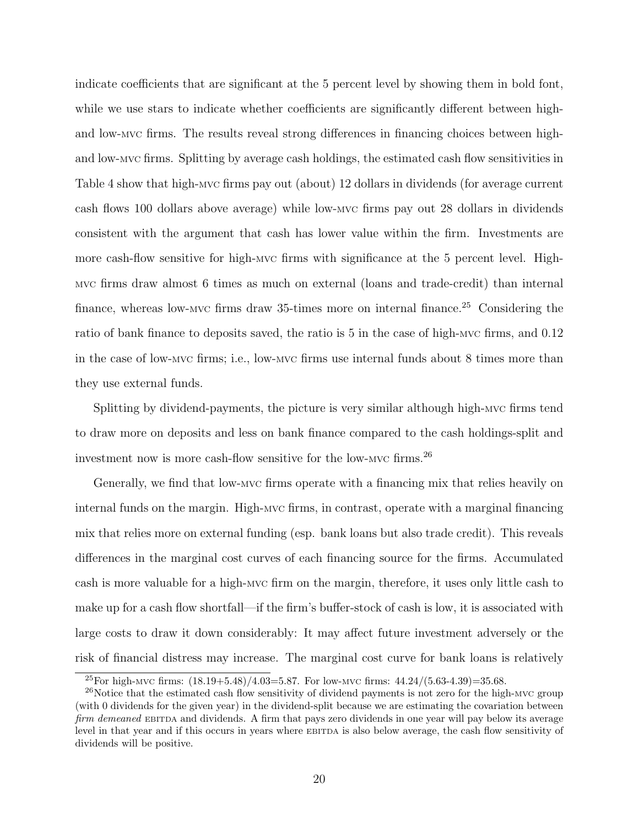indicate coefficients that are significant at the 5 percent level by showing them in bold font, while we use stars to indicate whether coefficients are significantly different between highand low-MVC firms. The results reveal strong differences in financing choices between highand low-MVC firms. Splitting by average cash holdings, the estimated cash flow sensitivities in Table 4 show that high-MVC firms pay out (about) 12 dollars in dividends (for average current cash flows 100 dollars above average) while low-MVC firms pay out 28 dollars in dividends consistent with the argument that cash has lower value within the firm. Investments are more cash-flow sensitive for high-MVC firms with significance at the 5 percent level. High-MVC firms draw almost 6 times as much on external (loans and trade-credit) than internal finance, whereas low-MVC firms draw 35-times more on internal finance.<sup>25</sup> Considering the ratio of bank finance to deposits saved, the ratio is 5 in the case of high-MVC firms, and  $0.12$ in the case of low-MVC firms; i.e., low-MVC firms use internal funds about 8 times more than they use external funds.

Splitting by dividend-payments, the picture is very similar although high-MVC firms tend to draw more on deposits and less on bank finance compared to the cash holdings-split and investment now is more cash-flow sensitive for the low-MVC firms.<sup>26</sup>

Generally, we find that low-MVC firms operate with a financing mix that relies heavily on internal funds on the margin. High-MVC firms, in contrast, operate with a marginal financing mix that relies more on external funding (esp. bank loans but also trade credit). This reveals differences in the marginal cost curves of each financing source for the firms. Accumulated cash is more valuable for a high-MVC firm on the margin, therefore, it uses only little cash to make up for a cash flow shortfall—if the firm's buffer-stock of cash is low, it is associated with large costs to draw it down considerably: It may affect future investment adversely or the risk of financial distress may increase. The marginal cost curve for bank loans is relatively

<sup>&</sup>lt;sup>25</sup>For high-MVC firms:  $(18.19 + 5.48)/4.03 = 5.87$ . For low-MVC firms:  $44.24/(5.63 - 4.39) = 35.68$ .

<sup>&</sup>lt;sup>26</sup>Notice that the estimated cash flow sensitivity of dividend payments is not zero for the high-MVC group (with 0 dividends for the given year) in the dividend-split because we are estimating the covariation between firm demeaned EBITDA and dividends. A firm that pays zero dividends in one year will pay below its average level in that year and if this occurs in years where EBITDA is also below average, the cash flow sensitivity of dividends will be positive.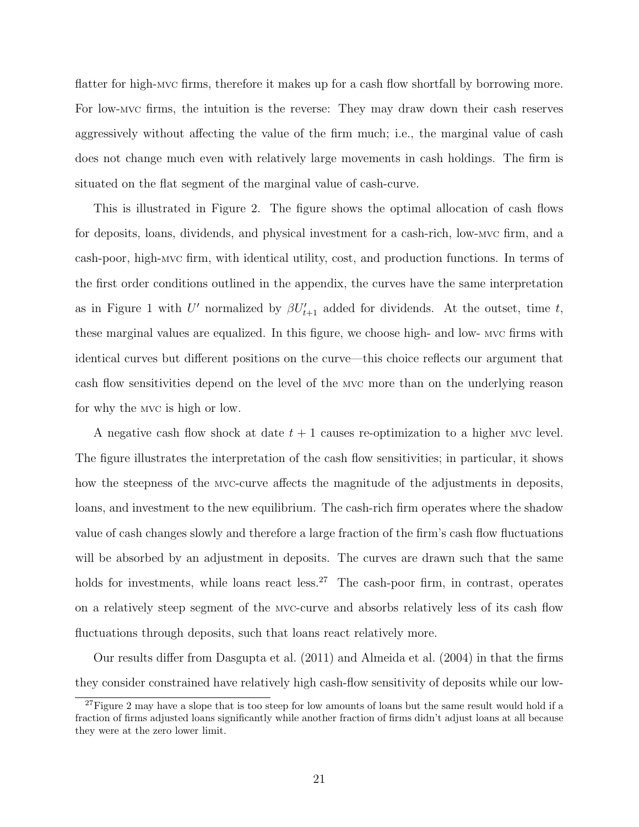flatter for high-MVC firms, therefore it makes up for a cash flow shortfall by borrowing more. For low-MVC firms, the intuition is the reverse: They may draw down their cash reserves aggressively without affecting the value of the firm much; i.e., the marginal value of cash does not change much even with relatively large movements in cash holdings. The firm is situated on the flat segment of the marginal value of cash-curve.

This is illustrated in Figure 2. The figure shows the optimal allocation of cash flows for deposits, loans, dividends, and physical investment for a cash-rich, low-MVC firm, and a cash-poor, high-MVC firm, with identical utility, cost, and production functions. In terms of the first order conditions outlined in the appendix, the curves have the same interpretation as in Figure 1 with U' normalized by  $\beta U_{t+1}'$  added for dividends. At the outset, time t, these marginal values are equalized. In this figure, we choose high- and low- MVC firms with identical curves but different positions on the curve—this choice reflects our argument that cash flow sensitivities depend on the level of the MVC more than on the underlying reason for why the MVC is high or low.

A negative cash flow shock at date  $t + 1$  causes re-optimization to a higher MVC level. The figure illustrates the interpretation of the cash flow sensitivities; in particular, it shows how the steepness of the MVC-curve affects the magnitude of the adjustments in deposits, loans, and investment to the new equilibrium. The cash-rich firm operates where the shadow value of cash changes slowly and therefore a large fraction of the firm's cash flow fluctuations will be absorbed by an adjustment in deposits. The curves are drawn such that the same holds for investments, while loans react less.<sup>27</sup> The cash-poor firm, in contrast, operates on a relatively steep segment of the MVC-curve and absorbs relatively less of its cash flow fluctuations through deposits, such that loans react relatively more.

Our results differ from Dasgupta et al. (2011) and Almeida et al. (2004) in that the firms they consider constrained have relatively high cash-flow sensitivity of deposits while our low-

 $27$ Figure 2 may have a slope that is too steep for low amounts of loans but the same result would hold if a fraction of firms adjusted loans significantly while another fraction of firms didn't adjust loans at all because they were at the zero lower limit.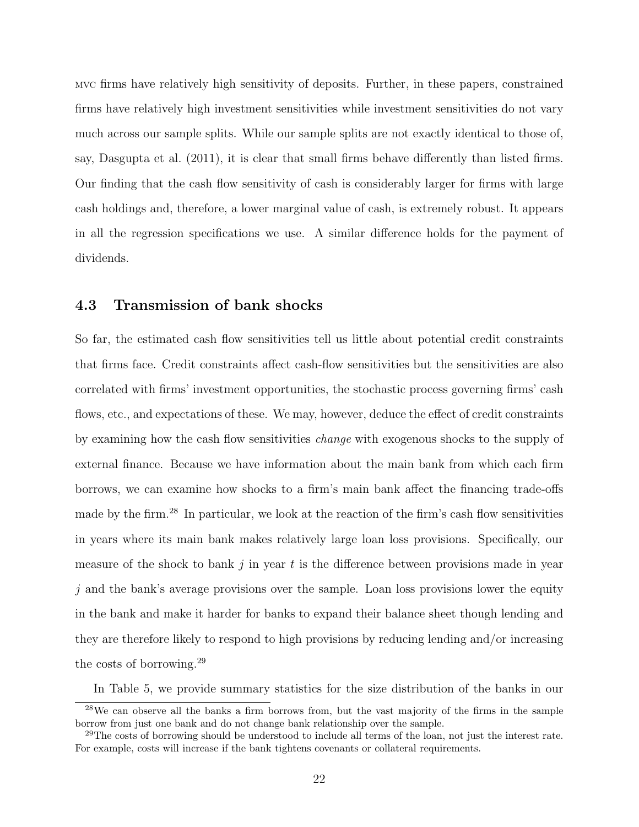MVC firms have relatively high sensitivity of deposits. Further, in these papers, constrained firms have relatively high investment sensitivities while investment sensitivities do not vary much across our sample splits. While our sample splits are not exactly identical to those of, say, Dasgupta et al. (2011), it is clear that small firms behave differently than listed firms. Our finding that the cash flow sensitivity of cash is considerably larger for firms with large cash holdings and, therefore, a lower marginal value of cash, is extremely robust. It appears in all the regression specifications we use. A similar difference holds for the payment of dividends.

#### 4.3 Transmission of bank shocks

So far, the estimated cash flow sensitivities tell us little about potential credit constraints that firms face. Credit constraints affect cash-flow sensitivities but the sensitivities are also correlated with firms' investment opportunities, the stochastic process governing firms' cash flows, etc., and expectations of these. We may, however, deduce the effect of credit constraints by examining how the cash flow sensitivities change with exogenous shocks to the supply of external finance. Because we have information about the main bank from which each firm borrows, we can examine how shocks to a firm's main bank affect the financing trade-offs made by the firm.<sup>28</sup> In particular, we look at the reaction of the firm's cash flow sensitivities in years where its main bank makes relatively large loan loss provisions. Specifically, our measure of the shock to bank  $j$  in year t is the difference between provisions made in year  $j$  and the bank's average provisions over the sample. Loan loss provisions lower the equity in the bank and make it harder for banks to expand their balance sheet though lending and they are therefore likely to respond to high provisions by reducing lending and/or increasing the costs of borrowing.<sup>29</sup>

In Table 5, we provide summary statistics for the size distribution of the banks in our

<sup>&</sup>lt;sup>28</sup>We can observe all the banks a firm borrows from, but the vast majority of the firms in the sample borrow from just one bank and do not change bank relationship over the sample.

 $^{29}$ The costs of borrowing should be understood to include all terms of the loan, not just the interest rate. For example, costs will increase if the bank tightens covenants or collateral requirements.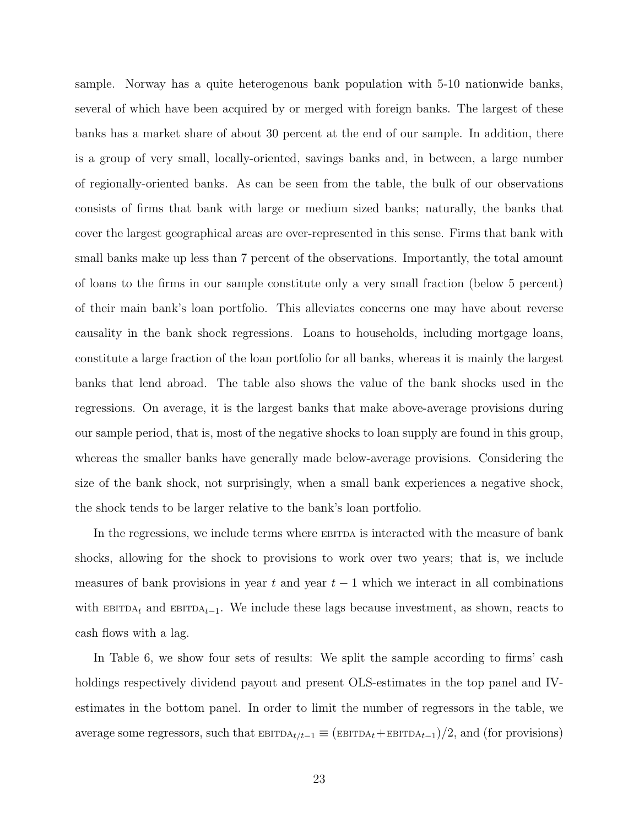sample. Norway has a quite heterogenous bank population with 5-10 nationwide banks, several of which have been acquired by or merged with foreign banks. The largest of these banks has a market share of about 30 percent at the end of our sample. In addition, there is a group of very small, locally-oriented, savings banks and, in between, a large number of regionally-oriented banks. As can be seen from the table, the bulk of our observations consists of firms that bank with large or medium sized banks; naturally, the banks that cover the largest geographical areas are over-represented in this sense. Firms that bank with small banks make up less than 7 percent of the observations. Importantly, the total amount of loans to the firms in our sample constitute only a very small fraction (below 5 percent) of their main bank's loan portfolio. This alleviates concerns one may have about reverse causality in the bank shock regressions. Loans to households, including mortgage loans, constitute a large fraction of the loan portfolio for all banks, whereas it is mainly the largest banks that lend abroad. The table also shows the value of the bank shocks used in the regressions. On average, it is the largest banks that make above-average provisions during our sample period, that is, most of the negative shocks to loan supply are found in this group, whereas the smaller banks have generally made below-average provisions. Considering the size of the bank shock, not surprisingly, when a small bank experiences a negative shock, the shock tends to be larger relative to the bank's loan portfolio.

In the regressions, we include terms where EBITDA is interacted with the measure of bank shocks, allowing for the shock to provisions to work over two years; that is, we include measures of bank provisions in year t and year  $t-1$  which we interact in all combinations with EBITDA<sub>t</sub> and EBITDA<sub>t-1</sub>. We include these lags because investment, as shown, reacts to cash flows with a lag.

In Table 6, we show four sets of results: We split the sample according to firms' cash holdings respectively dividend payout and present OLS-estimates in the top panel and IVestimates in the bottom panel. In order to limit the number of regressors in the table, we average some regressors, such that  $\text{EBITDA}_{t/t-1} \equiv (\text{EBITDA}_{t} + \text{EBITDA}_{t-1})/2$ , and (for provisions)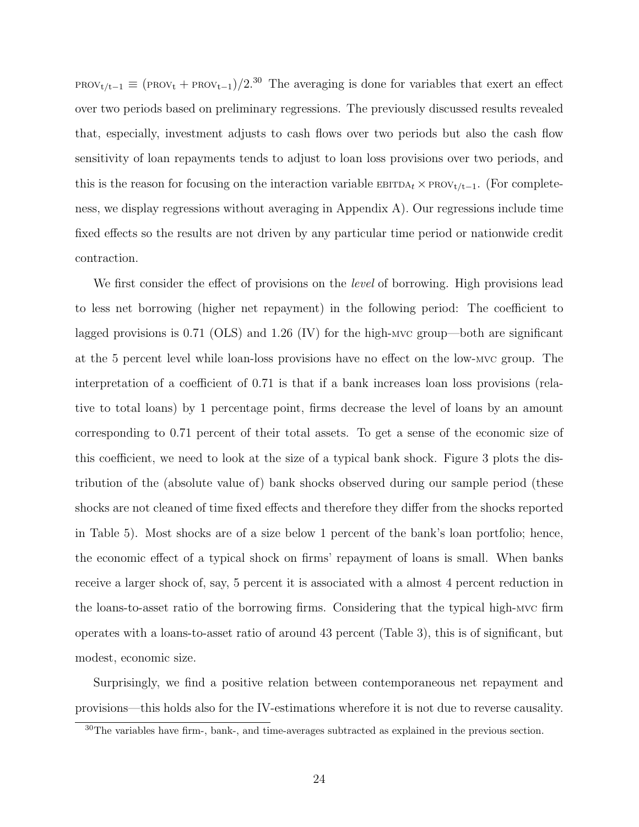PROV<sub>t/t−1</sub>  $\equiv$  (PROV<sub>t</sub> + PROV<sub>t−1</sub>)/2.<sup>30</sup> The averaging is done for variables that exert an effect over two periods based on preliminary regressions. The previously discussed results revealed that, especially, investment adjusts to cash flows over two periods but also the cash flow sensitivity of loan repayments tends to adjust to loan loss provisions over two periods, and this is the reason for focusing on the interaction variable  $EBITDA_t \times PROV_{t/t-1}$ . (For completeness, we display regressions without averaging in Appendix A). Our regressions include time fixed effects so the results are not driven by any particular time period or nationwide credit contraction.

We first consider the effect of provisions on the *level* of borrowing. High provisions lead to less net borrowing (higher net repayment) in the following period: The coefficient to lagged provisions is  $0.71$  (OLS) and  $1.26$  (IV) for the high-MVC group—both are significant at the 5 percent level while loan-loss provisions have no effect on the low-MVC group. The interpretation of a coefficient of 0.71 is that if a bank increases loan loss provisions (relative to total loans) by 1 percentage point, firms decrease the level of loans by an amount corresponding to 0.71 percent of their total assets. To get a sense of the economic size of this coefficient, we need to look at the size of a typical bank shock. Figure 3 plots the distribution of the (absolute value of) bank shocks observed during our sample period (these shocks are not cleaned of time fixed effects and therefore they differ from the shocks reported in Table 5). Most shocks are of a size below 1 percent of the bank's loan portfolio; hence, the economic effect of a typical shock on firms' repayment of loans is small. When banks receive a larger shock of, say, 5 percent it is associated with a almost 4 percent reduction in the loans-to-asset ratio of the borrowing firms. Considering that the typical high-MVC firm operates with a loans-to-asset ratio of around 43 percent (Table 3), this is of significant, but modest, economic size.

Surprisingly, we find a positive relation between contemporaneous net repayment and provisions—this holds also for the IV-estimations wherefore it is not due to reverse causality.

 $30$ The variables have firm-, bank-, and time-averages subtracted as explained in the previous section.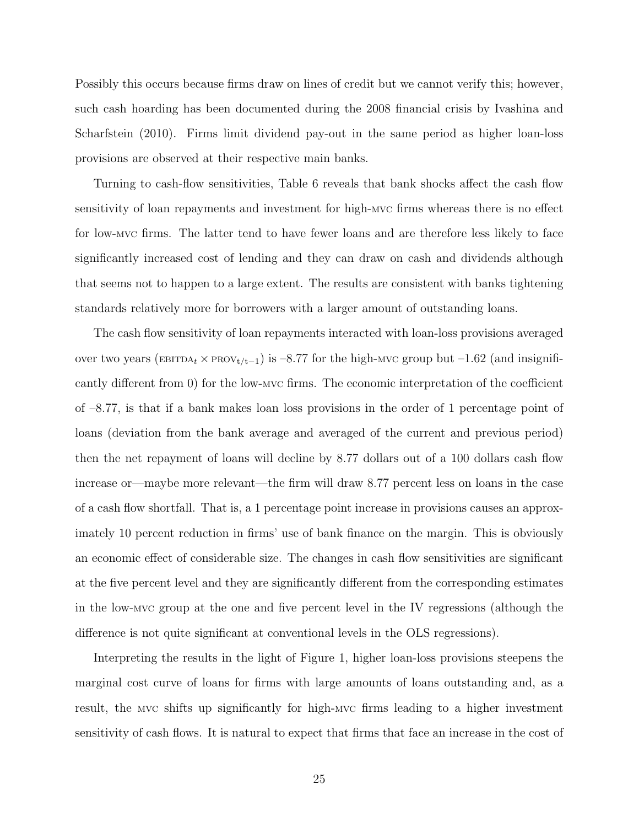Possibly this occurs because firms draw on lines of credit but we cannot verify this; however, such cash hoarding has been documented during the 2008 financial crisis by Ivashina and Scharfstein (2010). Firms limit dividend pay-out in the same period as higher loan-loss provisions are observed at their respective main banks.

Turning to cash-flow sensitivities, Table 6 reveals that bank shocks affect the cash flow sensitivity of loan repayments and investment for high-MVC firms whereas there is no effect for low-MVC firms. The latter tend to have fewer loans and are therefore less likely to face significantly increased cost of lending and they can draw on cash and dividends although that seems not to happen to a large extent. The results are consistent with banks tightening standards relatively more for borrowers with a larger amount of outstanding loans.

The cash flow sensitivity of loan repayments interacted with loan-loss provisions averaged over two years (EBITDA<sub>t</sub> × PROV<sub>t/t−1</sub>) is –8.77 for the high-MVC group but –1.62 (and insignificantly different from 0) for the low-MVC firms. The economic interpretation of the coefficient of –8.77, is that if a bank makes loan loss provisions in the order of 1 percentage point of loans (deviation from the bank average and averaged of the current and previous period) then the net repayment of loans will decline by 8.77 dollars out of a 100 dollars cash flow increase or—maybe more relevant—the firm will draw 8.77 percent less on loans in the case of a cash flow shortfall. That is, a 1 percentage point increase in provisions causes an approximately 10 percent reduction in firms' use of bank finance on the margin. This is obviously an economic effect of considerable size. The changes in cash flow sensitivities are significant at the five percent level and they are significantly different from the corresponding estimates in the low-MVC group at the one and five percent level in the IV regressions (although the difference is not quite significant at conventional levels in the OLS regressions).

Interpreting the results in the light of Figure 1, higher loan-loss provisions steepens the marginal cost curve of loans for firms with large amounts of loans outstanding and, as a result, the MVC shifts up significantly for high-MVC firms leading to a higher investment sensitivity of cash flows. It is natural to expect that firms that face an increase in the cost of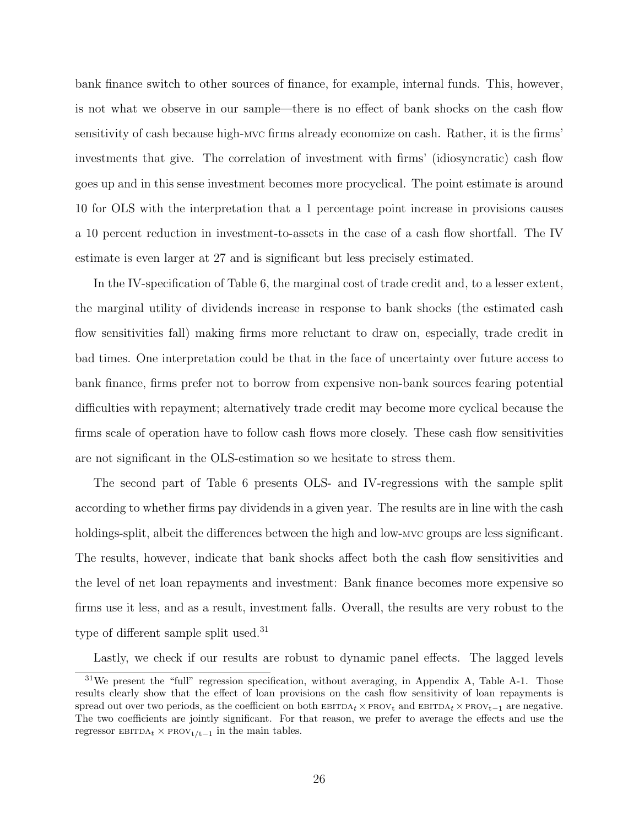bank finance switch to other sources of finance, for example, internal funds. This, however, is not what we observe in our sample—there is no effect of bank shocks on the cash flow sensitivity of cash because high-MVC firms already economize on cash. Rather, it is the firms' investments that give. The correlation of investment with firms' (idiosyncratic) cash flow goes up and in this sense investment becomes more procyclical. The point estimate is around 10 for OLS with the interpretation that a 1 percentage point increase in provisions causes a 10 percent reduction in investment-to-assets in the case of a cash flow shortfall. The IV estimate is even larger at 27 and is significant but less precisely estimated.

In the IV-specification of Table 6, the marginal cost of trade credit and, to a lesser extent, the marginal utility of dividends increase in response to bank shocks (the estimated cash flow sensitivities fall) making firms more reluctant to draw on, especially, trade credit in bad times. One interpretation could be that in the face of uncertainty over future access to bank finance, firms prefer not to borrow from expensive non-bank sources fearing potential difficulties with repayment; alternatively trade credit may become more cyclical because the firms scale of operation have to follow cash flows more closely. These cash flow sensitivities are not significant in the OLS-estimation so we hesitate to stress them.

The second part of Table 6 presents OLS- and IV-regressions with the sample split according to whether firms pay dividends in a given year. The results are in line with the cash holdings-split, albeit the differences between the high and low-MVC groups are less significant. The results, however, indicate that bank shocks affect both the cash flow sensitivities and the level of net loan repayments and investment: Bank finance becomes more expensive so firms use it less, and as a result, investment falls. Overall, the results are very robust to the type of different sample split used.<sup>31</sup>

Lastly, we check if our results are robust to dynamic panel effects. The lagged levels

<sup>&</sup>lt;sup>31</sup>We present the "full" regression specification, without averaging, in Appendix A, Table A-1. Those results clearly show that the effect of loan provisions on the cash flow sensitivity of loan repayments is spread out over two periods, as the coefficient on both  $EBITDA_t \times PROV_t$  and  $EBITDA_t \times PROV_{t-1}$  are negative. The two coefficients are jointly significant. For that reason, we prefer to average the effects and use the regressor EBITDA<sub>t</sub> × PROV<sub>t/t−1</sub> in the main tables.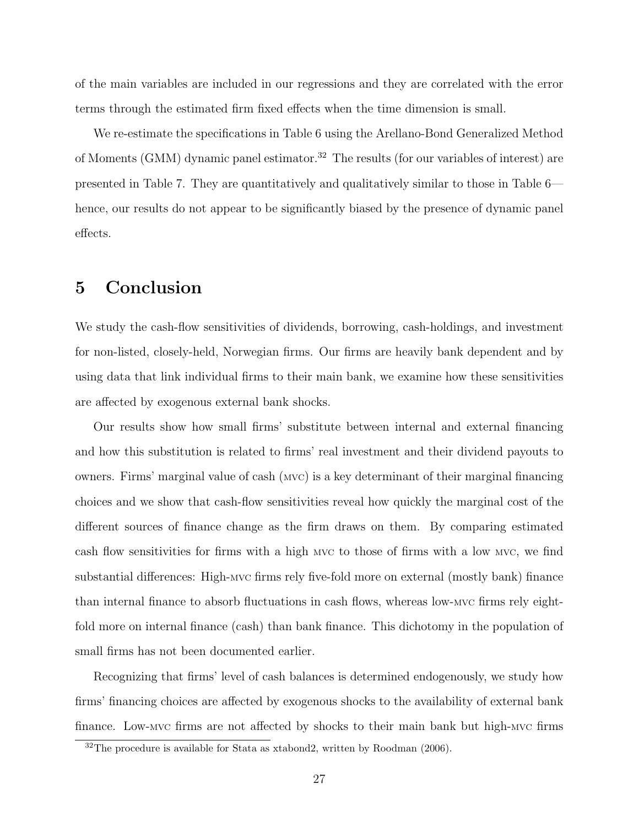of the main variables are included in our regressions and they are correlated with the error terms through the estimated firm fixed effects when the time dimension is small.

We re-estimate the specifications in Table 6 using the Arellano-Bond Generalized Method of Moments (GMM) dynamic panel estimator.<sup>32</sup> The results (for our variables of interest) are presented in Table 7. They are quantitatively and qualitatively similar to those in Table 6 hence, our results do not appear to be significantly biased by the presence of dynamic panel effects.

## 5 Conclusion

We study the cash-flow sensitivities of dividends, borrowing, cash-holdings, and investment for non-listed, closely-held, Norwegian firms. Our firms are heavily bank dependent and by using data that link individual firms to their main bank, we examine how these sensitivities are affected by exogenous external bank shocks.

Our results show how small firms' substitute between internal and external financing and how this substitution is related to firms' real investment and their dividend payouts to owners. Firms' marginal value of cash (MVC) is a key determinant of their marginal financing choices and we show that cash-flow sensitivities reveal how quickly the marginal cost of the different sources of finance change as the firm draws on them. By comparing estimated cash flow sensitivities for firms with a high MVC to those of firms with a low MVC, we find substantial differences: High-MVC firms rely five-fold more on external (mostly bank) finance than internal finance to absorb fluctuations in cash flows, whereas low-MVC firms rely eightfold more on internal finance (cash) than bank finance. This dichotomy in the population of small firms has not been documented earlier.

Recognizing that firms' level of cash balances is determined endogenously, we study how firms' financing choices are affected by exogenous shocks to the availability of external bank finance. Low-MVC firms are not affected by shocks to their main bank but high-MVC firms

<sup>32</sup>The procedure is available for Stata as xtabond2, written by Roodman (2006).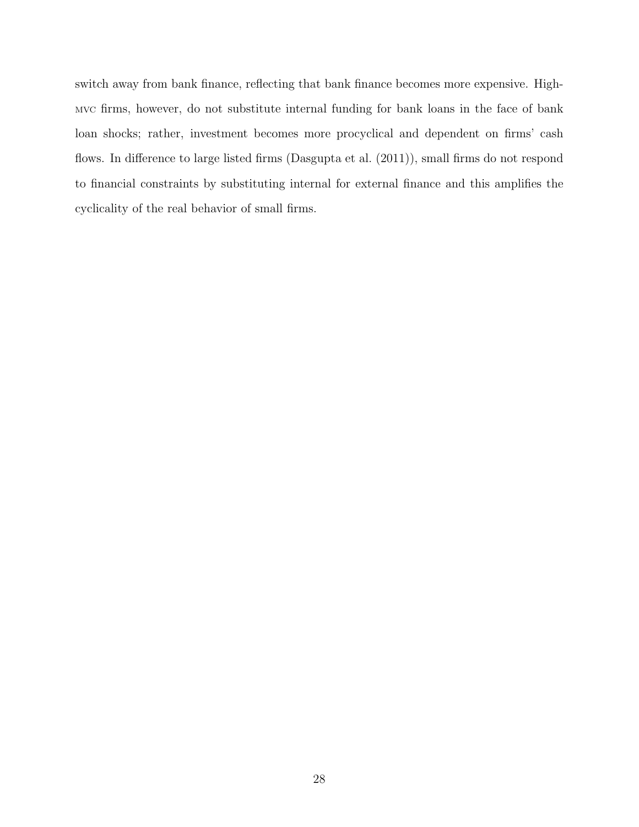switch away from bank finance, reflecting that bank finance becomes more expensive. High-MVC firms, however, do not substitute internal funding for bank loans in the face of bank loan shocks; rather, investment becomes more procyclical and dependent on firms' cash flows. In difference to large listed firms (Dasgupta et al. (2011)), small firms do not respond to financial constraints by substituting internal for external finance and this amplifies the cyclicality of the real behavior of small firms.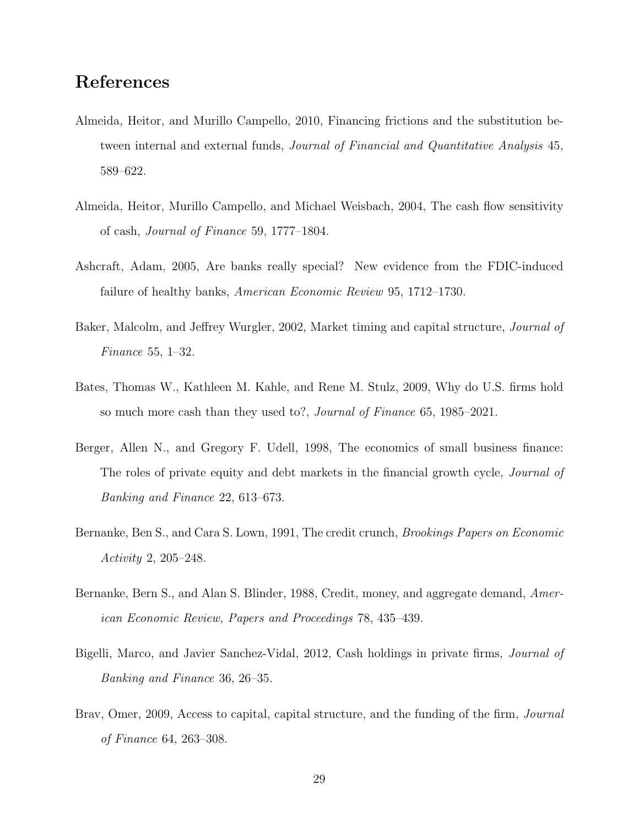## References

- Almeida, Heitor, and Murillo Campello, 2010, Financing frictions and the substitution between internal and external funds, Journal of Financial and Quantitative Analysis 45, 589–622.
- Almeida, Heitor, Murillo Campello, and Michael Weisbach, 2004, The cash flow sensitivity of cash, Journal of Finance 59, 1777–1804.
- Ashcraft, Adam, 2005, Are banks really special? New evidence from the FDIC-induced failure of healthy banks, American Economic Review 95, 1712–1730.
- Baker, Malcolm, and Jeffrey Wurgler, 2002, Market timing and capital structure, Journal of Finance 55, 1–32.
- Bates, Thomas W., Kathleen M. Kahle, and Rene M. Stulz, 2009, Why do U.S. firms hold so much more cash than they used to?, Journal of Finance 65, 1985–2021.
- Berger, Allen N., and Gregory F. Udell, 1998, The economics of small business finance: The roles of private equity and debt markets in the financial growth cycle, *Journal of* Banking and Finance 22, 613–673.
- Bernanke, Ben S., and Cara S. Lown, 1991, The credit crunch, Brookings Papers on Economic Activity 2, 205–248.
- Bernanke, Bern S., and Alan S. Blinder, 1988, Credit, money, and aggregate demand, American Economic Review, Papers and Proceedings 78, 435–439.
- Bigelli, Marco, and Javier Sanchez-Vidal, 2012, Cash holdings in private firms, Journal of Banking and Finance 36, 26–35.
- Brav, Omer, 2009, Access to capital, capital structure, and the funding of the firm, Journal of Finance 64, 263–308.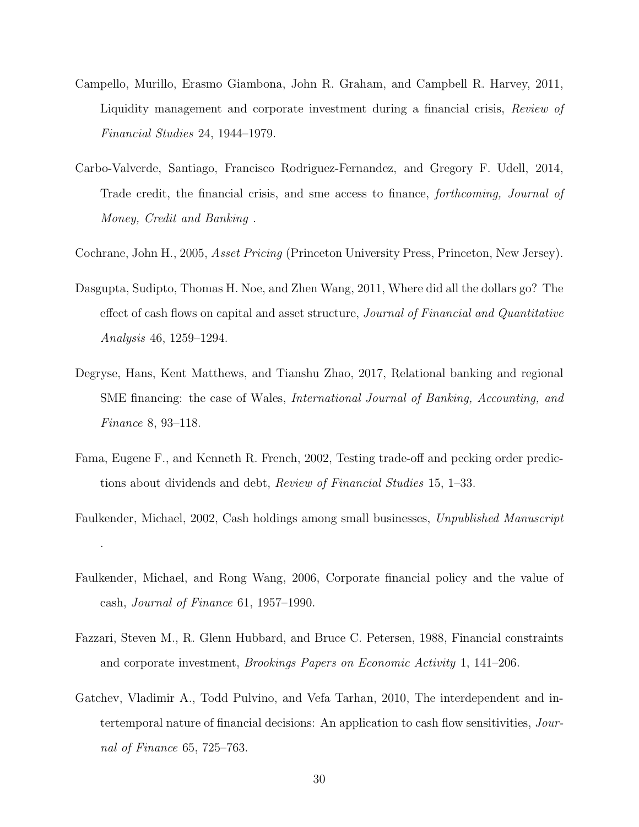- Campello, Murillo, Erasmo Giambona, John R. Graham, and Campbell R. Harvey, 2011, Liquidity management and corporate investment during a financial crisis, Review of Financial Studies 24, 1944–1979.
- Carbo-Valverde, Santiago, Francisco Rodriguez-Fernandez, and Gregory F. Udell, 2014, Trade credit, the financial crisis, and sme access to finance, *forthcoming, Journal of* Money, Credit and Banking .
- Cochrane, John H., 2005, Asset Pricing (Princeton University Press, Princeton, New Jersey).
- Dasgupta, Sudipto, Thomas H. Noe, and Zhen Wang, 2011, Where did all the dollars go? The effect of cash flows on capital and asset structure, *Journal of Financial and Quantitative* Analysis 46, 1259–1294.
- Degryse, Hans, Kent Matthews, and Tianshu Zhao, 2017, Relational banking and regional SME financing: the case of Wales, International Journal of Banking, Accounting, and Finance 8, 93–118.
- Fama, Eugene F., and Kenneth R. French, 2002, Testing trade-off and pecking order predictions about dividends and debt, Review of Financial Studies 15, 1–33.
- Faulkender, Michael, 2002, Cash holdings among small businesses, Unpublished Manuscript

.

- Faulkender, Michael, and Rong Wang, 2006, Corporate financial policy and the value of cash, Journal of Finance 61, 1957–1990.
- Fazzari, Steven M., R. Glenn Hubbard, and Bruce C. Petersen, 1988, Financial constraints and corporate investment, Brookings Papers on Economic Activity 1, 141–206.
- Gatchev, Vladimir A., Todd Pulvino, and Vefa Tarhan, 2010, The interdependent and intertemporal nature of financial decisions: An application to cash flow sensitivities, Journal of Finance 65, 725–763.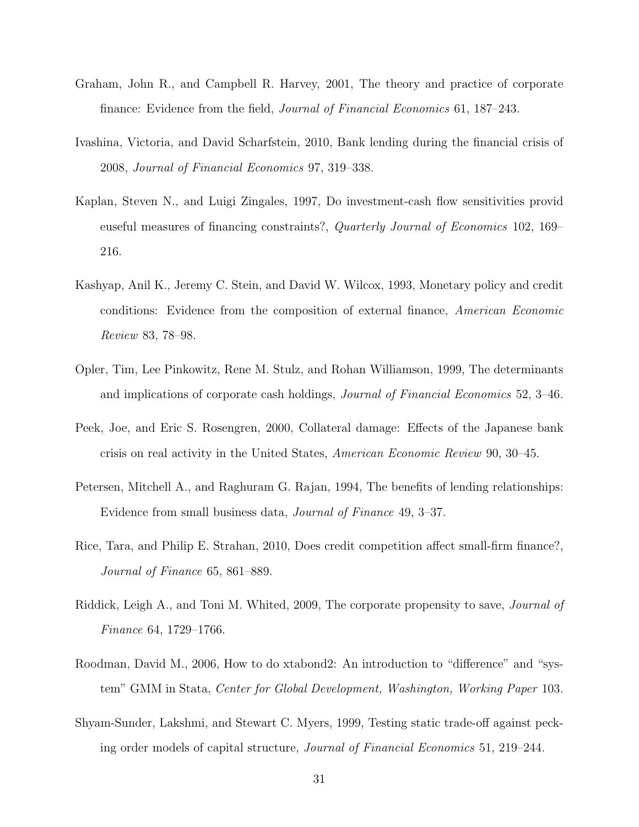- Graham, John R., and Campbell R. Harvey, 2001, The theory and practice of corporate finance: Evidence from the field, *Journal of Financial Economics* 61, 187–243.
- Ivashina, Victoria, and David Scharfstein, 2010, Bank lending during the financial crisis of 2008, Journal of Financial Economics 97, 319–338.
- Kaplan, Steven N., and Luigi Zingales, 1997, Do investment-cash flow sensitivities provid euseful measures of financing constraints?, Quarterly Journal of Economics 102, 169– 216.
- Kashyap, Anil K., Jeremy C. Stein, and David W. Wilcox, 1993, Monetary policy and credit conditions: Evidence from the composition of external finance, American Economic Review 83, 78–98.
- Opler, Tim, Lee Pinkowitz, Rene M. Stulz, and Rohan Williamson, 1999, The determinants and implications of corporate cash holdings, Journal of Financial Economics 52, 3–46.
- Peek, Joe, and Eric S. Rosengren, 2000, Collateral damage: Effects of the Japanese bank crisis on real activity in the United States, American Economic Review 90, 30–45.
- Petersen, Mitchell A., and Raghuram G. Rajan, 1994, The benefits of lending relationships: Evidence from small business data, Journal of Finance 49, 3–37.
- Rice, Tara, and Philip E. Strahan, 2010, Does credit competition affect small-firm finance?, Journal of Finance 65, 861–889.
- Riddick, Leigh A., and Toni M. Whited, 2009, The corporate propensity to save, *Journal of* Finance 64, 1729–1766.
- Roodman, David M., 2006, How to do xtabond2: An introduction to "difference" and "system" GMM in Stata, Center for Global Development, Washington, Working Paper 103.
- Shyam-Sunder, Lakshmi, and Stewart C. Myers, 1999, Testing static trade-off against pecking order models of capital structure, Journal of Financial Economics 51, 219–244.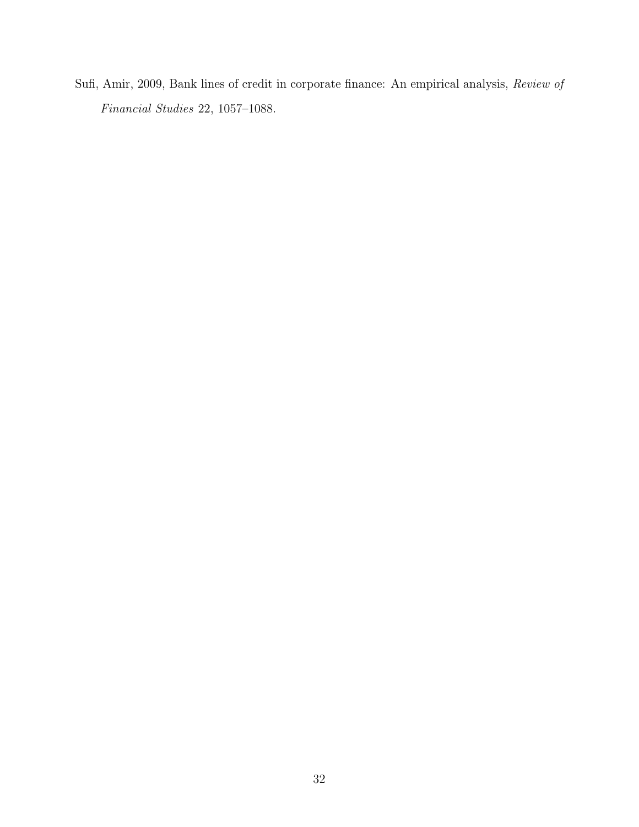Sufi, Amir, 2009, Bank lines of credit in corporate finance: An empirical analysis, Review of Financial Studies 22, 1057–1088.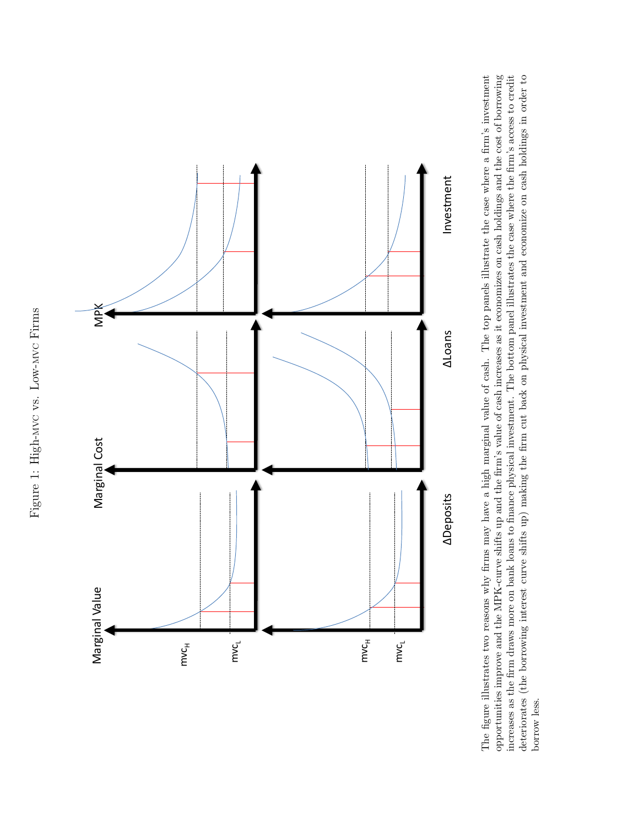

The figure illustrates two reasons why firms may have a high marginal value of cash. The top panels illustrate the case where a firm's investment opportunities improve and the MPK-curve shifts up and the firm's value of cash increases as it economizes on cash holdings and the cost of borrowing increases as the firm draws more on bank loans to finance physical investment. The bottom panel illustrates the case where the firm's access to credit deteriorates (the borrowing interest curve shifts up) making the firm cut back on physical investment and economize on cash holdings in order to opportunities improve and the MPK-curve shifts up and the firm's value of cash increases as it economizes on cash holdings and the cost of borrowing deteriorates (the borrowing interest curve shifts up) making the firm cut back on physical investment and economize on cash holdings in order to The figure illustrates two reasons why firms may have a high marginal value of cash. The top panels illustrate the case where a firm's investment increases as the firm draws more on bank loans to finance physical investment. The bottom panel illustrates the case where the firm's access to credit borrow less. borrow less.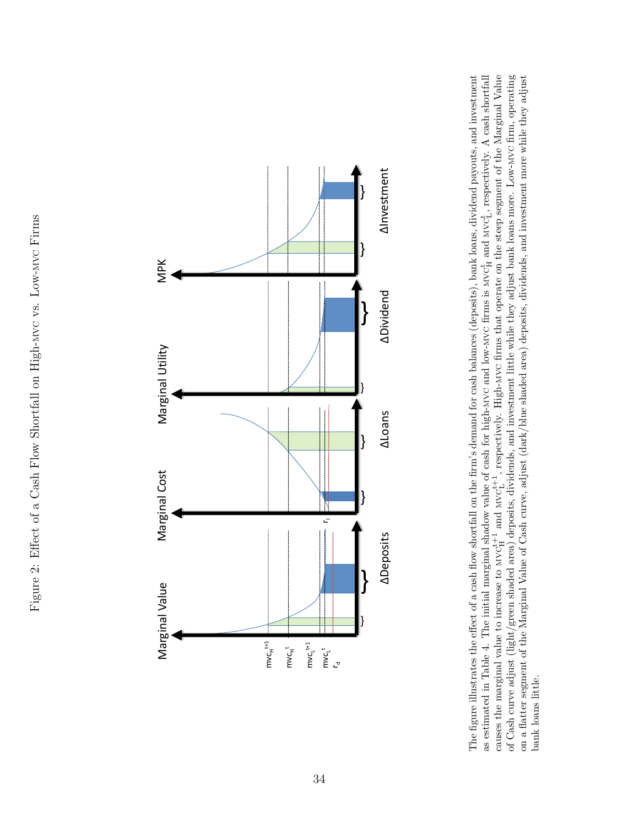

causes the marginal value to increase to  $\text{wvc}^{t+1}_{H}$  and  $\text{wvc}^{t+1}_{H}$ , respectively. High- $\text{wvc}$  firms that operate on the steep segment of the Marginal Value of Cash curve adjust (light/green shaded area) deposi as estimated in Table 4. The initial marginal shadow value of cash for high-MVC and low-MVC firms is MVC<sub>H</sub> and MVC<sub>H</sub>, respectively. A cash shortfall The figure illustrates the effect of a cash flow shortfall on the firm's demand for cash balances (deposits), bank loans, dividend payouts, and investment on a flatter segment of the Marginal Value of Cash curve, adjust (dark/blue shaded area) deposits, dividends, and investment more while they adjust as estimated in Table 4. The initial marginal shadow value of cash for high-MVC and low-MVC firms is MVC<sub>t</sub> and MVCt<sub>1</sub>, respectively. A cash shortfall exercise is most continual to the most continuate of the most continu causes the marginal value to increase to  $M\text{C}_{\text{H}}^{\text{L}+1}$  and  $M\text{C}_{\text{H}}^{\text{L}+1}$ , respectively. High-MVC firms that operate on the steep segment of the Marginal Value  $\epsilon$  can also the marginal Value of the Marg of Cash curve adjust (light/green shaded area) deposits, dividends, and investment little while they adjust bank loans more. Low-MVC firm, operating The figure illustrates the effect of a cash flow shortfall on the firm's demand for cash balances (deposits), bank loans, dividend payouts, and investment on a flatter segment of the Marginal Value of Cash curve, adjust (dark/blue shaded area) deposits, dividends, and investment more while they adjust bank loans little. bank loans little.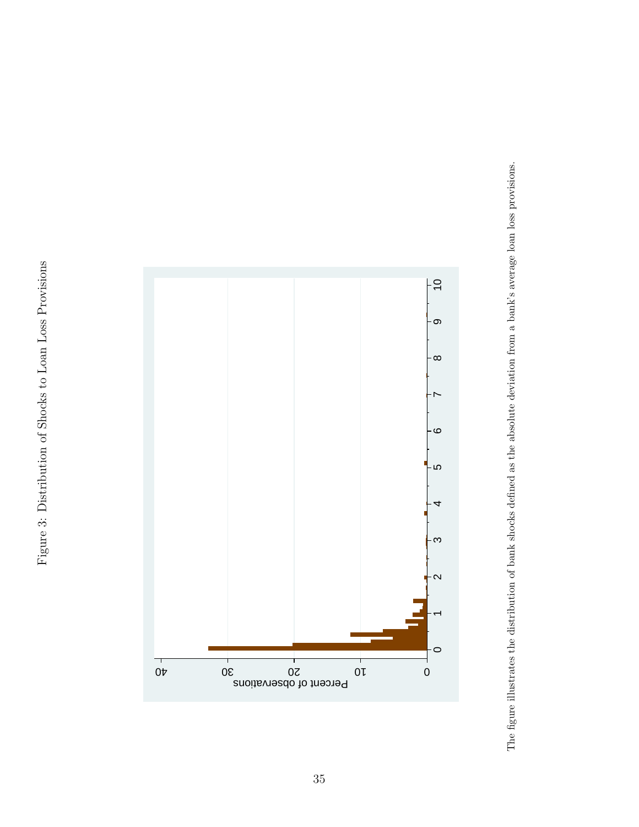

The figure illustrates the distribution of bank shocks defined as the absolute deviation from a bank's average loan loss provisions. The figure illustrates the distribution of bank shocks defined as the absolute deviation from a bank's average loan loss provisions.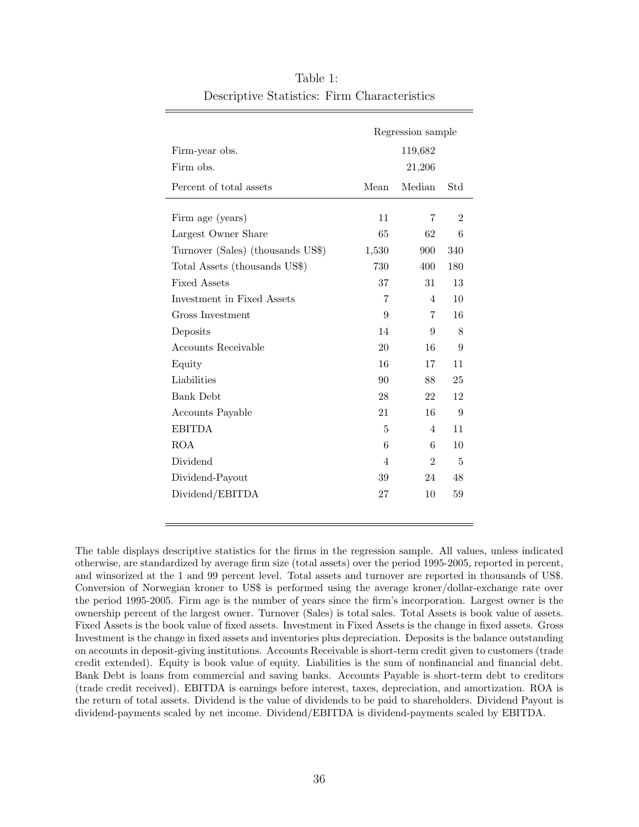|                                   |       | Regression sample |                |
|-----------------------------------|-------|-------------------|----------------|
| Firm-year obs.                    |       | 119,682           |                |
| Firm obs.                         |       | 21,206            |                |
| Percent of total assets           | Mean  | Median            | Std            |
| Firm age (years)                  | 11    | 7                 | $\overline{2}$ |
| Largest Owner Share               | 65    | 62                | 6              |
| Turnover (Sales) (thousands US\$) | 1,530 | 900               | 340            |
| Total Assets (thousands US\$)     | 730   | 400               | 180            |
| Fixed Assets                      | 37    | 31                | 13             |
| Investment in Fixed Assets        | 7     | $\overline{4}$    | 10             |
| Gross Investment                  | 9     | $\overline{7}$    | 16             |
| Deposits                          | 14    | 9                 | 8              |
| Accounts Receivable               | 20    | 16                | 9              |
| Equity                            | 16    | 17                | 11             |
| Liabilities                       | 90    | 88                | 25             |
| Bank Debt                         | 28    | 22                | 12             |
| Accounts Payable                  | 21    | 16                | 9              |
| <b>EBITDA</b>                     | 5     | 4                 | 11             |
| <b>ROA</b>                        | 6     | 6                 | 10             |
| Dividend                          | 4     | $\overline{2}$    | 5              |
| Dividend-Payout                   | 39    | 24                | 48             |
| Dividend/EBITDA                   | 27    | 10                | 59             |

Table 1: Descriptive Statistics: Firm Characteristics

The table displays descriptive statistics for the firms in the regression sample. All values, unless indicated otherwise, are standardized by average firm size (total assets) over the period 1995-2005, reported in percent, and winsorized at the 1 and 99 percent level. Total assets and turnover are reported in thousands of US\$. Conversion of Norwegian kroner to US\$ is performed using the average kroner/dollar-exchange rate over the period 1995-2005. Firm age is the number of years since the firm's incorporation. Largest owner is the ownership percent of the largest owner. Turnover (Sales) is total sales. Total Assets is book value of assets. Fixed Assets is the book value of fixed assets. Investment in Fixed Assets is the change in fixed assets. Gross Investment is the change in fixed assets and inventories plus depreciation. Deposits is the balance outstanding on accounts in deposit-giving institutions. Accounts Receivable is short-term credit given to customers (trade credit extended). Equity is book value of equity. Liabilities is the sum of nonfinancial and financial debt. Bank Debt is loans from commercial and saving banks. Accounts Payable is short-term debt to creditors (trade credit received). EBITDA is earnings before interest, taxes, depreciation, and amortization. ROA is the return of total assets. Dividend is the value of dividends to be paid to shareholders. Dividend Payout is dividend-payments scaled by net income. Dividend/EBITDA is dividend-payments scaled by EBITDA.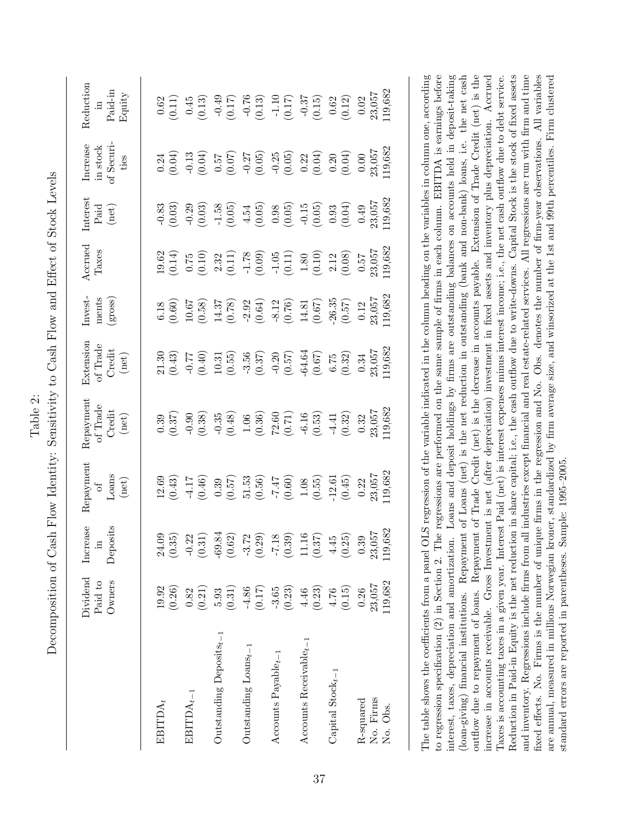|                                       |                               |                                                                                                                                                                                                                                                                                                                             | Decomposition of Cash Flow Identity:                                                                                                                                                                                                                                                                                        |                                                                                                                                                                                                                                                                                                                             | Sensitivity to Cash Flow and Effect of Stock Levels                                                                                                                                                                                                                                                                              |                                                                                                                                                                                                                                                                                   |                                                                                                                                                                                                                                                                                                                              |                                                                                                                                                                                                                                                                                                                             |                                                                                                                                                                                                                                                                                                               |                                                                                                                                                                                                                                                                                   |
|---------------------------------------|-------------------------------|-----------------------------------------------------------------------------------------------------------------------------------------------------------------------------------------------------------------------------------------------------------------------------------------------------------------------------|-----------------------------------------------------------------------------------------------------------------------------------------------------------------------------------------------------------------------------------------------------------------------------------------------------------------------------|-----------------------------------------------------------------------------------------------------------------------------------------------------------------------------------------------------------------------------------------------------------------------------------------------------------------------------|----------------------------------------------------------------------------------------------------------------------------------------------------------------------------------------------------------------------------------------------------------------------------------------------------------------------------------|-----------------------------------------------------------------------------------------------------------------------------------------------------------------------------------------------------------------------------------------------------------------------------------|------------------------------------------------------------------------------------------------------------------------------------------------------------------------------------------------------------------------------------------------------------------------------------------------------------------------------|-----------------------------------------------------------------------------------------------------------------------------------------------------------------------------------------------------------------------------------------------------------------------------------------------------------------------------|---------------------------------------------------------------------------------------------------------------------------------------------------------------------------------------------------------------------------------------------------------------------------------------------------------------|-----------------------------------------------------------------------------------------------------------------------------------------------------------------------------------------------------------------------------------------------------------------------------------|
|                                       | Dividend<br>Paid to<br>Owners | in<br>Deposits<br>Increase                                                                                                                                                                                                                                                                                                  | Repayment<br>% of $\Gamma_{\rm OAMS}$<br>(net)                                                                                                                                                                                                                                                                              | Repayment<br>of Trade<br>Credit<br>(net)                                                                                                                                                                                                                                                                                    | Extension<br>of Trade<br>Credit ${\rm (net)}$                                                                                                                                                                                                                                                                                    | ments<br>(gross)<br>Invest-                                                                                                                                                                                                                                                       | Accrued<br>$\operatorname{Taxes}$                                                                                                                                                                                                                                                                                            | ${\bf \small \begin{array}{c} \text{Interest} \\ \text{Pad} \\ \text{(net)} \end{array}}$                                                                                                                                                                                                                                   | Increase<br>in stock<br>of Securi-<br>ties                                                                                                                                                                                                                                                                    | Reduction<br>in<br>Paid-in<br>Equity                                                                                                                                                                                                                                              |
| EBITDA,                               | (0.26)<br>19.92               | (0.35)                                                                                                                                                                                                                                                                                                                      | $\frac{12.69}{(0.43)}$                                                                                                                                                                                                                                                                                                      | $\frac{0.39}{0.37}$                                                                                                                                                                                                                                                                                                         |                                                                                                                                                                                                                                                                                                                                  | $\frac{6.18}{(0.60)}$                                                                                                                                                                                                                                                             |                                                                                                                                                                                                                                                                                                                              | $-0.83$<br>$(0.03)$                                                                                                                                                                                                                                                                                                         |                                                                                                                                                                                                                                                                                                               |                                                                                                                                                                                                                                                                                   |
| EBITD $A_{t-1}$                       | (0.21)<br>$\rm 0.82$          |                                                                                                                                                                                                                                                                                                                             | $-4.17$<br>(0.46)                                                                                                                                                                                                                                                                                                           |                                                                                                                                                                                                                                                                                                                             |                                                                                                                                                                                                                                                                                                                                  |                                                                                                                                                                                                                                                                                   |                                                                                                                                                                                                                                                                                                                              |                                                                                                                                                                                                                                                                                                                             |                                                                                                                                                                                                                                                                                                               | $\begin{array}{c} 0.62 \\[-4pt] 0.11) \\[-4pt] 0.13) \\[-4pt] 0.13) \\[-4pt] 0.17) \\[-4pt] 0.17) \\[-4pt] 0.17) \\[-4pt] 0.19) \\[-4pt] 0.19) \\[-4pt] 0.19) \\[-4pt] 0.19) \\[-4pt] 0.19) \\[-4pt] 0.10) \\[-4pt] 0.12) \\[-4pt] 0.62 \\[-4pt] 0.12) \\[-4pt] 0.62 \end{array}$ |
| $Outstanding$ Deposits <sub>t-1</sub> | (0.31)<br>$5.93\,$            |                                                                                                                                                                                                                                                                                                                             |                                                                                                                                                                                                                                                                                                                             |                                                                                                                                                                                                                                                                                                                             |                                                                                                                                                                                                                                                                                                                                  |                                                                                                                                                                                                                                                                                   |                                                                                                                                                                                                                                                                                                                              |                                                                                                                                                                                                                                                                                                                             |                                                                                                                                                                                                                                                                                                               |                                                                                                                                                                                                                                                                                   |
| $Outstanding$ Loans $_{t-1}$          | $-4.86$<br>(0.17)             |                                                                                                                                                                                                                                                                                                                             |                                                                                                                                                                                                                                                                                                                             |                                                                                                                                                                                                                                                                                                                             |                                                                                                                                                                                                                                                                                                                                  |                                                                                                                                                                                                                                                                                   |                                                                                                                                                                                                                                                                                                                              |                                                                                                                                                                                                                                                                                                                             |                                                                                                                                                                                                                                                                                                               |                                                                                                                                                                                                                                                                                   |
| Accounts Payable $_{t-1}$             | $-3.65$<br>(0.23)             |                                                                                                                                                                                                                                                                                                                             |                                                                                                                                                                                                                                                                                                                             |                                                                                                                                                                                                                                                                                                                             |                                                                                                                                                                                                                                                                                                                                  |                                                                                                                                                                                                                                                                                   |                                                                                                                                                                                                                                                                                                                              |                                                                                                                                                                                                                                                                                                                             |                                                                                                                                                                                                                                                                                                               |                                                                                                                                                                                                                                                                                   |
| Accounts Receivable <sub>t-1</sub>    | $4.46$<br>(0.23)              |                                                                                                                                                                                                                                                                                                                             |                                                                                                                                                                                                                                                                                                                             |                                                                                                                                                                                                                                                                                                                             |                                                                                                                                                                                                                                                                                                                                  |                                                                                                                                                                                                                                                                                   |                                                                                                                                                                                                                                                                                                                              |                                                                                                                                                                                                                                                                                                                             |                                                                                                                                                                                                                                                                                                               |                                                                                                                                                                                                                                                                                   |
| Capital $Stock_{t-1}$                 | (0.15)<br>$4.76\,$            |                                                                                                                                                                                                                                                                                                                             |                                                                                                                                                                                                                                                                                                                             |                                                                                                                                                                                                                                                                                                                             |                                                                                                                                                                                                                                                                                                                                  |                                                                                                                                                                                                                                                                                   |                                                                                                                                                                                                                                                                                                                              |                                                                                                                                                                                                                                                                                                                             |                                                                                                                                                                                                                                                                                                               |                                                                                                                                                                                                                                                                                   |
| No. Firms<br>$R$ -squared<br>No. Obs. | 119,682<br>23,057<br>0.26     | $\begin{array}{c} 1,22 \\[-4pt] 0.31 \\[-4pt] 0.62 \\[-4pt] 0.62 \\[-4pt] 0.29 \\[-4pt] 0.29 \\[-4pt] 0.29 \\[-4pt] 0.25 \\[-4pt] 0.27 \\[-4pt] 0.25 \\[-4pt] 0.27 \\[-4pt] 0.29 \\[-4pt] 0.23 \\[-4pt] 0.23 \\[-4pt] 0.23 \\[-4pt] 0.23 \\[-4pt] 0.23 \\[-4pt] 0.23 \\[-4pt] 1.19 \\[-4pt] 0.682 \\[-4pt] 1.10 \\[-4pt] 0$ | $\begin{array}{c} 0.39 \\[-4pt] 0.57 \\[-4pt] 0.56 \\[-4pt] 0.60 \\[-4pt] 0.60 \\[-4pt] 0.60 \\[-4pt] 0.55 \\[-4pt] 0.55 \\[-4pt] 0.45 \\[-4pt] 0.22 \\[-4pt] 0.23 \\[-4pt] 0.57 \\[-4pt] 0.22 \\[-4pt] 0.23 \\[-4pt] 0.57 \\[-4pt] 0.39 \\[-4pt] 0.30 \\[-4pt] 0.30 \\[-4pt] 0.30 \\[-4pt] 0.30 \\[-4pt] 0.30 \\[-4pt] 0.$ | $\begin{array}{l} 0.90 \\[-4pt] 0.38 \\[-4pt] 0.48 \\[-4pt] 0.48 \\[-4pt] 0.36 \\[-4pt] 0.36 \\[-4pt] 0.30 \\[-4pt] 0.32 \\[-4pt] 0.32 \\[-4pt] 0.32 \\[-4pt] 0.32 \\[-4pt] 0.32 \\[-4pt] 0.32 \\[-4pt] 0.32 \\[-4pt] 0.32 \\[-4pt] 0.32 \\[-4pt] 0.32 \\[-4pt] 0.32 \\[-4pt] 0.32 \\[-4pt] 0.32 \\[-4pt] 0.32 \\[-4pt] 0.$ | $\begin{array}{l} 21.30 \\ (0.43) \\ (0.41) \\ (0.42) \\ (0.55) \\ (0.57) \\ (0.57) \\ (0.57) \\ (0.57) \\ (0.57) \\ (0.57) \\ (0.57) \\ (0.57) \\ (0.57) \\ (0.57) \\ (0.32) \\ (0.34) \\ (0.37) \\ (0.37) \\ (0.37) \\ (0.38) \\ 23 \\ (0.37) \\ (0.38) \\ (0.39) \\ (0.31) \\ (0.39) \\ (0.31) \\ (0.32) \\ (0.31) \\ (0.32)$ | $\begin{array}{l} 10.67\\ (0.58)\\ (14.37\\ (0.64)\\ (0.64)\\ (0.67)\\ (0.64)\\ (0.76)\\ (0.76)\\ (0.57)\\ (0.57)\\ (0.57)\\ (0.57)\\ 0.12\\ 26.35\\ 57\\ 0.12\\ 23.057\\ 24.82\\ 23.057\\ 24.82\\ 25.08\\ 26.82\\ 27.08\\ 28.08\\ 23.09\\ 24.09\\ 25.08\\ 26.82\\ 27.09\\ 28.08$ | $\begin{array}{lll} 19.62 \\[-4pt] 14 \\[-4pt] 0.14 \\[-4pt] 0.00 \\[-4pt] 0.00 \\[-4pt] 0.00 \\[-4pt] 0.00 \\[-4pt] 0.00 \\[-4pt] 0.00 \\[-4pt] 0.00 \\[-4pt] 0.00 \\[-4pt] 0.00 \\[-4pt] 0.00 \\[-4pt] 0.00 \\[-4pt] 0.00 \\[-4pt] 0.00 \\[-4pt] 0.00 \\[-4pt] 0.00 \\[-4pt] 0.00 \\[-4pt] 0.00 \\[-4pt] 0.00 \\[-4pt] 0.$ | $\begin{array}{l} 0.29 \\[-4pt] 0.03 \\[-4pt] 0.05 \\[-4pt] 0.05 \\[-4pt] 0.05 \\[-4pt] 0.05 \\[-4pt] 0.05 \\[-4pt] 0.05 \\[-4pt] 0.05 \\[-4pt] 0.05 \\[-4pt] 0.05 \\[-4pt] 0.05 \\[-4pt] 0.05 \\[-4pt] 0.05 \\[-4pt] 0.05 \\[-4pt] 0.05 \\[-4pt] 0.05 \\[-4pt] 0.05 \\[-4pt] 0.05 \\[-4pt] 0.05 \\[-4pt] 0.05 \\[-4pt] 0.$ | $\begin{array}{c} 0.24 \\ 0.04 \\ 0.04 \\ 0.05 \\ 0.05 \\ 0.05 \\ 0.05 \\ 0.05 \\ 0.05 \\ 0.05 \\ 0.05 \\ 0.05 \\ 0.05 \\ 0.05 \\ 0.05 \\ 0.04 \\ 0.04 \\ 0.04 \\ 0.05 \\ 0.07 \\ 0.03 \\ 0.03 \\ 0.04 \\ 0.04 \\ 0.04 \\ 0.05 \\ 0.07 \\ 0.03 \\ 0.03 \\ 0.03 \\ 0.04 \\ 0.00 \\ 0.04 \\ 0.00 \\ 0.00 \\ 0.$ | $\frac{0.02}{23,057}$<br>19,682                                                                                                                                                                                                                                                   |
|                                       |                               |                                                                                                                                                                                                                                                                                                                             |                                                                                                                                                                                                                                                                                                                             |                                                                                                                                                                                                                                                                                                                             |                                                                                                                                                                                                                                                                                                                                  |                                                                                                                                                                                                                                                                                   |                                                                                                                                                                                                                                                                                                                              |                                                                                                                                                                                                                                                                                                                             |                                                                                                                                                                                                                                                                                                               |                                                                                                                                                                                                                                                                                   |

The table shows the coefficients from a panel OLS regression of the variable indicated in the column heading on the variables in column one, according interest, taxes, depreciation and amortization. Loans and deposit holdings by firms are outstanding balances on accounts held in deposit-taking and inventory. Regressions include firms from all industries except financial and real estate-related services. All regressions are run with firm and time to regression specification (2) in Section 2. The regressions are performed on the same sample of firms in each column. EBITDA is earnings before (loan-giving) financial institutions. Repayment of Loans (net) is the net reduction in outstanding (bank and non-bank) loans, i.e. the net cash outflow due to repayment of loans. Repayment of Trade Credit (net) is the decrease in accounts payable. Extension of Trade Credit (net) is the increase in accounts receivable. Gross Investment is net (after depreciation) investment in fixed assets and inventory plus depreciation. Accrued Taxes is accounting taxes in a given year. Interest Paid (net) is interest expenses minus interest income; i.e., the net cash outflow due to debt service. Reduction in Paid-in Equity is the net reduction in share capital; i.e., the cash outflow due to write-downs. Capital Stock is the stock of fixed assets fixed effects. No. Firms is the number of unique firms in the regression and No. Obs. denotes the number of firm-year observations. All variables The table shows the coefficients from a panel OLS regression of the variable indicated in the column heading on the variables in column one, according to regression specification (2) in Section 2. The regressions are performed on the same sample of firms in each column. EBITDA is earnings before interest, taxes, depreciation and amortization. Loans and deposit holdings by firms are outstanding balances on accounts held in deposit-taking (loan-giving) financial institutions. Repayment of Loans (net) is the net reduction in outstanding (bank and non-bank) loans, i.e. the net cash outflow due to repayment of loans. Repayment of Trade Credit (net) is the decrease in accounts payable. Extension of Trade Credit (net) is the increase in accounts receivable. Gross Investment is net (after depreciation) investment in fixed assets and inventory plus depreciation. Accrued Reduction in Paid-in Equity is the net reduction in share capital; i.e., the cash outflow due to write-downs. Capital Stock is the stock of fixed assets and inventory. Regressions include firms from all industries except financial and real estate-related services. All regressions are run with firm and time fixed effects. No. Firms is the number of unique firms in the regression and No. Obs. denotes the number of firm-year observations. All variables Taxes is accounting taxes in a given year. Interest Paid (net) is interest expenses minus interest income; i.e., the net cash outflow due to debt service.

are annual, measured in millions Norwegian kroner, standardized by firm average size, and winsorized at the 1st and 99th percentiles. Firm clustered

are annual, measured in millions Norwegian kroner, standardized by firm average size, and winsorized at the 1st and 99th percentiles. Firm clustered

standard errors are reported in parentheses. Sample: 1995–2005.

standard errors are reported in parentheses. Sample: 1995-2005.

# Table 2:

Decomposition of Cash Flow Identity: Sensitivity to Cash Flow and Fffect of Stock I expls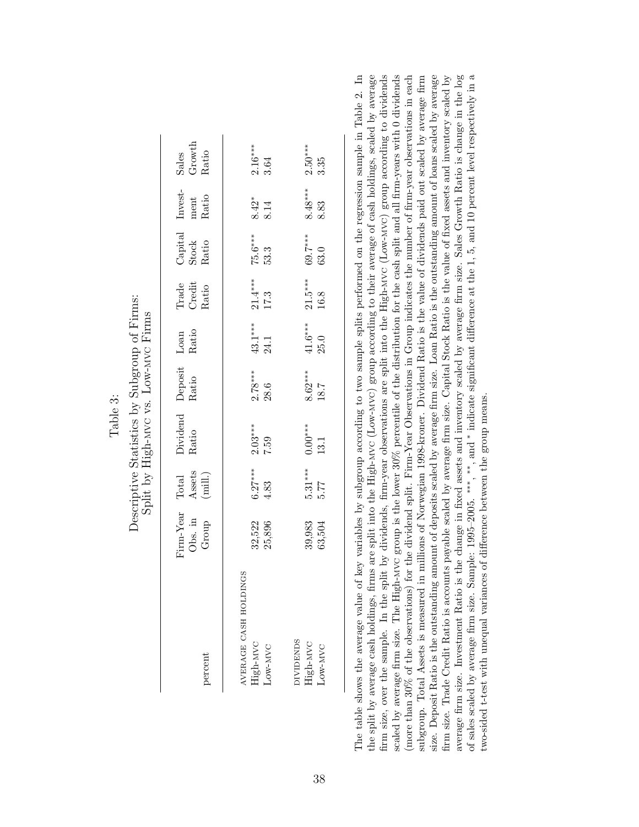|                                           | Descriptive Statistics by Subgroup of Firms:<br>Split by High-MVC vs. Low-MVC Firms |                                                      |                   |                        |                   |                          |                           |                          |                                                                              |
|-------------------------------------------|-------------------------------------------------------------------------------------|------------------------------------------------------|-------------------|------------------------|-------------------|--------------------------|---------------------------|--------------------------|------------------------------------------------------------------------------|
| percent                                   | Firm-Year<br>Obs. in<br>Group                                                       | ${\rm Total} \atop {\rm Assets} \atop ({\rm mill.})$ | Dividend<br>Ratio | Deposit<br>Ratio       | $_{\rm{Ratio}}$   | Trade<br>Credit<br>Ratio | Capital<br>Stock<br>Ratio | Invest-<br>ment<br>Ratio | $\begin{array}{c} \text{Sales} \\ \text{Growth} \\ \text{Ratio} \end{array}$ |
| AVERAGE CASH HOLDINGS<br>High-MVC         | 32,522<br>25,896                                                                    | $6.27***$<br>4.83                                    | $2.03***$<br>7.59 | $2.78***$<br>$28.6$    | $43.1***$<br>24.1 | $21.4***$<br>17.3        | $75.6***$<br>$53.3$       | $8.42$ *<br>$8.14$       | $2.16***$<br>3.64                                                            |
| OW-MVC                                    |                                                                                     |                                                      |                   |                        |                   |                          |                           |                          |                                                                              |
| <b>DIVIDENDS</b><br>$\rm High\mbox{-}MVC$ | 39,983                                                                              | $\frac{5.31***}{5.77}$                               | $0.00^{***}$      | $\frac{8.62***}{18.7}$ | $41.6***$<br>25.0 | $21.5***$<br>$16.8$      | $69.7***$<br>$63.0$       | $8.48***$                | $2.50***$<br>3.35                                                            |
| DAIN-MAC                                  | 63,504                                                                              |                                                      | 13.1              |                        |                   |                          |                           | 8.83                     |                                                                              |

Table 3:

The table shows the average value of key variables by subgroup according to two sample splits performed on the regression sample in Table 2. In the split by average cash holdings, firms are split into the High-MVC (Low-MVC) group according to their average of cash holdings, scaled by average firm size, over the sample. In the split by dividends, firm-year observations are split into the High-MVC (Low-MVC) group according to dividends scaled by average firm size. The High-MVC group is the lower 30% percentile of the distribution for the cash split and all firm-years with 0 dividends average firm size. Investment Ratio is the change in fixed assets and inventory scaled by average firm size. Sales Growth Ratio is change in the log of sales scaled by average firm size. Sample: 1995-2005. \*\*\*, \*\*, and \* indicate significant difference at the 1, 5, and 10 percent level respectively in a of sales scaled by average firm size. Sample: 1995–2005. ∗∗∗, ∗∗, and ∗ indicate significant difference at the 1, 5, and 10 percent level respectively in a (more than 30% of the observations) for the dividend split. Firm-Year Observations in Group indicates the number of firm-year observations in each subgroup. Total Assets is measured in millions of Norwegian 1998-kroner. Dividend Ratio is the value of dividends paid out scaled by average firm size. Deposit Ratio is the outstanding amount of deposits scaled by average firm size. Loan Ratio is the outstanding amount of loans scaled by average firm size. Trade Credit Ratio is accounts payable scaled by average firm size. Capital Stock Ratio is the value of fixed assets and inventory scaled by The table shows the average value of key variables by subgroup according to two sample splits performed on the regression sample in Table 2. In the split by average cash holdings, firms are split into the High-MVC (Low-MVC) group according to their average of cash holdings, scaled by average firm size, over the sample. In the split by dividends, firm-year observations are split into the High-MVC (Low-MVC) group according to dividends scaled by average firm size. The High-MVC group is the lower  $30\%$  percentile of the distribution for the cash split and all firm-years with 0 dividends (more than 30% of the observations) for the dividend split. Firm-Year Observations in Group indicates the number of firm-year observations in each subgroup. Total Assets is measured in millions of Norwegian 1998-kroner. Dividend Ratio is the value of dividends paid out scaled by average firm size. Deposit Ratio is the outstanding amount of deposits scaled by average firm size. Loan Ratio is the outstanding amount of loans scaled by average firm size. Trade Credit Ratio is accounts payable scaled by average firm size. Capital Stock Ratio is the value of fixed assets and inventory scaled by average firm size. Investment Ratio is the change in fixed assets and inventory scaled by average firm size. Sales Growth Ratio is change in the log two-sided t-test with unequal variances of difference between the group means. two-sided t-test with unequal variances of difference between the group means.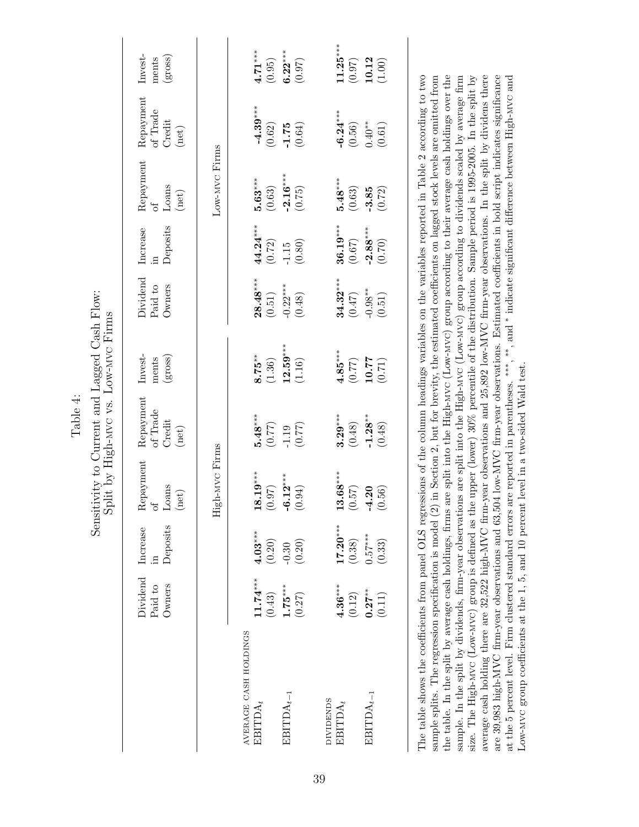| ₩           |  |
|-------------|--|
| υ<br>L<br>3 |  |

Sensitivity to Current and Lagged Cash Flow:<br>Split by High- $\rm{MVC}$  vs. Low- $\rm{MVC}$  Firms Sensitivity to Current and Lagged Cash Flow: Split by High-MVC vs. Low-MVC Firms

|                                      | Paid to<br>Owners                                                                                         | Deposits<br>Dividend Increase          | Repayment<br>of<br>Loans<br>$(\text{net})$ | Repayment<br>of Trade<br>Credit<br>(net)                                                                                                             | $Invest-$<br>(gross)<br>ments                           | <b>Dividend</b><br>Paid to<br>Owners                                                                  | Deposits<br>Increase<br>$\Xi$           | Repayment<br>$\begin{array}{c} \text{Loans} \\ \text{(net)} \end{array}$                                                     | Repayment<br>of Trade<br>Credit<br>(net)      | Invest-<br>(gross)<br>ments              |
|--------------------------------------|-----------------------------------------------------------------------------------------------------------|----------------------------------------|--------------------------------------------|------------------------------------------------------------------------------------------------------------------------------------------------------|---------------------------------------------------------|-------------------------------------------------------------------------------------------------------|-----------------------------------------|------------------------------------------------------------------------------------------------------------------------------|-----------------------------------------------|------------------------------------------|
|                                      |                                                                                                           |                                        | High-MVC Firms                             |                                                                                                                                                      |                                                         |                                                                                                       |                                         | Low-MVC Firms                                                                                                                |                                               |                                          |
| AVERAGE CASH HOLDINGS<br>EBITD $A_t$ |                                                                                                           |                                        | $18.19***$<br>(0.97)                       |                                                                                                                                                      | $\begin{array}{c} 8.75^{**} \\ (1.36) \end{array}$      |                                                                                                       |                                         |                                                                                                                              |                                               |                                          |
| $\mathrm{EBITDA}_{t-1}$              | 11.74***<br>(0.43)<br>1.75***<br>(0.27)                                                                   | $4.03***$<br>(0.20)<br>-0.30<br>(0.20) | $-6.12***$<br>(0.94)                       | $5.48***$<br>(0.77)<br>(1.19<br>-1.19                                                                                                                | $12.59***$<br>(1.16)                                    | <b>28.48***</b><br>(0.51)<br>-0.22****<br>(0.48)                                                      | $44.24***$<br>(0.72)<br>-1.15<br>(0.80) | $\begin{array}{l} \textbf{5.63}^{\ast\ast\ast} \ \textbf{(0.63)} \ \textbf{-2.16}^{\ast\ast\ast} \ \textbf{-10} \end{array}$ | $-4.39***$<br>$(0.62)$<br>$-1.75$<br>$(0.64)$ | $4.71***$<br>(0.95)<br>6.22***<br>(0.97) |
| <b>DIVIDENDS</b><br>EBITD $A_t$      |                                                                                                           | $17.20***$<br>(0.38)                   | $13.68***$<br>0.57<br>ಲ                    |                                                                                                                                                      |                                                         |                                                                                                       | $36.19***$<br>(0.67)                    |                                                                                                                              |                                               |                                          |
| $\mathrm{EBITDA}_{t-1}$              | $\begin{array}{c} \textbf{4.36}^{***} \ \textbf{(0.12)} \ \textbf{0.27}^{**} \ \textbf{0.11} \end{array}$ | $0.57***$<br>(0.33)                    | 1.56)<br>$-4.20$<br>$(0.56)$               | $\begin{array}{c} \textbf{3.29}^{***} \\ \textbf{(0.48)} \\ \textbf{-1.28}^{**} \\ \textbf{60} \\ \textbf{(0.49)} \\ \textbf{(0.49)} \\ \end{array}$ | $(0.77)$<br>$(0.77)$<br>$10.77$<br>$(0.77)$<br>$(0.71)$ | $\begin{array}{l} \textbf{34.32}^{***} \ \textbf{(0.47)}\ 0.98^{**} \ \textbf{0.98}^{**} \end{array}$ | $-2.88***$<br>(0.70)                    | $5.48***$<br>(0.63)<br>-3.85<br>(0.72)                                                                                       | $-6.24***$<br>(0.56)<br>0.40**<br>0.40**      | $11.25***$<br>(0.97)<br>10.12<br>1.00)   |
|                                      |                                                                                                           |                                        |                                            |                                                                                                                                                      |                                                         |                                                                                                       |                                         |                                                                                                                              |                                               |                                          |

the table. In the split by average cash holdings, firms are split into the High-MVC (Low-MVC) group according to their average cash holdings over the sample. In the split by dividends, firm-year observations are split into the High-MVC (Low-MVC) group according to dividends scaled by average firm size. The High-MVC (LOW-MVC) group is defined as the upper (lower)  $30\%$  percentile of the distribution. Sample period is 1995-2005. In the split by average cash holding there are 32,522 high-MVC firm-year observations o The table shows the coefficients from panel OLS regressions of the column headings variables on the variables reported in Table 2 according to two sample splits. The regression specification is model (2) in Section 2, but for brevity, the estimated coefficients on lagged stock levels are omitted from are 39,983 high-MVC firm-year observations and 63,504 low-MVC firm-year observations. Estimated coefficients in bold script indicates significance at the 5 percent level. Firm clustered standard errors are reported in parentheses. \*\*\*, \*\*, and \* indicate significant difference between High-MVC and The table shows the coefficients from panel OLS regressions of the column headings variables on the variables reported in Table 2 according to two sample splits. The regression specification is model (2) in Section 2, but for brevity, the estimated coefficients on lagged stock levels are omitted from  $t_1, t_2, t_3, t_4, t_5, t_6, t_7, t_8, t_9, t_{10}$ . the table. In the split by average cash holdings, firms are split into the High-MVC (Low-MVC) group according to their average cash holdings over the sample. In the split by dividends, firm-year observations are split into the High-MVC (Low-MVC) group according to dividends scaled by average firm<br>For the High-Minimage firm-year observations are split into the High-MVC size. The High-MVC (Low-MVC) group is defined as the upper (lower) 30% percentile of the distribution. Sample period is 1995-2005. In the split by average cash holding there are 32,522 high-MVC firm-year observations and 25,892 low-MVC firm-year observations. In the split by dividens there are 39,983 high-MVC firm-year observations and 63,504 low-MVC firm-year observations. Estimated coefficients in bold script indicates significance at the 5 percent level. Firm clustered standard errors are reported in parentheses. ∗∗∗, ∗∗, and ∗ indicate significant difference between High-MVC and Low-MVC group coefficients at the 1, 5, and 10 percent level in a two-sided Wald test. Low-MVC group coefficients at the 1, 5, and 10 percent level in a two-sided Wald test.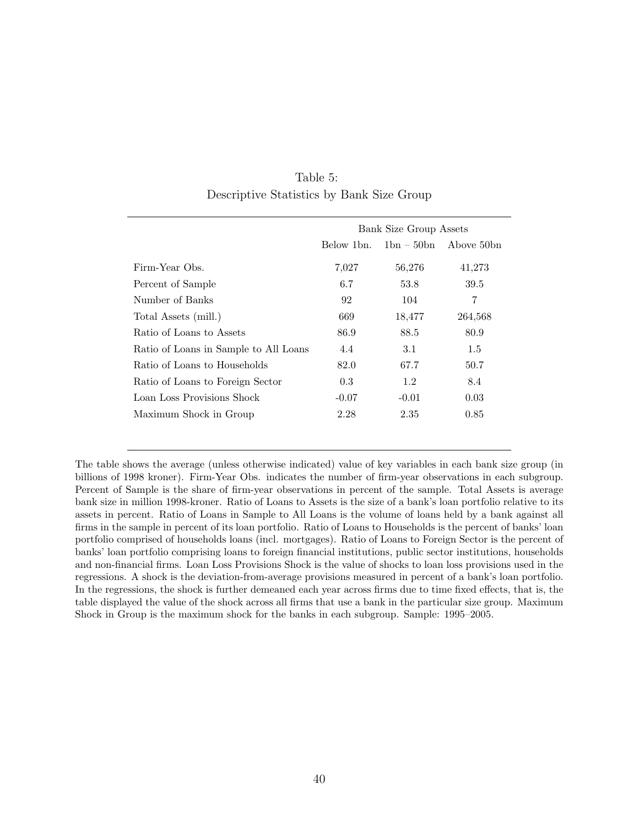|                                       |            | Bank Size Group Assets |            |
|---------------------------------------|------------|------------------------|------------|
|                                       | Below 1bn. | $1bn - 50bn$           | Above 50bn |
| Firm-Year Obs.                        | 7,027      | 56,276                 | 41,273     |
| Percent of Sample                     | 6.7        | 53.8                   | 39.5       |
| Number of Banks                       | 92         | 104                    | 7          |
| Total Assets (mill.)                  | 669        | 18,477                 | 264,568    |
| Ratio of Loans to Assets              | 86.9       | 88.5                   | 80.9       |
| Ratio of Loans in Sample to All Loans | 4.4        | 3.1                    | $1.5\,$    |
| Ratio of Loans to Households          | 82.0       | 67.7                   | 50.7       |
| Ratio of Loans to Foreign Sector      | 0.3        | 1.2                    | 8.4        |
| Loan Loss Provisions Shock            | $-0.07$    | $-0.01$                | 0.03       |
| Maximum Shock in Group                | 2.28       | 2.35                   | 0.85       |
|                                       |            |                        |            |

#### Table 5: Descriptive Statistics by Bank Size Group

The table shows the average (unless otherwise indicated) value of key variables in each bank size group (in billions of 1998 kroner). Firm-Year Obs. indicates the number of firm-year observations in each subgroup. Percent of Sample is the share of firm-year observations in percent of the sample. Total Assets is average bank size in million 1998-kroner. Ratio of Loans to Assets is the size of a bank's loan portfolio relative to its assets in percent. Ratio of Loans in Sample to All Loans is the volume of loans held by a bank against all firms in the sample in percent of its loan portfolio. Ratio of Loans to Households is the percent of banks' loan portfolio comprised of households loans (incl. mortgages). Ratio of Loans to Foreign Sector is the percent of banks' loan portfolio comprising loans to foreign financial institutions, public sector institutions, households and non-financial firms. Loan Loss Provisions Shock is the value of shocks to loan loss provisions used in the regressions. A shock is the deviation-from-average provisions measured in percent of a bank's loan portfolio. In the regressions, the shock is further demeaned each year across firms due to time fixed effects, that is, the table displayed the value of the shock across all firms that use a bank in the particular size group. Maximum Shock in Group is the maximum shock for the banks in each subgroup. Sample: 1995–2005.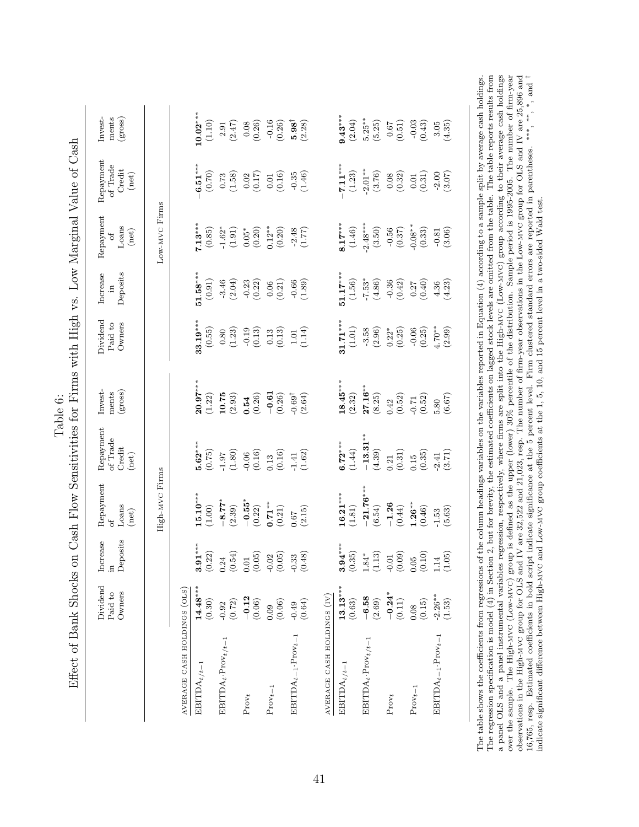|                                                     | Dividend<br>Paid to<br>Owners | Deposits<br>Increase<br>$\mathbf{m}$ | Repayment of<br>$_{\rm Loans}$<br>(net)       | Repayment<br>of Trade<br>Credit<br>(net)      | $Invest-$<br>$\left( \text{gross} \right)$<br>ments | Dividend<br>Owners<br>Paid to               | Deposits<br>Increase<br>$\Xi$               | Repayment<br>Loans<br>(net)<br>ð                                      | Repayment<br>of Trade<br>${\bf Credit}$<br>(net)        | Invest-<br>ments<br>$\left( \text{gross} \right)$ |
|-----------------------------------------------------|-------------------------------|--------------------------------------|-----------------------------------------------|-----------------------------------------------|-----------------------------------------------------|---------------------------------------------|---------------------------------------------|-----------------------------------------------------------------------|---------------------------------------------------------|---------------------------------------------------|
|                                                     |                               |                                      | High-MVC Firms                                |                                               |                                                     |                                             |                                             | Low-MVC Firms                                                         |                                                         |                                                   |
| AVERAGE CASH HOLDINGS (OLS)                         |                               |                                      |                                               |                                               |                                                     |                                             |                                             |                                                                       |                                                         |                                                   |
| EBITD $A_{t/t-1}$                                   | $14.48***$<br>(0.30)          | $3.91***$<br>(0.22)                  | $15.10***$<br>(1.00)                          | $\frac{5.62***}{(0.75)}$                      | $20.97***$<br>(1.22)                                | $33.19***$<br>(0.55)                        | $51.58***$<br>$(0.91)$                      | $13***$                                                               |                                                         | $10.02***$<br>(1.10)                              |
| $\texttt{EBITDA}_t\texttt{.} \texttt{Prov}_{t/t-1}$ | (0.72)<br>$-0.92$             | (0.54)<br>0.24                       | $-8.77*$<br>(2.39)                            | $-1.97$<br>(1.80)                             | $10.75$<br>(2.93)                                   | $\frac{0.80}{(1.23)}$                       | $-3.46$<br>(2.04)                           | $\begin{array}{c} (0.85) \\ -1.62^* \\ (1.91) \end{array}$            | $-6.51***$<br>(0.70)<br>(0.73<br>0.73                   | $2.91$<br>(2.47)                                  |
| ${\rm Prov}_t$                                      | $-0.12$<br>(0.06)             | (0.05)<br>0.01                       | $-0.55*$<br>$(0.22)$                          | $-0.06$<br>(0.16)                             | (0.26)<br>0.54                                      | $-0.19$<br>$(0.13)$                         | $-0.23$<br>(0.22)                           |                                                                       | $\begin{array}{c} 0.02 \\ 0.17 \end{array}$             | $\begin{array}{c} 0.08 \\ (0.26) \end{array}$     |
| $Prov_{t-1}$                                        | (0.06)<br>0.09                | (0.05)<br>$-0.02$                    |                                               | $\begin{array}{c} 0.13 \\ (0.16) \end{array}$ | $-0.61$<br>(0.26)                                   | $\begin{array}{c} 0.13 \\ 0.13 \end{array}$ | $\begin{array}{c} 0.06 \\ 0.21 \end{array}$ | $\begin{array}{c} 0.05^{*}\\ (0.20)\\ 0.12^{**}\\ (0.20) \end{array}$ | $\begin{array}{c} 0.01 \\ 0.16 \end{array}$             | $-0.16$<br>(0.26)                                 |
| $EBITDA_{t-1}$ . $Prov_{t-1}$                       | $-0.49$<br>$(0.64)$           | (0.48)<br>$-0.33$                    | $\begin{array}{c} 0.67 \\ (2.15) \end{array}$ | $-1.41$<br>(1.62)                             | $-0.69^{\dagger}$<br>(2.64)                         | $1.01$<br>(1.14)                            | $-0.66$<br>(1.89)                           | $-2.48$<br>(1.77)                                                     | $-0.35$<br>(1.46)                                       | $5.98^{\dagger}$<br>(2.28)                        |
| AVERAGE CASH HOLDINGS (IV)                          |                               |                                      |                                               |                                               |                                                     |                                             |                                             |                                                                       |                                                         |                                                   |
| $\text{EBITDA}_{t/t-1}$                             | $13.13***$<br>(0.63)          | $3.94***$<br>(0.35)                  | $16.21***$<br>$(1.81)$                        | $6.72***$<br>(1.44)                           | $18.45***$<br>(2.32)                                | $31.71***$<br>$(1.01)$                      | $51.17***$<br>(1.56)                        | $\begin{array}{c} {\bf 8.17}^{***} \ \text{(1.46)} \end{array}$       | $-7.11***$<br>(1.23)                                    | $9.43***$<br>(2.04)                               |
| EBITDA <sub>t</sub> .Pro $v_{t/t-1}$                | $-6.58$<br>(2.69)             | (1.13)<br>$1.84*$                    | $-21.76***$<br>$(6.54)$                       | $\frac{-13.31^{**}}{(4.39)}$                  | $27.16**$<br>(8.25)                                 | $-3.58$<br>(2.96)                           | $-7.53*$<br>(4.86)                          | $-2.48***$<br>(3.50)                                                  | $-2.01**$<br>(3.76)                                     | $5.25**$<br>( $5.25$ )                            |
| ${\rm Prov}_t$                                      | $-0.24*$<br>(0.11)            | (0.09)<br>$-0.01$                    | $-1.26$<br>$(0.44)$                           | (0.31)<br>0.21                                | $\begin{array}{c} 0.42 \\ 0.52 \end{array}$         | $0.22*$<br>(0.25)                           | $-0.36$<br>$(0.42)$                         | $-0.56$<br>(0.37)                                                     | $\begin{array}{c} 0.08 \\ 0.32 \end{array}$             | (15.0)                                            |
| $Prov_{t-1}$                                        | (0.15)<br>0.08                | (0.10)<br>0.05                       | $1.26**$<br>(0.46)                            | $\begin{array}{c} 0.15 \\ (0.35) \end{array}$ | (0.52)<br>$\textbf{-0.71}$                          | $-0.06$<br>$(0.25)$                         | (0.27)                                      | $-0.08**$<br>(0.33)                                                   | $\left(\begin{matrix} 0.01 \\ 0.31 \end{matrix}\right)$ | $-0.03$<br>(0.43)                                 |
| $EBITDA_{t-1} \cdot Prov_{t-1}$                     | $-2.26**$<br>(1.53)           | (1.05)<br>1.14                       | $-1.53$<br>(5.63)                             | $-2.41$<br>(3.71)                             | $5.80$<br>(6.67)                                    | $4.70**$<br>(2.99)                          | $\frac{4.36}{(4.23)}$                       | $-0.81$<br>(3.06)                                                     | $-2.00$<br>(3.07)                                       | $\frac{3.05}{(4.35)}$                             |

Table 6:

a panel OLS and a panel instrumental variables regression, respectively, where firms are split into the High-MVC (Low-MVC) group acoording to their average cash holdings over the sample. The High-MVC (Low-MVC) group is de The table shows the coefficients from regressions of the column headings variables on the variables reported in Equation (4) according to a sample split by average cash holdings.<br>The regression specification is model (4) The table shows the coefficients from regressions of the column headings variables on the variables reported in Equation (4) according to a sample split by average cash holdings. The regression specification is model (4) in Section 2, but for brevity, the estimated coefficients on lagged stock levels are omitted from the table. The table reports results from  $\ldots$  are  $\ldots$  of  $\ldots$  are  $\ldots$  and a panel OLS and a panel instrumental variables regression, respectively, where firms are split into the High-MVC (Low-MVC) group according to their average cash holdings over the sample. The High-MVC (Low-MVC) group is defined as the upper (lower) 30% percentile of the distribution. Sample period is 1995-2005. The number of firm-year observations in the High-MVC group for OLS and IV are 32,522 and 21,023, resp. The number of firm-year observations in the Low-MVC group for OLS and IV are 25,896 and 16,765, resp. Estimated coefficients in bold script indicate significance at the 5 percent level. Firm clustered standard errors are reported in parentheses. ∗∗∗, ∗∗, ∗, and † indicate significant difference between High-MVC and Low-MVC group coefficients at the 1, 5, 10, and 15 percent level in a two-sided Wald test. The tal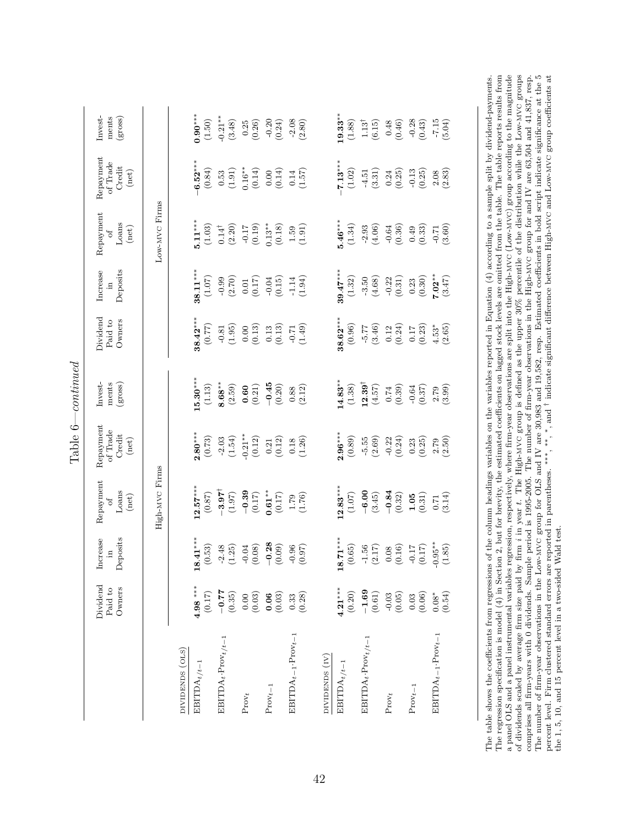|                                                       | Dividend<br>Owners<br>Paid to | Deposits<br>Increase<br>.<br>크                                                                                                   | Repayment<br>L <sub>oans</sub><br>(net)<br>$\delta$                                                                                                                                                                                                                                                                                | Repayment<br>of Trade<br>Credit<br>$(\mathrm{net})$                               | Invest-<br>ments<br>(gross)                                         | Dividend<br>Owners<br>Paid to                                    | Deposits<br>Increase<br>$\ddot{a}$                                            | Repayment<br>$_{\rm Loans}$<br>(net)<br>$\sigma$                                   | Repayment<br>of Trade<br>${\bf Credit}$<br>(net)                                                             | Invest-<br>(gross)<br>ments                                                                                                        |
|-------------------------------------------------------|-------------------------------|----------------------------------------------------------------------------------------------------------------------------------|------------------------------------------------------------------------------------------------------------------------------------------------------------------------------------------------------------------------------------------------------------------------------------------------------------------------------------|-----------------------------------------------------------------------------------|---------------------------------------------------------------------|------------------------------------------------------------------|-------------------------------------------------------------------------------|------------------------------------------------------------------------------------|--------------------------------------------------------------------------------------------------------------|------------------------------------------------------------------------------------------------------------------------------------|
|                                                       |                               |                                                                                                                                  | High-MVC Firms                                                                                                                                                                                                                                                                                                                     |                                                                                   |                                                                     |                                                                  |                                                                               | Low-MVC Firms                                                                      |                                                                                                              |                                                                                                                                    |
| DIVIDENDS (OLS)<br>EBITD $A_{t/t-1}$                  | $4.98***$                     | $*$ $*$<br>18.41                                                                                                                 | $2.57***$                                                                                                                                                                                                                                                                                                                          |                                                                                   | $.5.30***$                                                          |                                                                  |                                                                               |                                                                                    | $6.52***$                                                                                                    |                                                                                                                                    |
|                                                       | (0.17)                        | $\left(0.53\right)$                                                                                                              | $(0.87)$                                                                                                                                                                                                                                                                                                                           |                                                                                   | (1.13)                                                              |                                                                  | (1.07)                                                                        |                                                                                    | $(0.84)$                                                                                                     |                                                                                                                                    |
| $\texttt{EBITDA}{}_{t}\!\cdot\!\texttt{Prov}_{t/t-1}$ | $-0.77$<br>(0.35)             |                                                                                                                                  | $\begin{array}{c} -3.97^\dagger \\ (1.97) \end{array}$                                                                                                                                                                                                                                                                             |                                                                                   | $\textbf{8.68}^{**}$<br>(2.59)                                      |                                                                  |                                                                               |                                                                                    |                                                                                                              | $0.90***$<br>$(1.50)$<br>$-0.21**$<br>$(3.48)$                                                                                     |
| ${\rm Prov}_t$                                        | $\left(0.03\right)$<br>0.00   | $\begin{array}{c} -2.48 \\ (1.25) \\ -0.04 \\ (0.08) \end{array}$                                                                |                                                                                                                                                                                                                                                                                                                                    | $2.80***$<br>$(0.73)$<br>$-2.03$<br>$(1.54)$<br>$-0.21**$<br>$(0.12)$<br>$(0.12)$ | (0.60)                                                              | <b>38.42***</b><br>(0.77)<br>(0.77)<br>-0.81<br>(1.95)<br>(0.13) | $\begin{array}{c} 0.99 \\ -0.01 \\ 0.01 \\ -0.04 \\ -0.17 \\ \end{array}$     | <b>5.11**</b><br>(1.03)<br>(1.03)<br>(1.17<br>(1.03)<br>(1.59)<br>(1.59)<br>(1.59) |                                                                                                              | $\begin{array}{c} 0.25 \\ (0.26) \\ -0.20 \\ (0.24) \end{array}$                                                                   |
| $Prov_{t-1}$                                          | (0.03)<br>0.06                |                                                                                                                                  |                                                                                                                                                                                                                                                                                                                                    |                                                                                   | $-0.45$<br>(0.20)                                                   | $\frac{0.13}{(0.13)}$                                            |                                                                               |                                                                                    |                                                                                                              |                                                                                                                                    |
| $EBTDA_{t-1} \cdot Prov_{t-1}$                        | (0.28)<br>0.33                | $\begin{array}{c} -0.28 \\ (0.09) \\ -0.96 \\ (0.07) \end{array}$                                                                | $\begin{array}{c} (91.1) \\ (11.0) \\ (21.0) \\ (11.0) \\ (21.0) \\ (21.0) \\ (31.0) \\ (41.0) \\ (51.0) \\ (61.0) \\ (71.0) \\ (81.0) \\ (91.0) \\ (11.0) \\ (12.0) \\ (12.0) \\ (12.0) \\ (12.0) \\ (12.0) \\ (12.0) \\ (12.0) \\ (12.0) \\ (12.0) \\ (12.0) \\ (12.0) \\ (12.0) \\ (12.0) \\ (12.0) \\ (12.0) \\ (12.0) \\ (12$ | $\frac{0.18}{(1.26)}$                                                             | $\frac{0.88}{(2.12)}$                                               | $-0.71$<br>(1.49)                                                |                                                                               |                                                                                    | $\begin{array}{c} 0.53 \\ (1.91) \\ (0.16^{**} \\ (0.14) \\ (0.00 \\ (0.14) \\ (0.14) \\ (1.57) \end{array}$ | $-2.08$<br>(2.80)                                                                                                                  |
| DIVIDENDS (IV)                                        |                               |                                                                                                                                  |                                                                                                                                                                                                                                                                                                                                    |                                                                                   |                                                                     |                                                                  |                                                                               |                                                                                    |                                                                                                              |                                                                                                                                    |
| $\text{EBITDA}_{t/t-1}$                               | $4.21***$<br>(0.20)           | $*$<br>18.71                                                                                                                     | $12.83***$<br>$(1.07)$                                                                                                                                                                                                                                                                                                             | $\frac{2.96***}{(0.89)}$                                                          | $14.83**$<br>(1.38)                                                 | $38.62**$<br>(0.96)                                              | $39.47***$<br>(1.32)                                                          | $5.46***$<br>(1.34)                                                                | $7.13***$<br>(1.02)                                                                                          |                                                                                                                                    |
| $EBITDA_t \cdot Prov_{t/t-1}$                         | $-1.69$<br>$(0.61)$           | $\begin{array}{c} (0.65) \\ -1.56 \\ (2.17) \\ 0.08 \\ (0.16) \\ -0.17 \\ (0.17) \\ -0.95^{***} \\ (1.85) \\ (1.85) \end{array}$ | $-6.00$<br>(3.45)                                                                                                                                                                                                                                                                                                                  | $-5.55$<br>(2.69)                                                                 | $\textbf{12.39}^\dagger$ (4.57)                                     | $-5.77$<br>(3.46)                                                | $-3.50$<br>(4.68)                                                             | $-2.93$<br>(4.06)                                                                  | (3.31)                                                                                                       | $\begin{array}{c} \textbf{19.33}^{**} \ \textbf{(1.88)} \ \textbf{(1.81)} \ \textbf{1.13}^{\dagger} \ \textbf{(6.15)} \end{array}$ |
| Prov $_t$                                             | (0.05)<br>$-0.03$             |                                                                                                                                  | $-0.84$<br>(0.32)                                                                                                                                                                                                                                                                                                                  | $-0.22$<br>(0.24)                                                                 | (0.39)                                                              | (0.12)                                                           |                                                                               |                                                                                    | (0.24)                                                                                                       | (0.46)                                                                                                                             |
| $\mbox{Prov}_{t-1}$                                   | (0.06)<br>$0.03\,$            |                                                                                                                                  | $\begin{array}{c} \mathbf{1.05} \\ \mathbf{0.31} \\ \mathbf{0.71} \\ \mathbf{0.14} \end{array}$                                                                                                                                                                                                                                    | $\binom{0.23}{0.25}$                                                              |                                                                     |                                                                  |                                                                               |                                                                                    |                                                                                                              | $-0.28$<br>(0.43)                                                                                                                  |
| $EBITDA_{t-1}$ . $Prov_{t-1}$                         | (0.54)<br>$0.08^*$            |                                                                                                                                  |                                                                                                                                                                                                                                                                                                                                    | $\frac{2.79}{(2.50)}$                                                             | $\begin{array}{c} 0.64 \\ 0.37) \\ 2.79 \\ \hline 2.99 \end{array}$ | $\begin{array}{c} 0.17 \\ 0.23 \\ 4.53^* \\ (2.65) \end{array}$  | $-0.22$<br>$(0.31)$<br>$0.23$<br>$(0.30)$<br>$7.02$ <sup>**</sup><br>$(3.47)$ | $\begin{array}{c} 0.64 \\ 0.36) \\ 0.49 \\ 0.33) \\ -0.71 \\ \end{array}$          | $\begin{array}{c} 0.13 \\ 0.25 \\ 2.08 \\ \hline 2.83 \end{array}$                                           | (5.04)                                                                                                                             |

 $Table 6—continued$  ${\scriptstyle\text{Table}\xspace}$  6—continued

a panel OLS and a panel instrumental variables regression, respectively, where firm-year observations are split into the High-MVC (Low-MVC) group acording to the magnitude of dividends scaled by average firm size paid by The table shows the coefficients from regressions of the column headings variables on the variables reported in Equation  $(4)$  according to a sample split by dividend-payments.<br>The regression specification is model  $(4)$  The number of firm-year observations in the Low-MVC group for OLS and IV are 30,983 and 19,582, resp. Estimated coefficients in bold script indicate significance at the 5 The table shows the coefficients from regressions of the column headings variables on the variables reported in Equation (4) according to a sample split by dividend-payments. The regression specification is model (4) in Section 2, but for brevity, the estimated coefficients on lagged stock levels are omitted from the table. The table reports results from  $\ldots$  and  $\ldots$  and  $\ldots$  and  $\ldots$  and a panel OLS and a panel instrumental variables regression, respectively, where firm-year observations are split into the High-MVC (Low-MVC) group according to the magnitude of dividends scaled by average firm size paid by firm *i* in year t. The High-MVC group is defined as the upper 30% percentile of the distribution while the Low-MVC groups<br>commisses all firm wear with a distribution commis comprises all firm-years with 0 dividends. Sample period is 1995-2005. The number of firm-year observations in the High-MVC group for and IV are 63,504 and 41,837, resp. percent level. Firm clustered standard errors are reported in parentheses. ∗∗∗, ∗∗, ∗, and † indicate significant difference between High-MVC and Low-MVC group coefficients at the 1, 5, 10, and 15 percent level in a two-sided Wald test.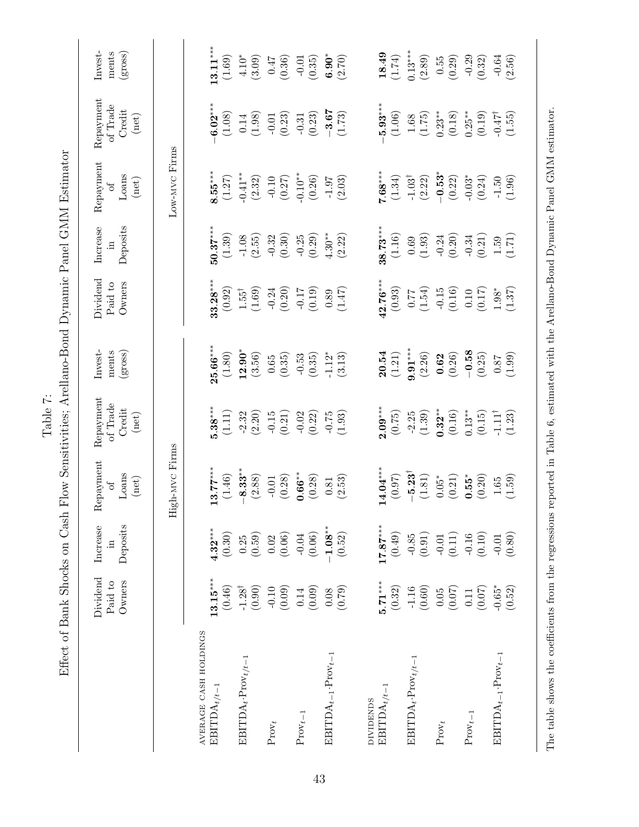| J<br>I<br>ł | $\frac{1}{2}$<br>j<br>ĺ<br>ĺ<br>I<br>l<br>į<br>í<br>j<br>I<br>$\overline{\mathbf{r}}$<br>Î |
|-------------|--------------------------------------------------------------------------------------------|
|-------------|--------------------------------------------------------------------------------------------|

|                                              | Dividend<br>Owners<br>Paid to               | Deposits<br>Increase<br>$\Xi$                 | epayment<br>Loans<br>$(\text{net})$<br>$\mathfrak{b}$<br>$\tilde{\mathbb{E}}$ | Repayment<br>of Trade<br>Credit<br>(net) | Invest-<br>ments<br>(gross)                 | Dividend<br>Owners<br>Paid to | Deposits<br>Increase<br>$\Xi$ | Repayment<br>L <sub>oans</sub><br>$(\text{net})$<br>đ       | Repayment<br>of Trade<br>Credit<br>(net) | Invest-<br>ments<br>(gross)                 |
|----------------------------------------------|---------------------------------------------|-----------------------------------------------|-------------------------------------------------------------------------------|------------------------------------------|---------------------------------------------|-------------------------------|-------------------------------|-------------------------------------------------------------|------------------------------------------|---------------------------------------------|
|                                              |                                             |                                               | h-MVC Firms<br>Ηġ                                                             |                                          |                                             |                               |                               | Low-MVC Firms                                               |                                          |                                             |
| AVERAGE CASH HOLDINGS<br>EBITD $A_{t/t-1}$   | $13.15***$<br>(0.46)                        | $4.32***$<br>(0.30)                           | $3.77***$<br>(1.46)                                                           | $5.38***$<br>(1.11)                      | $25.66***$<br>$(1.80)$                      | $3.28***$<br>(0.92)           | $50.37***$<br>(1.39)          | $\frac{1}{(1.27)}$                                          | $6.02***$<br>(1.08)                      | $13.11***$<br>(1.69)                        |
| $\text{EBITDA}_t\text{-}\text{Prov}_{t/t-1}$ | $-1.28^{\dagger}$<br>(0.90)                 | $\begin{array}{c} 0.25 \\ (0.59) \end{array}$ | $-8.33***$<br>$(2.88)$                                                        | $-2.32$<br>(2.20)                        | $12.90^*$<br>(3.56)                         | $1.55^{\dagger}$<br>(1.69)    | $-1.08$<br>(2.55)             |                                                             | (1.98)                                   | $4.10*$<br>(3.09)                           |
| ${\rm Prov}_t$                               | $-0.10$<br>(0.09)                           | (0.02)                                        | (0.28)<br>$-0.01$                                                             | $-0.15$<br>(0.21)                        | $\begin{array}{c} 0.65 \\ 0.35 \end{array}$ | $-0.24$<br>(0.20)             | $-0.32$<br>(0.30)             | $-0.41**$<br>(2.32)<br>(0.10<br>$-0.10$<br>(0.27)<br>(0.26) | $-0.01$<br>(0.23)                        | $0.47$ $(0.36)$                             |
| $Prov_{t-1}$                                 | (0.09)<br>$0.14\,$                          | (0.06)<br>$-0.04$                             | $0.66***$<br>(0.28)                                                           | $-0.02$<br>(0.22)                        | (0.35)<br>$-0.53$                           | (0.19)<br>$-0.17$             | (0.29)<br>$-0.25$             |                                                             | $-0.31$<br>(0.23)                        | $-0.01$<br>(0.35)                           |
| $EBITDA_{t-1} \cdot Prov_{t-1}$              | (6.79)                                      | $-1.08**$<br>(0.52)                           | (2.53)<br>0.81                                                                | $-0.75$<br>(1.93)                        | $-1.12$ <sup>*</sup><br>(3.13)              | (1.47)                        | $4.30**$<br>(2.22)            | $-1.97$<br>(2.03)                                           | $-3.67$<br>(1.73)                        | $6.90^*$<br>(2.70)                          |
| EBITD $A_{t/t-1}$<br><b>DIVIDENDS</b>        | $5.71***$<br>$(0.32)$                       | $17.87***$<br>(0.49)                          | $4.04***$<br>(0.97)                                                           | $2.09***$<br>(0.75)                      | (1.21)                                      | $12.76***$<br>(0.93)          | $38.73**$<br>(1.16)           | $7.68***$<br>(1.34)                                         | $5.93***$<br>(1.06)                      | (1.74)                                      |
| EBITDA <sub>t</sub> .Pro $v_{t/t-1}$         | $-1.16$<br>(0.60)                           | $-0.85$<br>(0.91)                             | $-5.23^{\dagger}$<br>(1.81)                                                   | $-2.25$<br>(1.39)                        | $9.91***$<br>(2.26)                         | $(1.54)$                      | (1.93)                        | $-1.03^{\dagger}$<br>(2.22)                                 | $1.68$<br>(1.75)                         | $0.13***$<br>(2.89)                         |
| ${\rm Prov}_t$                               | $(0.07)$<br>$0.05\,$                        | $-0.01$ (0.11)                                | $0.05^*$<br>(0.21)                                                            | $0.32^{**}$<br>(0.16)                    | $\begin{array}{c} 0.62 \\ 0.26 \end{array}$ | $-0.15$<br>(0.16)             | $-0.24$<br>(0.20)             | $-0.53^{\circ}$<br>(0.22)                                   | $0.23**$<br>(0.18)                       | $\begin{array}{c} 0.55 \\ 0.29 \end{array}$ |
| $Prov_{t-1}$                                 | $\begin{array}{c} 0.11 \\ 0.07 \end{array}$ | $-0.16$<br>(0.10)                             | $0.55^{*}$<br>(0.20)                                                          | $0.13***$<br>(0.15)                      | $-0.58$<br>(0.25)                           | (0.17)                        | $-0.34$<br>(0.21)             | $-0.03*$<br>(0.24)                                          | $0.25***$<br>(0.19)                      | $-0.29$<br>(0.32)                           |
| $EBITDA_{t-1} \cdot Prov_{t-1}$              | $-0.65$ <sup>*</sup><br>(0.52)              | $-0.01$<br>(0.80)                             | $1.65$<br>(1.59)                                                              | $-1.11^{\dagger}$<br>(1.23)              | (1.99)                                      | $1.98*$<br>(1.37)             | $1.59$<br>$(1.71)$            | $-1.50$<br>(1.96)                                           | $-0.47^{\dagger}$<br>(1.55)              | $-0.64$<br>(2.56)                           |
|                                              |                                             |                                               |                                                                               |                                          |                                             |                               |                               |                                                             |                                          |                                             |

The table shows the coefficients from the regressions reported in Table 6, estimated with the Arellano-Bond Dynamic Panel GMM estimator.

The table shows the coefficients from the regressions reported in Table 6, estimated with the Arellano-Bond Dynamic Panel GMM estimator.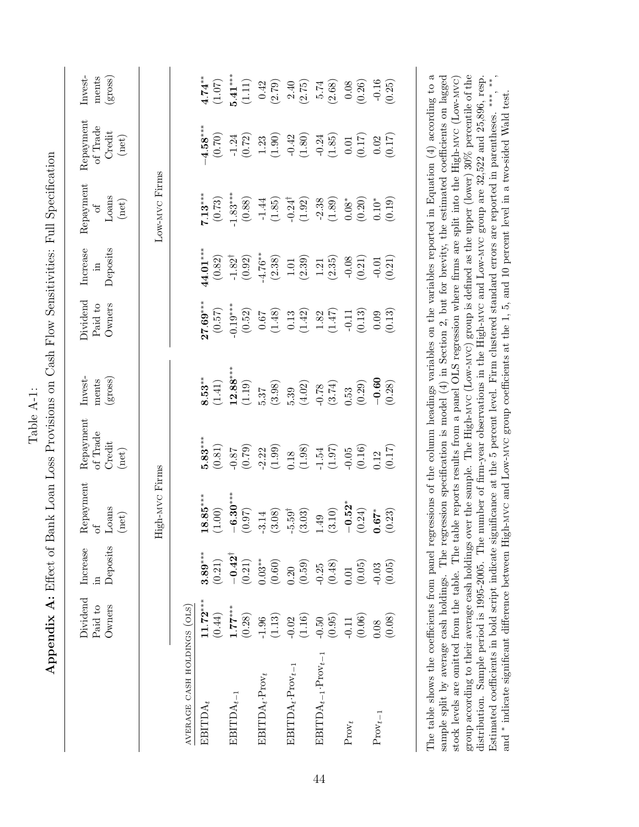| I<br>$\vdots$ | F<br>F<br>Ī<br>֡֡֡֡֡֡֡<br>2<br>2<br>۱<br>با<br>؟<br>ا |
|---------------|-------------------------------------------------------|
|               |                                                       |
|               | ı<br>$\frac{1}{1}$<br>į                               |

|                                                                                                                                                                                                                                                                                                               | Dividend<br>Owners<br>Paid to | Deposits<br>Increase<br>$\Xi$ | Repayment<br>Loans<br>(net)<br>$\sigma$ | Repayment<br>of Trade<br>Credit<br>(net) | Invest-<br>(gross)<br>ments                                     | <b>Dividend</b><br>Owners<br>Paid to          | Deposits<br>Increase<br>$\Xi$ | Repayment<br>L <sub>oans</sub><br>(net)<br>đ       | Repayment<br>of Trade<br>Credit<br>(net) | Invest-<br>ments<br>$(\mathrm{gross})$       |
|---------------------------------------------------------------------------------------------------------------------------------------------------------------------------------------------------------------------------------------------------------------------------------------------------------------|-------------------------------|-------------------------------|-----------------------------------------|------------------------------------------|-----------------------------------------------------------------|-----------------------------------------------|-------------------------------|----------------------------------------------------|------------------------------------------|----------------------------------------------|
|                                                                                                                                                                                                                                                                                                               |                               |                               | High-MVC Firms                          |                                          |                                                                 |                                               |                               | Low-MVC Firms                                      |                                          |                                              |
| AVERAGE CASH HOLDINGS (OLS)                                                                                                                                                                                                                                                                                   |                               |                               |                                         |                                          |                                                                 |                                               |                               |                                                    |                                          |                                              |
| EBITD $A_t$                                                                                                                                                                                                                                                                                                   | $11.72***$<br>(0.44)          | $3.89***$<br>(0.21)           | $18.85***$<br>(1.00)                    | $5.83***$<br>$(0.81)$                    | $8.53***$<br>(1.41)                                             | $27.69***$<br>(0.57)                          | $44.01***$<br>$(0.82)$        | $7.13***$<br>(0.73)                                | $4.58***$<br>(0.70)                      | $4.74***$<br>$(1.07)$                        |
| EBITD $A_{t-1}$                                                                                                                                                                                                                                                                                               | $1.77***$<br>(0.28)           | $-0.42^\dagger$<br>(0.21)     | $-6.30***$<br>(0.97)                    | (0.79)<br>$-0.87$                        | $12.88***$<br>(1.19)                                            | $-0.19***$<br>$\left(0.52\right)$             | $-1.82^{\dagger}$<br>(0.92)   | $-1.83***$<br>(0.88)                               | $-1.24$<br>(0.72)                        | $5.41***$<br>$\left( 1.11\right)$            |
| $EBITDA_t$ . $Prov_t$                                                                                                                                                                                                                                                                                         | (1.13)<br>$-1.96$             | $0.03***$<br>(0.60)           | (3.08)<br>$-3.14$                       | $-2.22$<br>(1.99)                        | (3.98)<br>5.37                                                  | (1.48)                                        | $-4.76**$<br>(2.38)           | (1.85)<br>$-1.44$                                  | $1.23$<br>(1.90)                         | (2.79)                                       |
| $EBITDA_t \cdot Prov_{t-1}$                                                                                                                                                                                                                                                                                   | $-0.02$<br>(1.16)             | $\frac{0.20}{(0.59)}$         | $-5.59^{\dagger}$<br>(3.03)             | $(1.98)$<br>0.18                         |                                                                 | (1.42)                                        | $1.01$<br>(2.39)              | $\ensuremath{^{-0.24^{\dagger}}}\xspace$<br>(1.92) | $-0.42$<br>(1.80)                        | $2.40$<br>$(2.75)$                           |
| $EBITDA_{t-1} \cdot Prov_{t-1}$                                                                                                                                                                                                                                                                               | $-0.50$<br>(0.95)             | $-0.25$<br>(0.48)             | (3.10)<br>1.49                          | (1.97)<br>$1.54\,$                       | $\begin{array}{c} 5.39 \\ (4.02) \\ 0.78 \\ (3.74) \end{array}$ | $\begin{array}{c} 1.82 \\ (1.47) \end{array}$ | $1.21$<br>(2.35)              | $-2.38$<br>(1.89)                                  | $-0.24$<br>(1.85)                        | $5.74 \newline \overline{\phantom{0}}(2.68)$ |
| Prov <sub>t</sub>                                                                                                                                                                                                                                                                                             | (0.06)<br>$-0.11$             | $\binom{0.01}{0.05}$          | $-0.52^{*}$<br>(0.24)                   | $-0.05$<br>$(0.16)$                      | (0.29)<br>0.53                                                  | $-0.11$<br>(0.13)                             | $-0.08$<br>(0.21)             | $0.08^{*}$<br>(0.20)                               | (0.17)                                   | (0.08)                                       |
| $Prov_{t-1}$                                                                                                                                                                                                                                                                                                  | (0.08)<br>0.08                | (0.03)                        | $0.67*$<br>(0.23)                       | (0.17)<br>0.12                           | $-0.60$<br>(0.28)                                               | $\begin{array}{c} 0.09 \\ 0.13 \end{array}$   | $-0.01$<br>(0.21)             | $(0.10^*$<br>(0.19)                                | $\frac{0.02}{0.17}$                      | $-0.16$<br>(0.25)                            |
| The table shows the coefficients from panel regressions of the column headings variables on the variables reported in Equation $(4)$ according to a<br>sample split by average cash holdings. The regression specification is model $(4)$ in Section 2, but for brevity, the estimated coefficients on lagged |                               |                               |                                         |                                          |                                                                 |                                               |                               |                                                    |                                          |                                              |

group according to their average cash holdings over the sample. The High-MVC (Low-MVC) group is defined as the upper (lower) 30% percentile of the Estimated coefficients in bold script indicate significance at the 5 percent level. Firm clustered standard errors are reported in parentheses. \*\*\*, \*\*, stock levels are omitted from the table. The table reports results from a panel OLS regression where firms are split into the High-MVC (Low-MVC) distribution. Sample period is 1995-2005. The number of firm-year observations in the High-MVC and Low-MVC group are 32,522 and 25,896, resp. stock levels are omitted from the table. The table reports results from a panel OLS regression where firms are split into the High-MVC (Low-MVC) group according to their average cash holdings over the sample. The High-MVC (Low-MVC) group is defined as the upper (lower) 30% percentile of the distribution. Sample period is 1995-2005. The number of firm-year observations in the High-MVC and Low-MVC group are 32,522 and 25,896, resp. Estimated coefficients in bold script indicate significance at the 5 percent level. Firm clustered standard errors are reported in parentheses. ∗∗∗, ∗∗, and \* indicate significant difference between High-MVC and Low-MVC group coefficients at the 1, 5, and 10 percent level in a two-sided Wald test. and ∗ indicate significant difference between High-MVC and Low-MVC group coefficients at the 1, 5, and 10 percent level in a two-sided Wald test.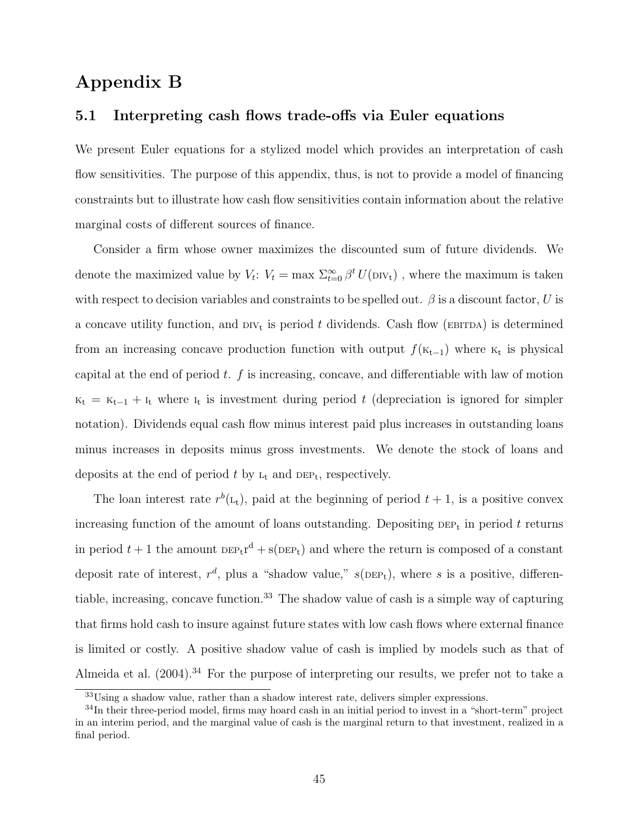## Appendix B

#### 5.1 Interpreting cash flows trade-offs via Euler equations

We present Euler equations for a stylized model which provides an interpretation of cash flow sensitivities. The purpose of this appendix, thus, is not to provide a model of financing constraints but to illustrate how cash flow sensitivities contain information about the relative marginal costs of different sources of finance.

Consider a firm whose owner maximizes the discounted sum of future dividends. We denote the maximized value by  $V_t$ :  $V_t = \max \sum_{t=0}^{\infty} \beta^t U(\text{Div}_t)$ , where the maximum is taken with respect to decision variables and constraints to be spelled out.  $\beta$  is a discount factor, U is a concave utility function, and  $DV_t$  is period t dividends. Cash flow (EBITDA) is determined from an increasing concave production function with output  $f(\kappa_{t-1})$  where  $\kappa_t$  is physical capital at the end of period  $t$ .  $f$  is increasing, concave, and differentiable with law of motion  $K_t = K_{t-1} + I_t$  where  $I_t$  is investment during period t (depreciation is ignored for simpler notation). Dividends equal cash flow minus interest paid plus increases in outstanding loans minus increases in deposits minus gross investments. We denote the stock of loans and deposits at the end of period  $t$  by  $L_t$  and  $DEF_t$ , respectively.

The loan interest rate  $r^{b}(\mathbf{L}_{t})$ , paid at the beginning of period  $t + 1$ , is a positive convex increasing function of the amount of loans outstanding. Depositing  $\rho_{EPt}$  in period t returns in period  $t+1$  the amount  $DEF<sub>t</sub>r<sup>d</sup> + s(DEF<sub>t</sub>)$  and where the return is composed of a constant deposit rate of interest,  $r^d$ , plus a "shadow value,"  $s$ (DEP<sub>t</sub>), where s is a positive, differentiable, increasing, concave function.<sup>33</sup> The shadow value of cash is a simple way of capturing that firms hold cash to insure against future states with low cash flows where external finance is limited or costly. A positive shadow value of cash is implied by models such as that of Almeida et al. (2004).<sup>34</sup> For the purpose of interpreting our results, we prefer not to take a

<sup>33</sup>Using a shadow value, rather than a shadow interest rate, delivers simpler expressions.

<sup>&</sup>lt;sup>34</sup>In their three-period model, firms may hoard cash in an initial period to invest in a "short-term" project in an interim period, and the marginal value of cash is the marginal return to that investment, realized in a final period.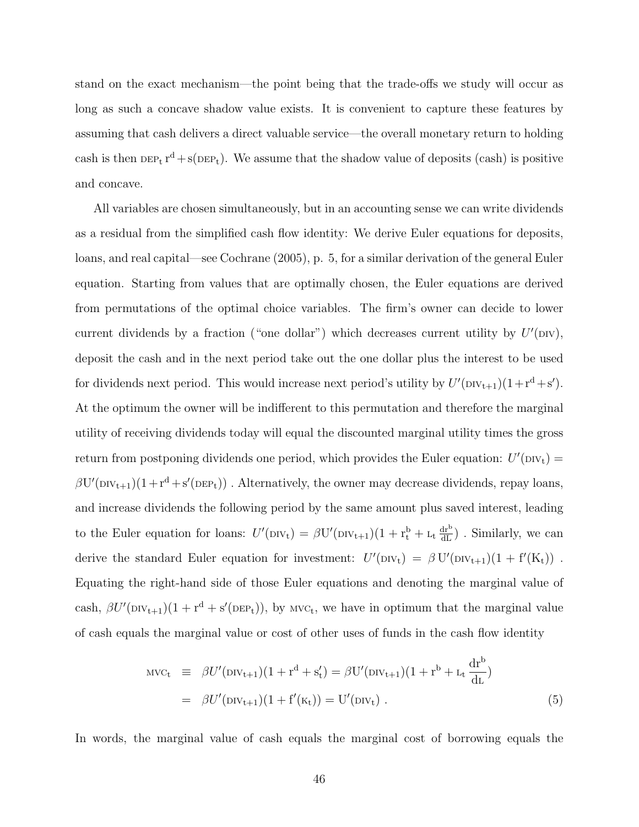stand on the exact mechanism—the point being that the trade-offs we study will occur as long as such a concave shadow value exists. It is convenient to capture these features by assuming that cash delivers a direct valuable service—the overall monetary return to holding cash is then  $DEF_t r^d + s(DEF_t)$ . We assume that the shadow value of deposits (cash) is positive and concave.

All variables are chosen simultaneously, but in an accounting sense we can write dividends as a residual from the simplified cash flow identity: We derive Euler equations for deposits, loans, and real capital—see Cochrane (2005), p. 5, for a similar derivation of the general Euler equation. Starting from values that are optimally chosen, the Euler equations are derived from permutations of the optimal choice variables. The firm's owner can decide to lower current dividends by a fraction ("one dollar") which decreases current utility by  $U'(\text{div})$ , deposit the cash and in the next period take out the one dollar plus the interest to be used for dividends next period. This would increase next period's utility by  $U'(\text{Div}_{t+1})(1+r^d+s')$ . At the optimum the owner will be indifferent to this permutation and therefore the marginal utility of receiving dividends today will equal the discounted marginal utility times the gross return from postponing dividends one period, which provides the Euler equation:  $U'(\text{Div}_t) =$  $\beta U'(\text{Div}_{t+1})(1+r^d+s'(\text{DEP}_t))$ . Alternatively, the owner may decrease dividends, repay loans, and increase dividends the following period by the same amount plus saved interest, leading to the Euler equation for loans:  $U'(\text{Div}_t) = \beta U'(\text{Div}_{t+1})(1 + r_t^b + L_t \frac{dr^b}{dL})$ . Similarly, we can derive the standard Euler equation for investment:  $U'(\text{Div}_t) = \beta U'(\text{Div}_{t+1})(1 + f'(K_t))$ . Equating the right-hand side of those Euler equations and denoting the marginal value of cash,  $\beta U'(\text{Div}_{t+1})(1 + r^d + s'(\text{per}))$ , by MVC<sub>t</sub>, we have in optimum that the marginal value of cash equals the marginal value or cost of other uses of funds in the cash flow identity

$$
MVC_t \equiv \beta U'(DV_{t+1})(1 + r^d + s'_t) = \beta U'(DV_{t+1})(1 + r^b + L_t \frac{dr^b}{dt})
$$
  
=  $\beta U'(DV_{t+1})(1 + f'(K_t)) = U'(DV_t)$ . (5)

In words, the marginal value of cash equals the marginal cost of borrowing equals the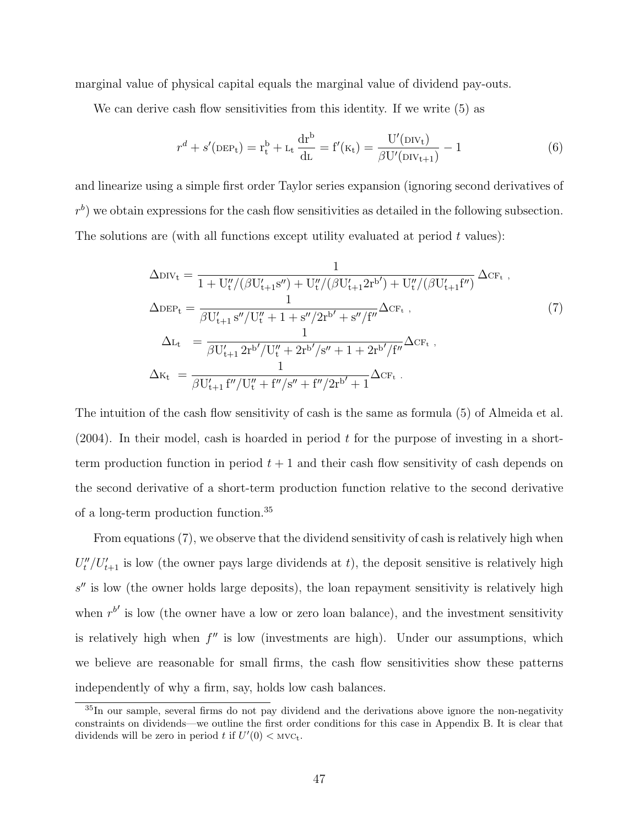marginal value of physical capital equals the marginal value of dividend pay-outs.

We can derive cash flow sensitivities from this identity. If we write (5) as

$$
r^{d} + s'(\text{DEP}_{t}) = r_{t}^{b} + L_{t} \frac{dr^{b}}{dt} = f'(K_{t}) = \frac{U'(\text{DIV}_{t})}{\beta U'(\text{DIV}_{t+1})} - 1
$$
(6)

and linearize using a simple first order Taylor series expansion (ignoring second derivatives of  $r<sup>b</sup>$ ) we obtain expressions for the cash flow sensitivities as detailed in the following subsection. The solutions are (with all functions except utility evaluated at period  $t$  values):

$$
\Delta \text{DIV}_{t} = \frac{1}{1 + U_{t}^{\prime\prime}/(\beta U_{t+1}^{\prime} s^{\prime\prime}) + U_{t}^{\prime\prime}/(\beta U_{t+1}^{\prime} 2r^{b\prime}) + U_{t}^{\prime\prime}/(\beta U_{t+1}^{\prime} f^{\prime\prime})} \Delta c_{F_{t}} ,
$$
\n
$$
\Delta \text{DEP}_{t} = \frac{1}{\beta U_{t+1}^{\prime} s^{\prime\prime}/U_{t}^{\prime\prime} + 1 + s^{\prime\prime}/2r^{b\prime} + s^{\prime\prime}/f^{\prime\prime}} \Delta c_{F_{t}} ,
$$
\n
$$
\Delta L_{t} = \frac{1}{\beta U_{t+1}^{\prime} 2r^{b\prime}/U_{t}^{\prime\prime} + 2r^{b\prime}/s^{\prime\prime} + 1 + 2r^{b\prime}/f^{\prime\prime}} \Delta c_{F_{t}} ,
$$
\n
$$
\Delta K_{t} = \frac{1}{\beta U_{t+1}^{\prime} f^{\prime\prime}/U_{t}^{\prime\prime} + f^{\prime\prime}/s^{\prime\prime} + f^{\prime\prime}/2r^{b\prime} + 1} \Delta c_{F_{t}} .
$$
\n(7)

The intuition of the cash flow sensitivity of cash is the same as formula (5) of Almeida et al.  $(2004)$ . In their model, cash is hoarded in period t for the purpose of investing in a shortterm production function in period  $t + 1$  and their cash flow sensitivity of cash depends on the second derivative of a short-term production function relative to the second derivative of a long-term production function.<sup>35</sup>

From equations (7), we observe that the dividend sensitivity of cash is relatively high when  $U''_t/U'_{t+1}$  is low (the owner pays large dividends at t), the deposit sensitive is relatively high  $s''$  is low (the owner holds large deposits), the loan repayment sensitivity is relatively high when  $r^{b'}$  is low (the owner have a low or zero loan balance), and the investment sensitivity is relatively high when  $f''$  is low (investments are high). Under our assumptions, which we believe are reasonable for small firms, the cash flow sensitivities show these patterns independently of why a firm, say, holds low cash balances.

<sup>35</sup>In our sample, several firms do not pay dividend and the derivations above ignore the non-negativity constraints on dividends—we outline the first order conditions for this case in Appendix B. It is clear that dividends will be zero in period t if  $U'(0) < \text{MVC}_t$ .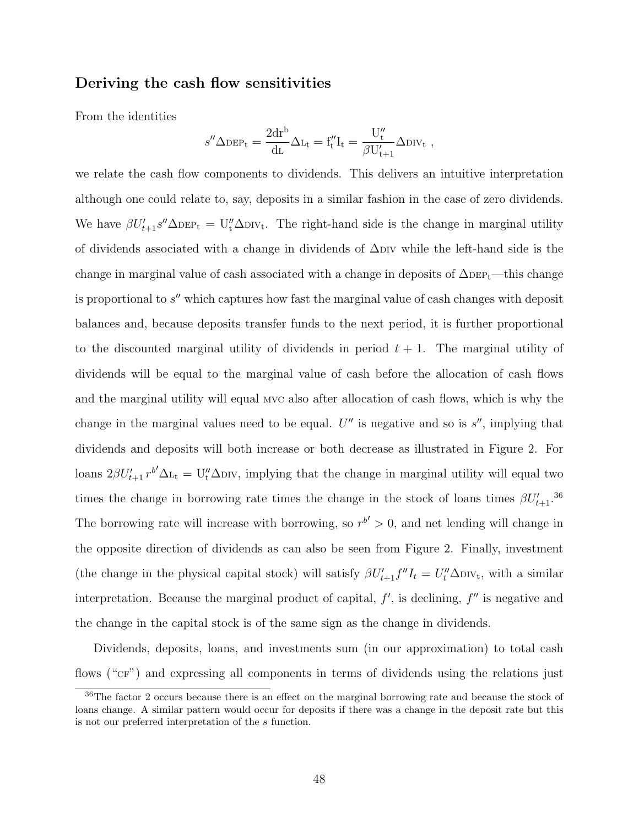#### Deriving the cash flow sensitivities

From the identities

$$
s''\Delta\text{DEP}_t = \frac{2dr^b}{d\textbf{L}}\Delta\textbf{L}_t = f''_tI_t = \frac{U''_t}{\beta U'_{t+1}}\Delta\textbf{D}\textbf{I}V_t\ ,
$$

we relate the cash flow components to dividends. This delivers an intuitive interpretation although one could relate to, say, deposits in a similar fashion in the case of zero dividends. We have  $\beta U_{t+1}'s''\Delta_{\text{DEF}} = U_t''\Delta_{\text{DIV}_t}$ . The right-hand side is the change in marginal utility of dividends associated with a change in dividends of ∆DIV while the left-hand side is the change in marginal value of cash associated with a change in deposits of  $\Delta_{\text{DEP}_t}$ —this change is proportional to  $s''$  which captures how fast the marginal value of cash changes with deposit balances and, because deposits transfer funds to the next period, it is further proportional to the discounted marginal utility of dividends in period  $t + 1$ . The marginal utility of dividends will be equal to the marginal value of cash before the allocation of cash flows and the marginal utility will equal MVC also after allocation of cash flows, which is why the change in the marginal values need to be equal.  $U''$  is negative and so is  $s''$ , implying that dividends and deposits will both increase or both decrease as illustrated in Figure 2. For loans  $2\beta U_{t+1}' r^{b'} \Delta L_t = U_t'' \Delta \text{div},$  implying that the change in marginal utility will equal two times the change in borrowing rate times the change in the stock of loans times  $\beta U_{t+1}'$ <sup>36</sup> The borrowing rate will increase with borrowing, so  $r^{b'} > 0$ , and net lending will change in the opposite direction of dividends as can also be seen from Figure 2. Finally, investment (the change in the physical capital stock) will satisfy  $\beta U_{t+1}' f'' I_t = U_t'' \Delta \text{DV}_t$ , with a similar interpretation. Because the marginal product of capital,  $f'$ , is declining,  $f''$  is negative and the change in the capital stock is of the same sign as the change in dividends.

Dividends, deposits, loans, and investments sum (in our approximation) to total cash flows ("CF") and expressing all components in terms of dividends using the relations just

<sup>&</sup>lt;sup>36</sup>The factor 2 occurs because there is an effect on the marginal borrowing rate and because the stock of loans change. A similar pattern would occur for deposits if there was a change in the deposit rate but this is not our preferred interpretation of the s function.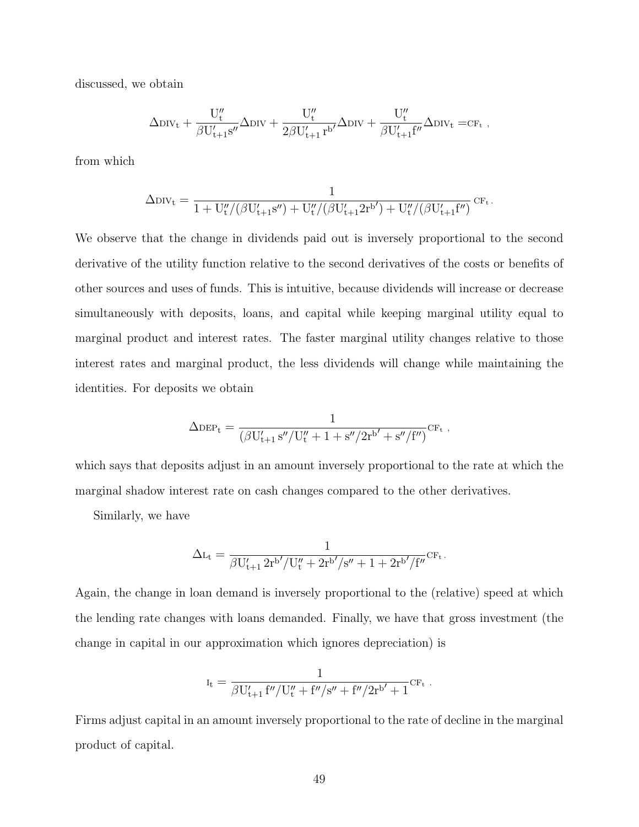discussed, we obtain

$$
\Delta \text{div}_{t} + \frac{U''_{t}}{\beta U'_{t+1} s''} \Delta \text{div} + \frac{U''_{t}}{2\beta U'_{t+1} r^{b'}} \Delta \text{div} + \frac{U''_{t}}{\beta U'_{t+1} f''} \Delta \text{div}_{t} = c_{F_{t}} ,
$$

from which

$$
\Delta \text{div}_t = \frac{1}{1+U_t''/(\beta U_{t+1}'s'') + U_t''/(\beta U_{t+1}' 2r^{b'}) + U_t''/(\beta U_{t+1}' f'')} \, \text{CF}_t.
$$

We observe that the change in dividends paid out is inversely proportional to the second derivative of the utility function relative to the second derivatives of the costs or benefits of other sources and uses of funds. This is intuitive, because dividends will increase or decrease simultaneously with deposits, loans, and capital while keeping marginal utility equal to marginal product and interest rates. The faster marginal utility changes relative to those interest rates and marginal product, the less dividends will change while maintaining the identities. For deposits we obtain

$$
\Delta_{\rm DEPt} = \frac{1}{(\beta U'_{t+1} s''/U''_t + 1 + s''/2r^{b'} + s''/f'')}^{\rm CF_{t}} ,
$$

which says that deposits adjust in an amount inversely proportional to the rate at which the marginal shadow interest rate on cash changes compared to the other derivatives.

Similarly, we have

$$
\Delta_{L_t} = \frac{1}{\beta U'_{t+1} 2r^{b'}/U''_t + 2r^{b'}/s'' + 1 + 2r^{b'}/f''} c_{F_t}.
$$

Again, the change in loan demand is inversely proportional to the (relative) speed at which the lending rate changes with loans demanded. Finally, we have that gross investment (the change in capital in our approximation which ignores depreciation) is

$$
I_t = \frac{1}{\beta U_{t+1}'f''/U_t'' + f''/s'' + f''/2r^{b'} + 1} c_{F_t} \; .
$$

Firms adjust capital in an amount inversely proportional to the rate of decline in the marginal product of capital.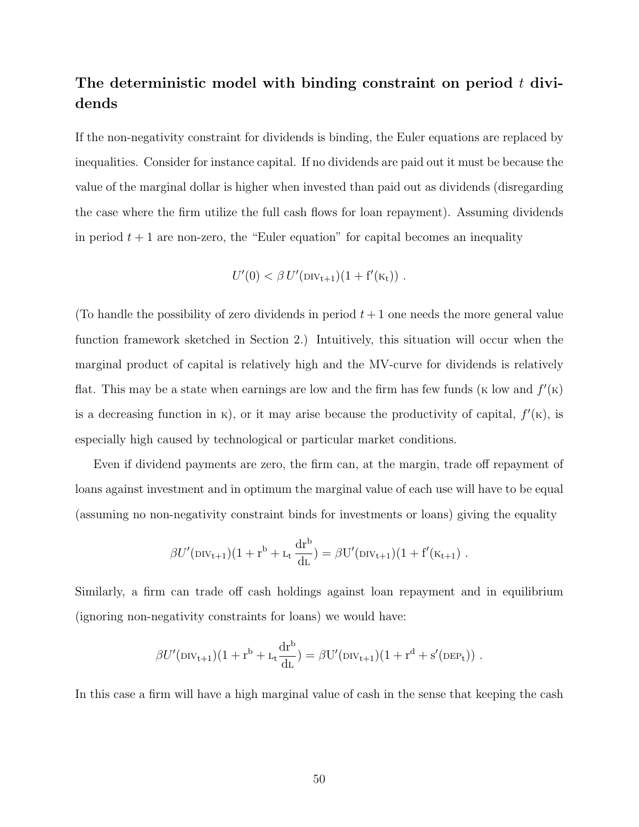## The deterministic model with binding constraint on period  $t$  dividends

If the non-negativity constraint for dividends is binding, the Euler equations are replaced by inequalities. Consider for instance capital. If no dividends are paid out it must be because the value of the marginal dollar is higher when invested than paid out as dividends (disregarding the case where the firm utilize the full cash flows for loan repayment). Assuming dividends in period  $t + 1$  are non-zero, the "Euler equation" for capital becomes an inequality

$$
U'(0) < \beta U'(\text{div}_{t+1})(1 + f'(k_t)) .
$$

(To handle the possibility of zero dividends in period  $t + 1$  one needs the more general value function framework sketched in Section 2.) Intuitively, this situation will occur when the marginal product of capital is relatively high and the MV-curve for dividends is relatively flat. This may be a state when earnings are low and the firm has few funds ( $\kappa$  low and  $f'(\kappa)$ ) is a decreasing function in  $\kappa$ ), or it may arise because the productivity of capital,  $f'(\kappa)$ , is especially high caused by technological or particular market conditions.

Even if dividend payments are zero, the firm can, at the margin, trade off repayment of loans against investment and in optimum the marginal value of each use will have to be equal (assuming no non-negativity constraint binds for investments or loans) giving the equality

$$
\beta U'(\text{div}_{t+1})(1+r^b + L_t \frac{dr^b}{dt}) = \beta U'(\text{div}_{t+1})(1+f'(K_{t+1}).
$$

Similarly, a firm can trade off cash holdings against loan repayment and in equilibrium (ignoring non-negativity constraints for loans) we would have:

$$
\beta U'(\text{div}_{t+1})(1+r^b + L_t \frac{dr^b}{dt}) = \beta U'(\text{div}_{t+1})(1+r^d + s'(\text{def})) .
$$

In this case a firm will have a high marginal value of cash in the sense that keeping the cash